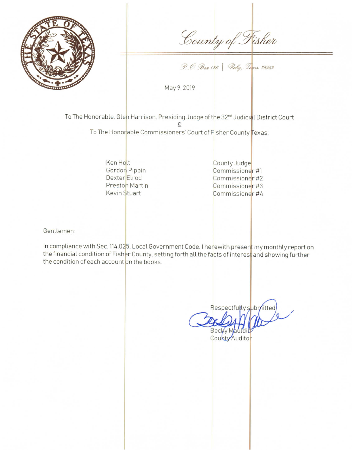

County of Fisher

P. O. Box 126 | Roby, Texas 79543

May 9, 2019

To The Honorable. Glen Harrison, Presiding Judge of the 32<sup>nd</sup> Judicial District Court

To The Honorable Commissioners' Court of Fisher County Texas:

Ken Holt Gordon Pippin Dexter Elrod Preston Martin Kevin Stuart

County Judge Commissioner #1 Commissioner #2 Commissioner #3 Commissioner #4

Gentlemen:

In compliance with Sec. 114.025. Local Government Code. I herewith present my monthly report on the financial condition of Fisher County, setting forth all the facts of interest and showing further the condition of each account on the books.

Respectfully submitted Becky Mauldi

County Audito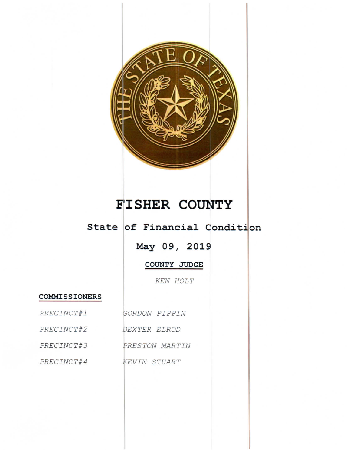

## **FISHER COUNTY**

## State of Financial Condition

May 09, 2019

COUNTY JUDGE

KEN HOLT

## **COMMISSIONERS**

PRECINCT#1

PRECINCT#3

GORDON PIPPIN PRECINCT#2 DEXTER ELROD PRESTON MARTIN PRECINCT#4 KEVIN STUART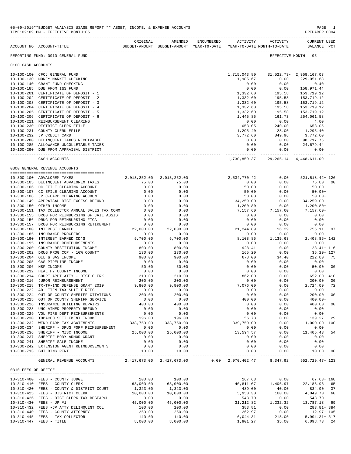|                     | ACCOUNT NO ACCOUNT-TITLE TO BUDGET-AMOUNT BUDGET-AMOUNT YEAR-TO-DATE YEAR-TO-DATE MONTH-TO-DATE | ORIGINAL         | AMENDED                   | ENCUMBERED | ACTIVITY                  | ACTIVITY                              | <b>CURRENT USED</b><br>BALANCE PCT |      |
|---------------------|-------------------------------------------------------------------------------------------------|------------------|---------------------------|------------|---------------------------|---------------------------------------|------------------------------------|------|
|                     | REPORTING FUND: 0010 GENERAL FUND                                                               |                  |                           |            |                           |                                       | EFFECTIVE MONTH - 05               |      |
| 0100 CASH ACCOUNTS  |                                                                                                 |                  |                           |            |                           |                                       |                                    |      |
|                     |                                                                                                 |                  |                           |            |                           |                                       |                                    |      |
|                     | 10-100-100 CFC: GENERAL FUND                                                                    |                  |                           |            |                           | 1,715,043.80 31,522.73- 2,958,167.03  |                                    |      |
|                     | 10-100-130 MONEY MARKET CHECKING                                                                |                  |                           |            | 1,985.67                  | 0.00                                  | 229,051.68                         |      |
|                     | 10-100-140 GRANT FUND CHECKING                                                                  |                  |                           |            | 0.00                      | 0.00                                  | 0.40                               |      |
|                     | 10-100-185 DUE FROM I&S FUND                                                                    |                  |                           |            | 0.00                      | 0.00                                  | 158,971.44                         |      |
|                     |                                                                                                 |                  |                           |            |                           |                                       |                                    |      |
|                     | 10-100-201 CERTIFICATE OF DEPOSIT - 1                                                           |                  |                           |            | 1,332.60                  | 195.58                                | 153,719.12                         |      |
|                     | 10-100-202 CERTIFICATE OF DEPOSIT - 2                                                           |                  |                           |            | 1,332.60                  | 195.58                                | 153,719.12                         |      |
|                     | 10-100-203 CERTIFICATE OF DEPOSIT - 3                                                           |                  |                           |            | 1,332.60                  | 195.58                                | 153,719.12                         |      |
|                     | 10-100-204 CERTIFICATE OF DEPOSIT - 4                                                           |                  |                           |            | 1,332.60                  | 195.58                                | 153,719.12                         |      |
|                     | 10-100-205 CERTIFICATE OF DEPOSIT - 5                                                           |                  |                           |            | 1,332.60                  | 195.58                                | 153,719.12                         |      |
|                     | 10-100-206 CERTIFICATE OF DEPOSIT - 6                                                           |                  |                           |            | 1,445.85                  | 161.73                                | 254,061.58                         |      |
|                     | 10-100-211 REIMBURSEMENT CLEARING                                                               |                  |                           |            | 0.00                      | 0.00                                  | 4.00                               |      |
|                     | 10-100-230 DISTRICT CLERK EFILE                                                                 |                  |                           |            | 653.05                    | 240.00                                | 653.05                             |      |
|                     | 10-100-231 COUNTY CLERK EFILE                                                                   |                  |                           |            | 1,295.40                  | 28.00                                 | 1,295.40                           |      |
|                     |                                                                                                 |                  |                           |            |                           |                                       |                                    |      |
|                     | 10-100-232 JP CREDIT CARD                                                                       |                  |                           |            | 3,772.60                  | 849.96                                | 3,772.60                           |      |
|                     | 10-100-280 DELINQUENT TAXES RECEIVABLE                                                          |                  |                           |            | 0.00                      | 0.00                                  | 98,717.75                          |      |
|                     | 10-100-285 ALLOWANCE-UNCOLLETABLE TAXES                                                         |                  |                           |            | 0.00                      | 0.00                                  | 24,679.44-                         |      |
|                     | 10-100-290 DUE FROM APPRAISAL DISTRICT                                                          |                  |                           |            | 0.00                      | 0.00                                  | 0.00                               |      |
|                     | CASH ACCOUNTS                                                                                   |                  |                           |            | -------------             | 1,730,859.37 29,265.14 - 4,448,611.09 | ------------ --------------        |      |
|                     |                                                                                                 |                  |                           |            |                           |                                       |                                    |      |
|                     | 0300 GENERAL REVENUE ACCOUNTS                                                                   |                  |                           |            |                           |                                       |                                    |      |
|                     | 10-300-100 ADVALOREM TAXES                                                                      |                  | 2,013,252.00 2,013,252.00 |            | 2,534,770.42              | 0.00                                  | 521, 518. 42+ 126                  |      |
|                     | 10-300-105 DELINQUENT ADVALOREM TAXES                                                           | 75.00            | 75.00                     |            | 0.00                      | 0.00                                  | 75.00                              | - 00 |
|                     | 10-300-106 DC EFILE CLEARING ACCOUNT                                                            | 0.00             | 0.00                      |            | 50.00                     | 0.00                                  | $50.00+$                           |      |
|                     | 10-300-107 CC EFILE CLEARING ACCOUNT                                                            | 0.00             | 0.00                      |            | 50.00                     | 0.00                                  | $50.00+$                           |      |
|                     | 10-300-108 JP C-CARD CLEARING ACCOUNT                                                           | 0.00             | 0.00                      |            | 50.00                     | 0.00                                  | $50.00+$                           |      |
|                     | 10-300-149 APPRAISAL DIST EXCESS REFUND                                                         |                  | 0.00                      |            | 34,259.00                 |                                       |                                    |      |
|                     |                                                                                                 | 0.00             |                           |            |                           |                                       | $34, 259.00+$                      |      |
|                     | 10-300-150 OTHER INCOME                                                                         | 0.00             | 0.00                      |            | 1,200.80                  | $0.00$<br>0.00<br>7,157.60            | 1,200.80+                          |      |
|                     | 10-300-151 TAX COLLECTOR ANNUAL SALES TAX COMM                                                  | 0.00             | 0.00                      |            | 7,157.60                  |                                       | $7,157.60+$                        |      |
|                     | 10-300-155 DRUG FOR REIMBURSING GF JAIL ASSIST                                                  | 0.00             | 0.00                      |            | 0.00                      | 0.00                                  | 0.00                               |      |
|                     | 10-300-156 DRUG FOR REIMBURSING FICA                                                            | 0.00             | 0.00                      |            | 0.00                      | 0.00                                  | 0.00                               |      |
| 10-300-157          | DRUG FOR REIMBURSING RETIREMENT                                                                 | 0.00             | 0.00                      |            | 0.00                      | 0.00                                  | 0.00                               |      |
| 10-300-180          | INTEREST EARNED                                                                                 | 22,000.00        | 22,000.00                 |            | 21, 244.89                | 16.29                                 | 755.11                             | 97   |
|                     | 10-300-185 INSURANCE PROCEEDS                                                                   | 0.00             | 0.00                      |            | 0.00                      | 0.00                                  | 0.00                               |      |
| $10 - 300 - 190$    | INTEREST EARNED CD'S                                                                            | 5,700.00         | 5,700.00                  |            | 8,108.85                  | 1,139.63                              | 2,408.85+ 142                      |      |
| $10 - 300 - 195$    | INSURANCE REMIBURSEMENTS                                                                        | 0.00             | 0.00                      |            | 0.00                      | 0.00                                  | 0.00                               |      |
| $10 - 300 - 200$    | COUNTY RESTITUTION INCOME                                                                       |                  |                           |            |                           | 0.00                                  |                                    |      |
|                     |                                                                                                 | 800.00           | 800.00                    |            | 928.41                    |                                       | 128.41+ 116                        |      |
|                     | 10-300-202 DRUG PROG CCP - 10% COUNTY                                                           | 130.00<br>900.00 | 130.00                    |            | 165.20                    | 0.00                                  | 35.20+ 127                         |      |
| $10 - 300 - 204$    | OIL & GAS INCOME                                                                                |                  | 900.00                    |            | 678.00                    | 34.40                                 | 222.00                             | 75   |
|                     | 10-300-205 GAS PIPELINE INCOME                                                                  | 0.00             | 0.00                      |            | 0.00                      | 0.00                                  | 0.00                               |      |
|                     | 10-300-206 NSF INCOME                                                                           | 50.00            | 50.00                     |            | 0.00                      | 0.00                                  | 50.00                              | 00   |
| $10 - 300 - 212$    | HEALTHY COUNTY INCOME                                                                           | 0.00             | 0.00                      |            | 0.00                      | 0.00                                  | 0.00                               |      |
| $10 - 300 - 214$    | COURT APPT ATTY - DIST CLERK                                                                    | 210.00           | 210.00                    |            | 862.00                    | 0.00                                  | 652.00+ 410                        |      |
|                     | 10-300-216 JUROR REIMBURSEMENT                                                                  | 200.00           | 200.00                    |            | 0.00                      | 0.00                                  | 200.00                             | 00   |
|                     | 10-300-218 TX-TF-IND DEFENSE GRANT 2019                                                         | 9,800.00         | 9,800.00                  |            | 7,076.00                  | 0.00                                  | 2,724.00                           | 72   |
|                     |                                                                                                 |                  | 0.00                      |            |                           |                                       |                                    |      |
|                     | 10-300-222 AD LITEM TAX SUIT T REES                                                             | 0.00             |                           |            | 0.00                      | 0.00                                  | 0.00                               |      |
|                     | 10-300-224 OUT OF COUNTY SHERIFF CITATIONS                                                      | 200.00           | 200.00                    |            | 0.00                      | 0.00                                  | 200.00                             | 00   |
|                     | 10-300-225 OUT OF COUNTY SHERIFF SERVICE                                                        | 0.00             | 0.00                      |            | 400.00                    | 0.00                                  | $400.00+$                          |      |
|                     | 10-300-226 INSURANCE BUILDING REPAIRS                                                           | 400.00           | 400.00                    |            | 0.00                      | 0.00                                  | 400.00 00                          |      |
|                     | 10-300-228 UNCLAIMED PROPERTY REFUND                                                            | 0.00             | 0.00                      |            | 0.00                      | 0.00                                  | 0.00                               |      |
|                     | 10-300-229 VOL FIRE DEPT REIMBURSEMENTS                                                         | 0.00             | 0.00                      |            | 0.00                      | 0.00                                  | 0.00                               |      |
|                     | 10-300-230 TOBACCO SETTLEMENT INCOME                                                            | 196.00           | 196.00                    |            | 56.73                     | 0.00                                  | 139.27                             | 29   |
|                     | 10-300-232 WIND FARM TAX ABATEMENTS                                                             | 338,750.00       | 338,750.00                |            | 339,750.00                | 0.00                                  | $1,000.00+100$                     |      |
|                     | 10-300-234 SHERIFF - DRUG FORF REIMBURSEMENT                                                    | 0.00             | 0.00                      |            | 0.00                      | 0.00                                  | 0.00                               |      |
|                     |                                                                                                 |                  |                           |            |                           |                                       |                                    |      |
|                     | 10-300-236 SHERIFF - MISC INCOME                                                                | 25,000.00        | 25,000.00                 |            | 13,594.57                 | 0.00                                  | 11,405.43                          | 54   |
|                     | 10-300-237 SHERIFF BODY ARMOR GRANT                                                             | 0.00             | 0.00                      |            | 0.00                      | 0.00                                  | 0.00                               |      |
|                     | 10-300-241 SHERIFF SALE INCOME                                                                  | 0.00             | 0.00                      |            | 0.00                      | 0.00                                  | 0.00                               |      |
|                     | 10-300-242 EXTENSION AGENT REIMBURSEMENTS                                                       | 0.00             | 0.00                      |            | 0.00                      | 0.00                                  | 0.00                               |      |
|                     | 10-300-713 BUILDING RENT                                                                        | 10.00            | 10.00                     |            | 0.00                      | 0.00                                  | 10.00 00                           |      |
|                     | GENERAL REVENUE ACCOUNTS                                                                        |                  | 2,417,673.00 2,417,673.00 |            | $0.00 \quad 2,970,402.47$ | 8,347.92                              | 552, 729. 47+ 123                  |      |
| 0310 FEES OF OFFICE |                                                                                                 |                  |                           |            |                           |                                       |                                    |      |
|                     |                                                                                                 |                  |                           |            |                           |                                       |                                    |      |
|                     | 10-310-400 FEES - COUNTY JUDGE                                                                  | 100.00           | 100.00                    |            | 167.63                    | 0.00                                  | $67.63 + 168$                      |      |
|                     | 10-310-410 FEES - COUNTY CLERK                                                                  | 63,000.00        | 63,000.00                 |            | 40,811.07                 | 1,406.97                              | 22, 188.93 65                      |      |
|                     | 10-310-420 FEES - COUNTY & DISTRICT COURT                                                       | 1,323.00         | 1,323.00                  |            | 489.00                    | 40.00                                 | 834.00 37                          |      |
|                     | 10-310-425 FEES - DISTRICT CLERK                                                                | 10,000.00        | 10,000.00                 |            | 5,950.30                  | 160.00                                | 4,049.70                           | 60   |
|                     | 10-310-426 FEES - DIST CLERK TAX RESEARCH                                                       | 0.00             | 0.00                      |            | 543.70                    | 0.00                                  | $543.70+$                          |      |
|                     |                                                                                                 |                  |                           |            |                           |                                       |                                    |      |
|                     | 10-310-430 FEES - JP #1                                                                         | 45,000.00        | 45,000.00                 |            | 31, 212.82                | 1,232.32                              | 13,787.18 69                       |      |
|                     | 10-310-432 FEES -JP ATTY DELINQUENT COL                                                         | 100.00           | 100.00                    |            | 383.81                    | 0.00                                  | 283.81+ 384                        |      |
|                     | 10-310-440 FEES - COUNTY ATTORNEY                                                               | 250.00           | 250.00                    |            | 262.97                    | 0.00                                  | $12.97 + 105$                      |      |
|                     | 10-310-445 FEES - TAX COLLECTOR                                                                 | 140.00           | 140.00                    |            | 6,044.31                  | 218.00                                | 5,904.31+ 317                      |      |
|                     | 10-310-447 FEES - TITLE                                                                         | 8,000.00         | 8,000.00                  |            | 1,901.27                  | 35.00                                 | 6,098.73 24                        |      |

05-09-2019\*\*BUDGET ANALYSIS USAGE REPORT \*\* ASSET, INCOME, & EXPENSE ACCOUNTS PAGE 1<br>TIME:02:09 PM - EFFECTIVE MONTH:05

 $TIME:02:09 PM - EFFECTIVE MOMTH:05$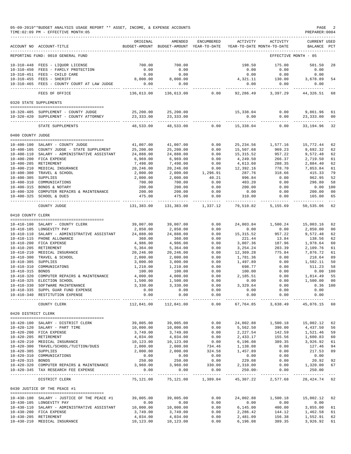|                     | 05-09-2019**BUDGET ANALYSIS USAGE REPORT ** ASSET, INCOME, & EXPENSE ACCOUNTS<br>TIME: 02:09 PM - EFFECTIVE MONTH: 05<br>------------------------------                                                                                                                                                                                            |                                                                                 |                                                                                 |                                           |                      |                                              | PAGE<br>PREPARER: 0004                                                                                                   |            |
|---------------------|----------------------------------------------------------------------------------------------------------------------------------------------------------------------------------------------------------------------------------------------------------------------------------------------------------------------------------------------------|---------------------------------------------------------------------------------|---------------------------------------------------------------------------------|-------------------------------------------|----------------------|----------------------------------------------|--------------------------------------------------------------------------------------------------------------------------|------------|
|                     | ACCOUNT NO ACCOUNT-TITLE                                                                                                                                                                                                                                                                                                                           | ORIGINAL<br>BUDGET-AMOUNT BUDGET-AMOUNT YEAR-TO-DATE YEAR-TO-DATE MONTH-TO-DATE | AMENDED                                                                         | ENCUMBERED                                |                      | ACTIVITY ACTIVITY                            | <b>CURRENT USED</b><br>BALANCE PCT                                                                                       |            |
|                     | REPORTING FUND: 0010 GENERAL FUND                                                                                                                                                                                                                                                                                                                  |                                                                                 |                                                                                 |                                           |                      |                                              | EFFECTIVE MONTH - 05                                                                                                     |            |
|                     |                                                                                                                                                                                                                                                                                                                                                    |                                                                                 | 700.00                                                                          |                                           | 198.50               | 175.00                                       | 501.50 28                                                                                                                |            |
|                     | $10-310-448 \quad \textrm{FEES} - \textrm{LIQUOR} \quad \textrm{LICENSE} \qquad \qquad \textrm{700.00} \\ 10-310-450 \quad \textrm{FEES} - \textrm{FAMILY} \quad \textrm{PROTECTION} \qquad \qquad \textrm{0.00} \\ 10-310-451 \quad \textrm{FEES} - \textrm{CHILD} \quad \textrm{CRE} \qquad \qquad \textrm{0.00} \\ \qquad \qquad \textrm{0.00}$ |                                                                                 | $0.00$<br>$0.00$                                                                |                                           | $0.00$<br>$0.00$     | 0.00                                         | 0.00                                                                                                                     |            |
|                     |                                                                                                                                                                                                                                                                                                                                                    |                                                                                 |                                                                                 |                                           |                      | 0.00                                         | 0.00                                                                                                                     |            |
|                     | 10-310-455 FEES - SHERIFF<br>$10-310-465$ FEES - COUNTY COURT AT LAW JUDGE $0.00$                                                                                                                                                                                                                                                                  | 8,000.00                                                                        | 8,000.00                                                                        |                                           |                      |                                              | $8,000.00$<br>$9,321.11$<br>$130.00$<br>$3,678.89$<br>$0.00$<br>$0.00$<br>$0.00$<br>$0.00$<br>$0.00$<br>$0.00$<br>$0.00$ | 54         |
|                     |                                                                                                                                                                                                                                                                                                                                                    |                                                                                 | -------------                                                                   |                                           | . <u>.</u>           |                                              | _____________________________                                                                                            |            |
|                     | FEES OF OFFICE                                                                                                                                                                                                                                                                                                                                     |                                                                                 | $136,613.00$ $136,613.00$ $0.00$ $92,286.49$ $3,397.29$ $44,326.51$ 68          |                                           |                      |                                              |                                                                                                                          |            |
|                     | 0320 STATE SUPPLEMENTS                                                                                                                                                                                                                                                                                                                             |                                                                                 |                                                                                 |                                           |                      |                                              |                                                                                                                          |            |
|                     | 10-320-405 SUPPLEMENT - COUNTY JUDGE                                                                                                                                                                                                                                                                                                               |                                                                                 | 25,200.00 25,200.00                                                             |                                           | 15,338.04            |                                              | $0.00$ 9,861.96 61                                                                                                       |            |
|                     | 10-320-420 SUPPLEMENT - COUNTY ATTORNEY                                                                                                                                                                                                                                                                                                            |                                                                                 | 23, 333.00 23, 333.00                                                           |                                           | 0.00                 | 0.00                                         | 23,333.00 00                                                                                                             |            |
|                     | ------------------------------------<br>STATE SUPPLEMENTS                                                                                                                                                                                                                                                                                          | 48,533.00                                                                       | ------------- --------------                                                    | $48,533.00$ $0.00$ $15,338.04$ $0.00$     |                      |                                              | ----------- ------------- ---<br>33, 194. 96 32                                                                          |            |
| 0400 COUNTY JUDGE   |                                                                                                                                                                                                                                                                                                                                                    |                                                                                 |                                                                                 |                                           |                      |                                              |                                                                                                                          |            |
|                     |                                                                                                                                                                                                                                                                                                                                                    |                                                                                 |                                                                                 |                                           |                      |                                              |                                                                                                                          |            |
|                     | 10-400-100 SALARY - COUNTY JUDGE                                                                                                                                                                                                                                                                                                                   | 41,007.00                                                                       | 41,007.00                                                                       | 0.00                                      |                      | 25, 234.56 1, 577.16                         | 15,772.44                                                                                                                | 62         |
|                     | 10-400-105 COUNTY JUDGE - STATE SUPPLEMENT                                                                                                                                                                                                                                                                                                         | 25,200.00                                                                       | 25,200.00                                                                       | 0.00                                      | 15,507.68            | 969.23                                       | 9,692.32                                                                                                                 | 62         |
|                     | 10-400-110 SALARY - ADMINISTRATIVE ASSISTANT                                                                                                                                                                                                                                                                                                       | 24,888.00                                                                       | 24,888.00                                                                       | $0.00$<br>0.00<br>0.00                    | 15,315.52            | 957.22                                       | 9,572.48                                                                                                                 | 62         |
|                     | 10-400-200 FICA EXPENSE<br>10-400-205 RETIREMENT                                                                                                                                                                                                                                                                                                   | 6,969.00<br>7,498.00                                                            | 6,969.00<br>7,498.00                                                            |                                           | 4,249.50<br>4,613.60 | $266.37$<br>$288.35$<br>$778.70$<br>$318.66$ | 2,719.50<br>2,884.40                                                                                                     | 61<br>62   |
|                     | 10-400-210 MEDICAL INSURANCE                                                                                                                                                                                                                                                                                                                       | 20, 246.00                                                                      | 20,246.00                                                                       |                                           |                      |                                              | 7,853.84                                                                                                                 | 61         |
|                     | 10-400-300 TRAVEL & SCHOOL                                                                                                                                                                                                                                                                                                                         | 2,000.00                                                                        | 2,000.00                                                                        | $0.00$ $12,392.16$<br>$1,296.91$ $287.76$ | 287.76               |                                              | 415.33                                                                                                                   | 79         |
| 10-400-305 SUPPLIES |                                                                                                                                                                                                                                                                                                                                                    | 2,000.00                                                                        | 2,000.00                                                                        | 40.21                                     | 996.84               | 0.00                                         | 962.95                                                                                                                   | 52         |
|                     | 10-400-310 COMMUNICATIONS                                                                                                                                                                                                                                                                                                                          | 700.00                                                                          | 700.00                                                                          | 0.00                                      | 403.20               | 0.00                                         | 296.80                                                                                                                   | 58         |
|                     | 10-400-315 BONDS & NOTARY                                                                                                                                                                                                                                                                                                                          | 200.00                                                                          | 200.00                                                                          | 0.00                                      | 200.00               | 0.00                                         | $0.00$ 100                                                                                                               |            |
|                     | 10-400-320 COMPUTER REPAIRS & MAINTENANCE                                                                                                                                                                                                                                                                                                          | 200.00                                                                          | 200.00                                                                          | 0.00                                      | 0.00                 | 0.00                                         | 200.00                                                                                                                   | 00         |
|                     | 10-400-325 SCHOOL & DUES                                                                                                                                                                                                                                                                                                                           | 475.00                                                                          | 475.00                                                                          | 0.00                                      | 310.00               | 0.00                                         | 165.00                                                                                                                   | 65         |
|                     | COUNTY JUDGE                                                                                                                                                                                                                                                                                                                                       | 131,383.00                                                                      | 131,383.00 1,337.12                                                             |                                           |                      | 79,510.82 5,155.69                           | 50,535.06                                                                                                                | 62         |
| 0410 COUNTY CLERK   |                                                                                                                                                                                                                                                                                                                                                    |                                                                                 |                                                                                 |                                           |                      |                                              |                                                                                                                          |            |
|                     |                                                                                                                                                                                                                                                                                                                                                    |                                                                                 |                                                                                 |                                           |                      |                                              |                                                                                                                          |            |
|                     | 10-410-100 SALARY - COUNTY CLERK                                                                                                                                                                                                                                                                                                                   | 39,007.00                                                                       | 39,007.00                                                                       | 0.00                                      |                      |                                              | 24,003.84   1,500.24   15,003.16                                                                                         | 62         |
|                     | 10-410-105 LONGEVITY PAY                                                                                                                                                                                                                                                                                                                           | 2,850.00                                                                        | 2,850.00                                                                        | 0.00                                      | 0.00                 | 0.00                                         | 2,850.00                                                                                                                 | 00         |
|                     | $10-410-110$ SALARY - ADMINISTRATIVE ASSISTANT 24,888.00                                                                                                                                                                                                                                                                                           | 360.00                                                                          | 24,888.00<br>360.00                                                             | 0.00                                      | 15,315.52            | 957.22<br>13.84<br>187.96                    | 9,572.48                                                                                                                 | 62         |
|                     | 10-410-115 PHONE ALLOWANCE<br>10-410-200 FICA EXPENSE                                                                                                                                                                                                                                                                                              | 4,986.00                                                                        | 4,986.00                                                                        | 0.00<br>0.00                              | 221.44<br>3,007.36   |                                              | 138.56<br>1,978.64                                                                                                       | 62<br>60   |
|                     | 10-410-205 RETIREMENT                                                                                                                                                                                                                                                                                                                              | 5,364.00                                                                        | 5,364.00                                                                        | 0.00                                      | 3,254.24             | 203.39                                       | 2,109.76                                                                                                                 | 61         |
|                     | 10-410-210 MEDICAL INSURANCE<br>10-410-300 TRAVEL & SCHOOL<br>10-410-305 SUPPLIES                                                                                                                                                                                                                                                                  | 20, 246.00                                                                      | 20,246.00                                                                       | 0.00                                      | 12,369.28            |                                              | 775.84 7,876.72                                                                                                          | 61         |
|                     |                                                                                                                                                                                                                                                                                                                                                    | 2,000.00                                                                        | 2,000.00                                                                        | 0.00                                      |                      |                                              | 218.64                                                                                                                   | - 89       |
|                     |                                                                                                                                                                                                                                                                                                                                                    | 3,000.00                                                                        |                                                                                 | 0.00                                      |                      |                                              | $1,781.36$<br>$1,497.89$<br>$698.77$<br>$1,600$<br>$1,502.11$<br>$1,502.11$<br>$1,23$<br>$0.00$<br>$1,511.23$<br>$0.00$  | 50         |
|                     | 10-410-310 COMMUNICATONS                                                                                                                                                                                                                                                                                                                           | 1,210.00                                                                        | 3,000.00<br>1,210.00                                                            | 0.00                                      |                      |                                              |                                                                                                                          | 58         |
| 10-410-315 BONDS    |                                                                                                                                                                                                                                                                                                                                                    | 100.00                                                                          | 100.00                                                                          | 0.00                                      | 100.00               | 0.00                                         | $0.00$ 100                                                                                                               |            |
|                     | 10-410-320 COMPUTER REPAIRS & MAINTENANCE $4,000.00$                                                                                                                                                                                                                                                                                               |                                                                                 | 4,000.00                                                                        | 0.00                                      | 2,185.51             | 0.00                                         | 1,814.49                                                                                                                 | 55         |
|                     | 10-410-325 ELECTION SCHOOL                                                                                                                                                                                                                                                                                                                         | 1,500.00                                                                        | 1,500.00                                                                        | 0.00                                      | 0.00                 | 0.00                                         | 1,500.00 00                                                                                                              |            |
|                     | 10-410-330 SOFTWARE MAINTENANCE                                                                                                                                                                                                                                                                                                                    | 3,330.00                                                                        | 3,330.00                                                                        | 0.00                                      | 3,329.64             | 0.00                                         |                                                                                                                          | $0.36$ 100 |
|                     | 10-410-335 SUPPL GUAR FUND EXPENSE                                                                                                                                                                                                                                                                                                                 | 0.00<br>0.00                                                                    | 0.00                                                                            | 0.00                                      | 0.00                 | 0.00                                         | 0.00                                                                                                                     |            |
|                     | 10-410-340 RESTITUTION EXPENSE                                                                                                                                                                                                                                                                                                                     | ---------                                                                       | 0.00<br>-----------                                                             | 0.00<br>-------                           | 0.00<br>.            | 0.00<br>-----------                          | 0.00<br>----------                                                                                                       |            |
|                     | COUNTY CLERK                                                                                                                                                                                                                                                                                                                                       | 112,841.00                                                                      | 112,841.00                                                                      | 0.00                                      |                      | 67,764.85 3,638.49                           | 45,076.15 60                                                                                                             |            |
| 0420 DISTRICT CLERK |                                                                                                                                                                                                                                                                                                                                                    |                                                                                 |                                                                                 |                                           |                      |                                              |                                                                                                                          |            |
|                     | 10-420-100 SALARY - DISTRICT CLERK                                                                                                                                                                                                                                                                                                                 | 39,005.00                                                                       | 39,005.00                                                                       | 0.00                                      | 24,002.88            | 1,500.18                                     | 15,002.12 62                                                                                                             |            |
|                     | 10-420-120 SALARY - PART TIME                                                                                                                                                                                                                                                                                                                      | 10,000.00                                                                       | 10,000.00                                                                       | 0.00                                      | 5,562.50             | 390.00                                       | 4,437.50 56                                                                                                              |            |
|                     | 10-420-200 FICA EXPENSE                                                                                                                                                                                                                                                                                                                            | 3,749.00                                                                        | 3,749.00                                                                        | 0.00                                      | 2,227.54             | 142.59                                       | 1,521.46 59                                                                                                              |            |
|                     | 10-420-205 RETIREMENT                                                                                                                                                                                                                                                                                                                              | 4,034.00                                                                        | 4,034.00                                                                        | 0.00                                      | 2,433.17             | 155.56                                       | 1,600.83 60                                                                                                              |            |
|                     | 10-420-210 MEDICAL INSURANCE                                                                                                                                                                                                                                                                                                                       | 10,123.00                                                                       | 10,123.00                                                                       | 0.00                                      | 6,196.08             | 389.35                                       | 3,926.92 61                                                                                                              |            |
|                     | 10-420-300 TRAVEL/SCHOOL/TUITION/DUES                                                                                                                                                                                                                                                                                                              | 2,000.00                                                                        | 2,000.00                                                                        | 734.46                                    | 1,138.08             | 0.00                                         | 127.46 94                                                                                                                |            |
| 10-420-305 SUPPLIES |                                                                                                                                                                                                                                                                                                                                                    | 2,000.00                                                                        | 2,000.00                                                                        | 324.58                                    | 1,457.89             | 0.00                                         | 217.53 89                                                                                                                |            |
|                     | 10-420-310 COMMUNICATIONS                                                                                                                                                                                                                                                                                                                          | 0.00                                                                            | 0.00                                                                            | 0.00                                      | 0.00                 | 0.00                                         | 0.00                                                                                                                     |            |
| 10-420-315 BONDS    | 10-420-320 COMPUTER REPAIRS & MAINTENANCE                                                                                                                                                                                                                                                                                                          | 250.00<br>3,960.00                                                              | 250.00<br>3,960.00                                                              | 0.00<br>330.00                            | 229.08<br>2,310.00   | 0.00<br>0.00                                 | 20.92 92                                                                                                                 |            |
|                     | 10-420-345 TAX RESEARCH FEE EXPENSE                                                                                                                                                                                                                                                                                                                | 0.00                                                                            | 0.00                                                                            | 0.00                                      | $250.00 -$           | 0.00                                         | 1,320.00 67<br>250.00                                                                                                    |            |
|                     | DISTRICT CLERK                                                                                                                                                                                                                                                                                                                                     | ----------                                                                      | -------------- -------------<br>75,121.00 75,121.00 1,389.04 45,307.22 2,577.68 |                                           |                      |                                              | 28, 424. 74 62                                                                                                           |            |
|                     | 0430 JUSTICE OF THE PEACE #1                                                                                                                                                                                                                                                                                                                       |                                                                                 |                                                                                 |                                           |                      |                                              |                                                                                                                          |            |
|                     |                                                                                                                                                                                                                                                                                                                                                    |                                                                                 |                                                                                 |                                           |                      |                                              |                                                                                                                          |            |
|                     | 10-430-100 SALARY - JUSTICE OF THE PEACE #1                                                                                                                                                                                                                                                                                                        | 39,005.00                                                                       | 39,005.00                                                                       | 0.00                                      | 24,002.88            | 1,500.18                                     | 15,002.12 62                                                                                                             |            |
|                     | 10-430-105 LONGEVITY PAY                                                                                                                                                                                                                                                                                                                           | 0.00<br>10,000.00                                                               | 0.00<br>10,000.00                                                               | 0.00<br>0.00                              | 0.00<br>6,145.00     | 0.00                                         | 0.00<br>3,855.00 61                                                                                                      |            |
|                     | 10-430-110 SALARY - ADMINISTRATIVE ASSISTANT<br>10-430-200 FICA EXPENSE                                                                                                                                                                                                                                                                            | 3,749.00                                                                        | 3,749.00                                                                        | 0.00                                      | 2,286.42             | 400.00<br>144.12                             | 1,462.58 61                                                                                                              |            |
|                     | 10-430-205 RETIREMENT                                                                                                                                                                                                                                                                                                                              | 4,034.00                                                                        | 4,034.00                                                                        | 0.00                                      | 2,481.09             | 156.38                                       | 1,552.91 62                                                                                                              |            |
|                     | 10-430-210 MEDICAL INSURANCE                                                                                                                                                                                                                                                                                                                       | 10,123.00                                                                       | 10,123.00                                                                       | 0.00                                      | 6,196.08             | 389.35                                       | 3,926.92 61                                                                                                              |            |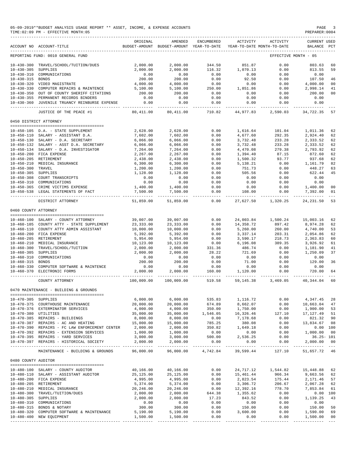|                      | 05-09-2019**BUDGET ANALYSIS USAGE REPORT ** ASSET, INCOME, & EXPENSE ACCOUNTS<br>TIME: 02:09 PM - EFFECTIVE MONTH: 05 |                          |                                                     |                                       |                                  |                                        | PAGE<br>PREPARER: 0004             | -3             |
|----------------------|-----------------------------------------------------------------------------------------------------------------------|--------------------------|-----------------------------------------------------|---------------------------------------|----------------------------------|----------------------------------------|------------------------------------|----------------|
|                      | ACCOUNT NO ACCOUNT-TITLE                                                                                              | ORIGINAL                 | AMENDED<br>BUDGET-AMOUNT BUDGET-AMOUNT YEAR-TO-DATE | ENCUMBERED                            | ACTIVITY                         | ACTIVITY<br>YEAR-TO-DATE MONTH-TO-DATE | <b>CURRENT USED</b><br>BALANCE PCT |                |
|                      | REPORTING FUND: 0010 GENERAL FUND                                                                                     |                          |                                                     |                                       |                                  |                                        | EFFECTIVE MONTH - 05               |                |
|                      | 10-430-300 TRAVEL/SCHOOL/TUITION/DUES                                                                                 | 2,000.00                 | 2,000.00                                            | 344.50                                | 851.87                           | 0.00                                   | 803.63                             | 60             |
| 10-430-305 SUPPLIES  |                                                                                                                       | 2,000.00                 | 2,000.00                                            | 116.32                                | 1,070.13                         | 0.00                                   | 813.55                             | 59             |
|                      | 10-430-310 COMMUNICATIONS                                                                                             | 0.00                     | 0.00                                                | 0.00                                  | 0.00                             | 0.00                                   | 0.00                               |                |
| 10-430-315 BONDS     |                                                                                                                       | 200.00                   | 200.00                                              | 0.00                                  | 92.50                            | 0.00                                   | 107.50                             | 46             |
|                      | 10-430-320 VIDEO MAGISTRATE                                                                                           | 4,000.00                 | 4,000.00                                            | 0.00                                  | 0.00                             | 0.00                                   | 4,000.00                           | 00             |
|                      | 10-430-330 COMPUTER REPAIRS & MAINTENCE                                                                               | 5,100.00                 | 5,100.00                                            | 250.00                                | 1,851.86                         | 0.00                                   | 2,998.14                           | 41             |
|                      | 10-430-350 OUT OF COUNTY SHERIFF CITATIONS                                                                            | 200.00                   | 200.00                                              | 0.00                                  | 0.00                             | 0.00                                   | 200.00                             | 0 <sub>0</sub> |
|                      | 10-430-355 PERMANENT RECORDS BINDERS<br>10-430-360 JUVENILE TRUANCY REINBURSE EXPENSE                                 | 0.00<br>0.00             | 0.00<br>0.00                                        | 0.00<br>0.00                          | 0.00<br>0.00                     | 0.00<br>0.00                           | 0.00<br>0.00                       |                |
|                      | ___________________________________<br>JUSTICE OF THE PEACE #1                                                        | -----------<br>80,411.00 | 80,411.00                                           | _______________<br>710.82             | .<br>44,977.83                   | 2,590.03                               | 34,722.35                          | 57             |
|                      | 0450 DISTRICT ATTORNEY                                                                                                |                          |                                                     |                                       |                                  |                                        |                                    |                |
|                      |                                                                                                                       |                          |                                                     |                                       |                                  |                                        |                                    |                |
|                      | 10-450-105 D.A. - STATE SUPPLEMENT                                                                                    | 2,628.00                 | 2,628.00                                            | 0.00                                  | 1,616.64                         | 101.04                                 | 1,011.36                           | 62             |
|                      | 10-450-110 SALARY - ASSISTANT D.A.<br>10-450-130 SALARY - D.A. SECRETARY                                              | 7,602.00<br>6,066.00     | 7,602.00<br>6,066.00                                | 0.00<br>0.00                          | 4,677.60<br>3,732.48             | 292.35<br>233.28                       | 2,924.40<br>2,333.52               | 62<br>62       |
|                      | 10-450-132 SALARY - ASST D.A. SECRETARY                                                                               | 6,066.00                 | 6,066.00                                            | 0.00                                  | 3,732.48                         | 233.28                                 | 2,333.52                           | 62             |
|                      | 10-450-134 SALARY - D.A. INVESTIGATOR                                                                                 | 7,264.00                 | 7,264.00                                            | 0.00                                  | 4,470.08                         | 279.38                                 | 2,793.92                           | 62             |
|                      | 10-450-200 FICA EXPENSE                                                                                               | 2,267.00                 | 2,267.00                                            | 0.00                                  | 1,394.40                         | 87.15                                  | 872.60                             | 62             |
|                      | 10-450-205 RETIREMENT                                                                                                 | 2,438.00                 | 2,438.00                                            | 0.00                                  | 1,500.32                         | 93.77                                  | 937.68                             | 62             |
|                      | 10-450-210 MEDICAL INSURANCE                                                                                          | 6,300.00                 | 6,300.00                                            | 0.00                                  | 5,138.21                         | 0.00                                   | 1,161.79                           | 82             |
| 10-450-300 TRAVEL    |                                                                                                                       | 1,200.00                 | 1,200.00                                            | 0.00                                  | 751.73                           | 0.00                                   | 448.27                             | 63             |
| 10-450-305 SUPPLIES  |                                                                                                                       | 1,128.00                 | 1,128.00                                            | 0.00                                  | 505.56                           | 0.00                                   | 622.44                             | 45             |
|                      | 10-450-308 COURT TRANSCRIPTS                                                                                          | 0.00                     | 0.00                                                | 0.00                                  | 0.00                             | 0.00                                   | 0.00                               |                |
|                      | 10-450-310 COMMUNICATIONS                                                                                             | 0.00                     | 0.00                                                | 0.00                                  | 0.00                             | 0.00                                   | 0.00                               |                |
|                      | 10-450-365 CRIME VICTIMS EXPENSE                                                                                      | 1,400.00                 | 1,400.00                                            | 0.00                                  | 0.00                             | 0.00                                   | 1,400.00                           | 0 <sub>0</sub> |
|                      | 10-450-538 LEGAL STATEMENTS OF FACT                                                                                   | 7,500.00                 | 7,500.00                                            | 0.00<br>------------- ------------- - | 108.00                           | 0.00                                   | 7,392.00                           | 01             |
|                      | DISTRICT ATTORNEY                                                                                                     | 51,859.00                | 51,859.00                                           | 0.00                                  | 27,627.50                        | 1,320.25                               | 24, 231.50                         | 53             |
| 0460 COUNTY ATTORNEY |                                                                                                                       |                          |                                                     |                                       |                                  |                                        |                                    |                |
|                      | 10-460-100 SALARY - COUNTY ATTORNEY                                                                                   |                          |                                                     |                                       |                                  |                                        |                                    |                |
|                      |                                                                                                                       | 39,007.00                | 39,007.00                                           | 0.00                                  |                                  | 24,003.84 1,500.24                     | 15,003.16                          | 62<br>62       |
|                      | 10-460-105 COUNTY ATTY - STATE SUPPLEMENT<br>10-460-110 COUNTY ATTY ADMIN ASSISTANT                                   | 23,333.00<br>10,000.00   | 23,333.00<br>10,000.00                              | 0.00<br>0.00                          | 14,358.72                        | 897.42<br>260.00                       | 8,974.28                           | 53             |
|                      | 10-460-200 FICA EXPENSE                                                                                               | 5,392.00                 | 5,392.00                                            | 0.00                                  | 5,260.00<br>3,337.14             | 203.31                                 | 4,740.00<br>2,054.86               | 62             |
|                      | 10-460-205 RETIREMENT                                                                                                 | 5,954.00                 | 5,954.00                                            | 0.00                                  | 3,590.17                         | 218.73                                 | 2,363.83                           | 60             |
|                      | 10-460-210 MEDICAL INSURANCE                                                                                          | 10,123.00                | 10,123.00                                           | 0.00                                  | 6,196.08                         | 389.35                                 | 3,926.92                           | 61             |
|                      | 10-460-300 TRAVEL/SCHOOL/TUITION                                                                                      | 2,000.00                 | 2,000.00                                            | 331.36                                | 486.74                           | 0.00                                   | 1,181.90                           | 41             |
| 10-460-305 SUPPLIES  |                                                                                                                       | 2,000.00                 | 2,000.00                                            | 28.22                                 | 721.69                           | 0.00                                   | 1,250.09                           | 37             |
|                      | 10-460-310 COMMUNICATIONS                                                                                             | 0.00                     | 0.00                                                | 0.00                                  | 0.00                             | 0.00                                   | 0.00                               |                |
| 10-460-315 BONDS     |                                                                                                                       | 200.00                   |                                                     | 0.00                                  | 71.00                            | 0.00                                   | 129.00                             | 36             |
|                      | 10-460-330 COMPUTER SOFTWARE & MAINTENCE                                                                              | 0.00                     | $200.00$<br>$0.00$                                  | 0.00                                  | 0.00                             | 0.00                                   | 0.00                               |                |
|                      | 10-460-370 ELECTRONIC FORMS                                                                                           | 2,000.00                 | 2,000.00                                            | 160.00                                | 1,120.00                         | 0.00                                   | 720.00                             | 64             |
|                      | COUNTY ATTORNEY                                                                                                       | 100,009.00               | 100,009.00                                          | 519.58                                |                                  | 59, 145, 38 3, 469, 05                 | 40, 344.04                         | 60             |
|                      | 0470 MAINTENANCE - BUILDING & GROUNDS                                                                                 |                          |                                                     |                                       |                                  |                                        |                                    |                |
|                      |                                                                                                                       |                          |                                                     |                                       |                                  |                                        |                                    |                |
| 10-470-305 SUPPLIES  |                                                                                                                       | 6,000.00                 | 6,000.00<br>20,000.00                               | 535.83                                | 1,116.72<br>8,662.07             | 0.00<br>0.00                           | 4,347.45                           | 28<br>47       |
|                      | 10-470-375 COURTHOUSE MAINTENANCE<br>10-470-376 EXTERMINATOR SERVICES                                                 | 20,000.00<br>4,000.00    | 4,000.00                                            | 674.89<br>350.00                      | 1,750.00                         | 0.00                                   | 10,663.04<br>1,900.00              | 53             |
| 10-470-380 UTILITIES |                                                                                                                       | 35,000.00                | 35,000.00                                           | 1,546.05                              |                                  |                                        | 17,127.49                          | 51             |
|                      | 10-470-385 REPAIRS - BUILDINGS                                                                                        | 8,000.00                 | 8,000.00                                            | 0.00                                  | $16,326.46$ $127.10$<br>7,178.68 | 0.00                                   | 821.32                             | 90             |
|                      | 10-470-387 REPAIRS - AC AND HEATING                                                                                   | 15,000.00                | 15,000.00                                           | 785.25                                | 380.08                           | 0.00                                   | 13,834.67                          | 08             |
|                      | 10-470-390 REPAIRS - FC LAW ENFORCEMENT CENTER 2,000.00                                                               |                          | 2,000.00                                            | 350.82                                | 1,649.18                         | 0.00                                   | 0.00 100                           |                |
|                      | 10-470-392 REPAIRS - EXTENSION SERVICES 1,000.00                                                                      |                          | 1,000.00                                            | 0.00                                  | 0.00                             |                                        | 0.00 1,000.00                      | 00             |
|                      | 10-470-395 REPAIRS - YARD SERVICES                                                                                    | 3,000.00                 | 3,000.00                                            | 500.00                                | 2,536.25                         | 0.00                                   | 36.25- 101                         |                |
|                      | 10-470-397 REPAIRS - HISTORICAL SOCIETY                                                                               | 2,000.00                 | 2,000.00                                            | 0.00                                  | 0.00                             | 0.00                                   | 2,000.00                           | 00             |
|                      | MAINTENANCE - BUILDING & GROUNDS                                                                                      | ----------<br>96,000.00  | --------------                                      | ----------- -<br>96,000.00 4,742.84   |                                  | . <u>.</u><br>39,599.44 127.10         | 51,657.72 46                       |                |
| 0480 COUNTY AUDITOR  |                                                                                                                       |                          |                                                     |                                       |                                  |                                        |                                    |                |
|                      |                                                                                                                       |                          |                                                     |                                       |                                  |                                        |                                    |                |
|                      | 10-480-100 SALARY - COUNTY AUDITOR                                                                                    | 40,166.00                | 40,166.00                                           | 0.00<br>0.00                          |                                  | 24,717.12 1,544.82 15,448.88<br>966.34 |                                    | 62<br>62       |
|                      | 10-480-110 SALARY - ASSISTANT AUDITOR                                                                                 | 25,125.00                | 25,125.00                                           |                                       | 15,461.44                        |                                        | 9,663.56                           | 57             |
|                      | 10-480-200 FICA EXPENSE                                                                                               | 4,995.00                 | 4,995.00                                            | $0.00$<br>$0.00$                      | 2,823.54<br>3,306.72             | 175.44<br>206.67                       | 2,171.46                           | 62             |
|                      | 10-480-205 RETIREMENT<br>10-480-210 MEDICAL INSURANCE                                                                 | 5,374.00<br>20,246.00    | 5,374.00<br>20,246.00                               | 0.00                                  | 12,392.16                        | 778.70                                 | 2,067.28<br>7,853.84               | 61             |
|                      | 10-480-300 TRAVEL/TUITION/DUES                                                                                        | 2,000.00                 | 2,000.00                                            | 644.38                                | 1,355.62                         | 0.00                                   |                                    | 0.00 100       |
| 10-480-305 SUPPLIES  |                                                                                                                       | 2,000.00                 | 2,000.00                                            | 17.23                                 | 843.52                           | 0.00                                   | 1,139.25                           | 43             |
|                      | 10-480-310 COMMUNICATIONS                                                                                             | 0.00                     | 0.00                                                | 0.00                                  | 0.00                             | 0.00                                   | 0.00                               |                |
|                      | 10-480-315 BONDS & NOTARY                                                                                             | 300.00                   | 300.00                                              | 0.00                                  | 150.00                           | 0.00                                   | 150.00                             | 50             |
|                      | 10-480-320 COMPUTER SOFTWARE & MAINTENANCE                                                                            | 5,190.00                 | 5,190.00                                            | 0.00                                  | 3,600.00                         | 0.00                                   | 1,590.00                           | 69             |
|                      | 10-480-400 NEW EQUIPMENT                                                                                              | 1,500.00                 | 1,500.00                                            | 0.00                                  | 0.00                             | 0.00                                   | 1,500.00                           | 00             |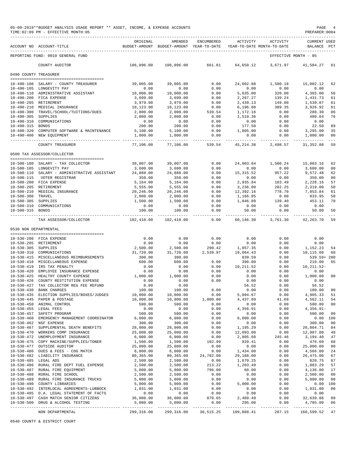|                                          | 05-09-2019**BUDGET ANALYSIS USAGE REPORT ** ASSET, INCOME, & EXPENSE ACCOUNTS<br>TIME: 02:09 PM - EFFECTIVE MONTH: 05 |                                                                                 |                                            |                                             |                       |                                      | PAGE<br>PREPARER: 0004          |                     |
|------------------------------------------|-----------------------------------------------------------------------------------------------------------------------|---------------------------------------------------------------------------------|--------------------------------------------|---------------------------------------------|-----------------------|--------------------------------------|---------------------------------|---------------------|
|                                          | ACCOUNT NO ACCOUNT-TITLE                                                                                              | ORIGINAL<br>BUDGET-AMOUNT BUDGET-AMOUNT YEAR-TO-DATE YEAR-TO-DATE MONTH-TO-DATE | AMENDED                                    | ENCUMBERED                                  | ACTIVITY              | ACTIVITY                             | <b>CURRENT USED</b><br>BALANCE  | $_{\rm PCT}$        |
|                                          | REPORTING FUND: 0010 GENERAL FUND                                                                                     |                                                                                 |                                            |                                             |                       |                                      | EFFECTIVE MONTH - 05            |                     |
|                                          | COUNTY AUDITOR                                                                                                        | 106,896.00                                                                      | 106,896.00                                 | 661.61                                      | 64,650.12             | 3,671.97                             | 41,584.27                       | 61                  |
| 0490 COUNTY TREASURER                    |                                                                                                                       |                                                                                 |                                            |                                             |                       |                                      |                                 |                     |
|                                          | 10-490-100 SALARY - COUNTY TREASURER                                                                                  | 39,005.00                                                                       | 39,005.00                                  | 0.00                                        | 24,002.88             | 1,500.18                             | 15,002.12                       | 62                  |
|                                          | 10-490-105 LONGEVITY PAY                                                                                              | 0.00                                                                            | 0.00                                       | 0.00                                        | 0.00                  | 0.00                                 | 0.00                            |                     |
|                                          | 10-490-110 ADMINISTRATIVE ASSISTANT                                                                                   | 10,000.00                                                                       | 10,000.00                                  | 0.00                                        | 5,635.00              | 320.00                               | 4,365.00                        | 56                  |
|                                          | 10-490-200 FICA EXPENSE<br>10-490-205 RETIREMENT                                                                      | 3,699.00<br>3,979.00                                                            | 3,699.00<br>3,979.00                       | 0.00<br>0.00                                | 2,267.27<br>2,439.13  | 139.24<br>149.80                     | 1,431.73<br>1,539.87            | 61<br>61            |
| 10-490-210                               | MEDICAL INSURANCE                                                                                                     | 10,123.00                                                                       | 10,123.00                                  | 0.00                                        | 6, 196.08             | 389.35                               | 3,926.92                        | 61                  |
| $10 - 490 - 300$                         | TRAVEL/SCHOOL/TUITIONS/DUES                                                                                           | 2,000.00                                                                        | 2,000.00                                   | 539.54                                      | 1,172.16              | 0.00                                 | 288.30                          | 86                  |
| $10 - 490 - 305$                         | SUPPLIES                                                                                                              | 2,000.00                                                                        | 2,000.00                                   | 0.00                                        | 1,519.36              | 0.00                                 | 480.64<br>0.00                  | 76                  |
| $10 - 490 - 315$                         | 10-490-310 COMMUNICATIONS<br><b>BONDS</b>                                                                             | 0.00<br>200.00                                                                  | 0.00<br>200.00                             | 0.00<br>0.00                                | 0.00<br>177.50        | 0.00<br>0.00                         | 22.50                           | 89                  |
| $10 - 490 - 320$                         | COMPUTER SOFTWARE & MAINTENANCE                                                                                       | 5,100.00                                                                        | 5,100.00                                   | 0.00                                        | 1,805.00              | 0.00                                 | 3,295.00                        | 35                  |
|                                          | 10-490-400 NEW EQUIPMENT                                                                                              | 1,000.00                                                                        | 1,000.00<br>-------------                  | 0.00<br>-------------                       | 0.00                  | 0.00<br>                             | 1,000.00<br>-------------       | 00<br>$\frac{1}{2}$ |
|                                          | COUNTY TREASURER                                                                                                      | 77,106.00                                                                       | 77,106.00                                  | 539.54                                      | 45, 214.38            | 2,498.57                             | 31, 352.08                      | 59                  |
|                                          | 0500 TAX ASSESSOR/COLLECTOR                                                                                           |                                                                                 |                                            |                                             |                       |                                      |                                 |                     |
|                                          | 10-500-100 SALARY - TAX COLLECTOR                                                                                     | 39,007.00                                                                       | 39,007.00                                  | 0.00                                        | 24,003.84             | 1,500.24                             | 15,003.16                       | 62                  |
|                                          | 10-500-105 LONGEVITY PAY                                                                                              | 3,600.00                                                                        | 3,600.00                                   | 0.00                                        | 0.00                  | 0.00                                 | 3,600.00                        | 00                  |
| $10 - 500 - 115$                         | 10-500-110 SALARY - ADMINISTRATIVE ASSISTANT<br>VOTER REGISTRAR                                                       | 24,888.00<br>350.00                                                             | 24,888.00<br>350.00                        | 0.00<br>0.00                                | 15,315.52<br>0.00     | 957.22<br>0.00                       | 9,572.48<br>350.00              | 62<br>00            |
|                                          | 10-500-200 FICA EXPENSE                                                                                               | 5,164.00                                                                        | 5,164.00                                   | 0.00                                        | 2,935.84              | 183.49                               | 2,228.16                        | 57                  |
|                                          | 10-500-205 RETIREMENT                                                                                                 | 5,555.00                                                                        | 5,555.00                                   | 0.00                                        | 3,236.00              | 202.25                               | 2,319.00                        | 58                  |
|                                          | 10-500-210 MEDICAL INSURANCE                                                                                          | 20,246.00                                                                       | 20,246.00                                  | 0.00                                        | 12,392.16             | 778.70                               | 7,853.84                        | 61                  |
| 10-500-300 TRAVEL<br>10-500-305 SUPPLIES |                                                                                                                       | 2,000.00<br>1,500.00                                                            | 2,000.00<br>1,500.00                       | 0.00<br>0.00                                | 1,166.05<br>1,046.89  | 0.00<br>139.40                       | 833.95<br>453.11                | 58<br>70            |
|                                          | 10-500-310 COMMUNICATIONS                                                                                             | 0.00                                                                            | 0.00                                       | 0.00                                        | 0.00                  | 0.00                                 | 0.00                            |                     |
| 10-500-315                               | <b>BONDS</b>                                                                                                          | 100.00<br>. _ _ _ _ _ _ _ _ _ _ _ _                                             | 100.00<br>______________                   | 0.00<br>-------------                       | 50.00                 | 0.00<br>____________________________ | 50.00<br>______________         | 50                  |
|                                          | TAX ASSESSOR/COLLECTOR                                                                                                | 102,410.00                                                                      | 102,410.00                                 | 0.00                                        | 60,146.30             | 3,761.30                             | 42, 263.70                      | 59                  |
| 0530 NON DEPARTMENTAL                    |                                                                                                                       |                                                                                 |                                            |                                             |                       |                                      |                                 |                     |
|                                          | 10-530-200 FICA EXPENSE                                                                                               | 0.00                                                                            | 0.00                                       | 0.00                                        | 0.00                  | 0.00                                 | 0.00                            |                     |
|                                          | 10-530-205 RETIREMENT                                                                                                 | 0.00                                                                            | 0.00                                       | 0.00                                        | 0.00                  | 0.00                                 | 0.00                            |                     |
| 10-530-305 SUPPLIES                      |                                                                                                                       | 2,500.00                                                                        | 2,500.00                                   | 290.42                                      | 1,057.35              | 0.00                                 | 1,152.23                        | -54                 |
|                                          | 10-530-310 COMMUNICATIONS<br>10-530-415 MISCELLANEOUS REIMBURSEMENTS                                                  | 31,720.00<br>300.00                                                             | 31,720.00<br>300.00                        | 2,539.97                                    | 19,064.43<br>839.59   | 0.00<br>0.00                         | 10,115.60<br>539.59+ 280        | 68                  |
|                                          | 10-530-418 MISCELLANEOUS EXPENSE                                                                                      | 600.00                                                                          | 600.00                                     | 0.00                                        | 390.00                | 0.00                                 | 210.00                          | 65                  |
|                                          | 10-530-419 IRS TAX PENALTY                                                                                            | 0.00                                                                            | 0.00                                       | 0.00                                        | 10,211.52             | 0.00                                 | 10,211.52-                      |                     |
| $10 - 530 - 420$                         | EMPLOYEE INSURANCE EXPENSE                                                                                            | 0.00                                                                            | 0.00                                       | 0.00                                        | 0.00                  | 0.00                                 | 0.00                            |                     |
|                                          | 10-530-425 HEALTHY COUNTY EXPENSE<br>10-530-426 COUNTY RESTITUTION EXPENSE                                            | 1,000.00<br>0.00                                                                | 1,000.00<br>0.00                           | 0.00<br>0.00                                | 0.00<br>0.00          | 0.00<br>0.00                         | 1,000.00<br>0.00                | 00                  |
|                                          | 10-530-427 TAX COLLECTOR REG FEE REFUND                                                                               | 0.00                                                                            | 0.00                                       |                                             | 56.52                 | 0.00                                 |                                 |                     |
|                                          | 10-530-430 BANK CHARGES                                                                                               | 100.00                                                                          | 100.00                                     | 0.00                                        | 0.00                  | 0.00                                 | $0.52$<br>100.00 00<br>4,905 22 |                     |
|                                          | 10-530-435 ELECTION SUPPLIES/BOXES/JUDGES                                                                             | 10,000.00                                                                       | 10,000.00                                  | 0.00<br>1,000.00                            | 5,094.67              | 0.00                                 |                                 |                     |
|                                          | 10-530-445 PAPER & POSTAGE<br>10-530-450 ANIMAL CONTROL                                                               | 10,000.00<br>500.00                                                             | 10,000.00<br>500.00                        | 0.00                                        | 4,437.89<br>0.00      | $41.00$<br>0.00<br>0.00<br>0.0       | 4,562.11<br>500.00              | 54<br>00            |
|                                          | 10-530-455 LEGAL FEES                                                                                                 | 0.00                                                                            | 0.00                                       | 0.00                                        | 4,356.91              |                                      | $4,356.91-$                     |                     |
|                                          | 10-530-457 SAFETY PROGRAM                                                                                             | 500.00                                                                          | 500.00                                     | 0.00                                        | 0.00                  | 0.00                                 | 500.00                          | 00                  |
|                                          | 10-530-460 EMERGENCY MANAGEMENT COORDINATOR                                                                           | 6,000.00<br>300.00                                                              | 6,000.00                                   | 0.00<br>0.00                                | 6,000.00<br>0.00      | 0.00<br>0.00                         | $0.00$ 100<br>300.00            |                     |
|                                          | 10-530-462 NSF EXPENSE<br>10-530-467 SUPPLEMENTAL DEATH BENEFITS                                                      | 28,000.00                                                                       | 300.00<br>28,000.00                        | 0.00                                        | 1,195.29              | 0.00                                 | 26,804.71                       | 00<br>04            |
|                                          | 10-530-470 WORKERS COMP INSURANCE                                                                                     | 25,000.00                                                                       | 25,000.00                                  | 0.00                                        | 12,093.00             | 0.00                                 | 12,907.00                       | 48                  |
|                                          | 10-530-472 UNEMPLOYMENT INSURANCE                                                                                     | 6,000.00                                                                        | 6,000.00                                   | 0.00                                        | 2,805.60              | 245.46                               | 3,194.40                        | 47                  |
|                                          | 10-530-475 COPY MACHINE/SUPPLIES/TONER                                                                                | 1,500.00<br>25,000.00                                                           | 1,500.00                                   | 102.99                                      | 920.41<br>0.00        | 0.00                                 | 476.60                          | 68                  |
|                                          | 10-530-477 OUTSIDE AUDITOR<br>10-530-480 DUES & FEES - COG MATCH                                                      | 6,000.00                                                                        | 25,000.00<br>6,000.00                      | 0.00<br>0.00                                |                       | 0.00<br>0.00                         | 25,000.00<br>4,566.00           | 00<br>24            |
|                                          | 10-530-482 LIABILITY INSURANCE                                                                                        | 80,365.00                                                                       | 80,365.00                                  | 24,702.00                                   | 1,434.00<br>29,188.00 | 0.00                                 | 26,475.00                       | 67                  |
| 10-530-485 LEGAL ADS                     |                                                                                                                       | 2,500.00                                                                        | 2,500.00                                   | 0.00                                        | 1,679.25              | 0.00                                 | 820.75                          | 67                  |
|                                          | 10-530-486 RURAL FIRE DEPT FUEL EXPENSE                                                                               | 2,500.00                                                                        | 2,500.00                                   | 213.22<br>796.00                            | 1,203.49<br>68.00     | 0.00                                 | 1,083.29                        | 57                  |
|                                          | 10-530-487 RURAL FIRE EQUIPMENT<br>10-530-488 RURAL FIRE SCHOOL                                                       | 5,000.00<br>2,500.00                                                            | 5,000.00<br>2,500.00                       | 0.00                                        | 0.00                  | 0.00<br>0.00                         | 4,136.00 17<br>2,500.00         | 00                  |
|                                          | 10-530-489 RURAL FIRE INSURANCE TRUCKS                                                                                | 5,000.00                                                                        | 5,000.00                                   | 0.00                                        | 0.00                  | 0.00                                 | 5,000.00                        | 00                  |
|                                          | 10-530-490 COUNTY LIBRARIES                                                                                           | 5,000.00                                                                        | 5,000.00                                   | 0.00                                        | 5,000.00              | 0.00                                 |                                 | 0.00 100            |
|                                          | 10-530-492 INTERLOCAL AGREEMENTS-LUBBOCK                                                                              | 1,031.00                                                                        | $1,031.00$<br>$0.00$                       | $\begin{array}{c} 0.00 \\ 0.00 \end{array}$ | 0.00                  | 0.00                                 | 1,031.00                        | 00                  |
|                                          | 10-530-495 D.A. LEGAL STATEMENT OF FACTS<br>10-530-497 CASH MATCH SENIOR CITIZENS                                     | 0.00<br>36,000.00                                                               | 36,000.00                                  | 870.65                                      | 2,489.49              | 0.00<br>0.00                         | 0.00<br>32,639.86               | 09                  |
|                                          | 10-530-500 DRUG & ALCOHOL TESTING                                                                                     | 5,000.00                                                                        | 5,000.00                                   | 0.00                                        | 295.00                | 0.00                                 | 4,705.00                        | 06                  |
|                                          | NON DEPARTMENTAL                                                                                                      |                                                                                 | 299,316.00 299,316.00 30,515.25 109,880.41 |                                             |                       |                                      | 287.15 160,599.52 47            |                     |

0540 COUNTY & DISTRICT COURT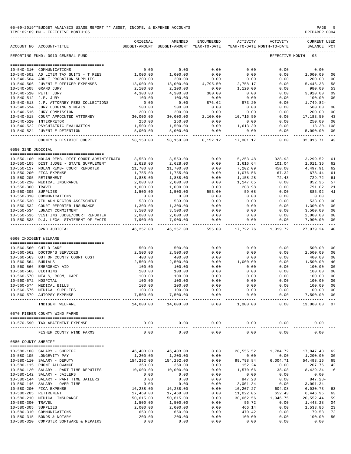|                       | 05-09-2019**BUDGET ANALYSIS USAGE REPORT ** ASSET, INCOME, & EXPENSE ACCOUNTS<br>TIME: 02:09 PM - EFFECTIVE MONTH: 05 |                       |                                                     |                      |                       |                                        | PAGE<br>PREPARER: 0004      |                |
|-----------------------|-----------------------------------------------------------------------------------------------------------------------|-----------------------|-----------------------------------------------------|----------------------|-----------------------|----------------------------------------|-----------------------------|----------------|
|                       | ACCOUNT NO ACCOUNT-TITLE                                                                                              | ORIGINAL              | AMENDED<br>BUDGET-AMOUNT BUDGET-AMOUNT YEAR-TO-DATE | ENCUMBERED           | ACTIVITY              | ACTIVITY<br>YEAR-TO-DATE MONTH-TO-DATE | CURRENT USED<br>BALANCE PCT |                |
|                       | REPORTING FUND: 0010 GENERAL FUND                                                                                     |                       |                                                     |                      |                       |                                        | EFFECTIVE MONTH - 05        |                |
|                       |                                                                                                                       |                       |                                                     |                      |                       |                                        |                             |                |
|                       | 10-540-310 COMMUNICATIONS                                                                                             | 0.00                  | 0.00                                                | 0.00                 | 0.00                  | 0.00                                   | 0.00                        |                |
|                       | 10-540-502 AD LITEM TAX SUITS - T REES                                                                                | 1,000.00              | 1,000.00                                            | 0.00                 | 0.00                  | 0.00                                   | 1,000.00                    | 0 <sup>0</sup> |
|                       | 10-540-504 ADULT PROBATION SUPPLIES                                                                                   | 200.00                | 200.00                                              | 0.00                 | 0.00<br>2,758.17      | 0.00                                   | 200.00                      | 00             |
|                       | 10-540-506 JUVENILE OFFICER EXPENSES<br>10-540-508 GRAND JURY                                                         | 13,000.00<br>2,100.00 | 13,000.00<br>2,100.00                               | 4,795.50<br>0.00     | 1,120.00              | 0.00<br>0.00                           | 5,446.33<br>980.00          | 58<br>53       |
|                       | 10-540-510 PETIT JURY                                                                                                 | 4,300.00              | 4,300.00                                            | 380.00               | 0.00                  | 0.00                                   | 3,920.00                    | 09             |
| 10-540-512 J.P. JURY  |                                                                                                                       | 100.00                | 100.00                                              | 0.00                 | 0.00                  | 0.00                                   | 100.00                      | 0 <sub>0</sub> |
|                       | 10-540-513 J.P. ATTORNEY FEES COLLECTIONS                                                                             | 0.00                  | 0.00                                                | 876.62               | 873.20                | 0.00                                   | 1,749.82-                   |                |
|                       | 10-540-514 JURY LODGING & MEALS                                                                                       | 500.00                | 500.00                                              | 0.00                 | 0.00                  | 0.00                                   | 500.00                      | 0 <sub>0</sub> |
|                       | 10-540-516 JURY COMMISSION                                                                                            | 200.00                | 200.00                                              | 0.00                 | 0.00                  | 0.00                                   | 200.00                      | 00<br>43       |
|                       | 10-540-518 COURT APPOINTED ATTORNEY<br>10-540-520 INTERPRETOR                                                         | 30,000.00<br>250.00   | 30,000.00<br>250.00                                 | 2,100.00<br>0.00     | 10,716.50<br>0.00     | 0.00<br>0.00                           | 17,183.50<br>250.00         | 00             |
|                       | 10-540-522 PSYCHIATRIC EVALUATION                                                                                     | 1,500.00              | 1,500.00                                            | 0.00                 | 1,613.30              | 0.00                                   | $113.30 - 108$              |                |
|                       | 10-540-524 JUVENILE DETENTION                                                                                         | 5,000.00              | 5,000.00                                            | 0.00                 | 0.00                  | 0.00                                   | 5,000.00                    | 00             |
|                       | COUNTY & DISTRICT COURT                                                                                               | 58,150.00             | 58,150.00                                           | 8,152.12             | 17,081.17             | -----<br>0.00                          | 32,916.71                   | 43             |
| 0550 32ND JUDICIAL    |                                                                                                                       |                       |                                                     |                      |                       |                                        |                             |                |
|                       |                                                                                                                       |                       |                                                     |                      |                       |                                        |                             |                |
|                       | 10-550-100 NOLAN REMB- DIST COURT ADMINISTRATO                                                                        | 8,553.00              | 8,553.00                                            | 0.00                 | 5, 253.48             | 328.93                                 | 3,299.52                    | 61             |
|                       | 10-550-105 DIST JUDGE - STATE SUPPLEMENT                                                                              | 2,628.00              | 2,628.00                                            | 0.00                 | 1,616.64              | 101.04                                 | 1,011.36                    | 62             |
|                       | 10-550-117 NOLAN REMB- COURT REPORTER                                                                                 | 11,700.00             | 11,700.00                                           | 0.00                 | 7,202.09              | 450.00                                 | 4,497.91                    | 62             |
|                       | 10-550-200 FICA EXPENSE                                                                                               | 1,755.00<br>1,888.00  | 1,755.00<br>1,888.00                                | 0.00                 | 1,076.56              | 67.32                                  | 678.44                      | 61<br>61       |
|                       | 10-550-205 RETIREMENT<br>10-550-210 MEDICAL INSURANCE                                                                 | 2,000.00              | 2,000.00                                            | 0.00<br>0.00         | 1,158.28<br>1,147.65  | 72.43<br>0.00                          | 729.72<br>852.35            | 57             |
| 10-550-300 TRAVEL     |                                                                                                                       | 1,000.00              | 1,000.00                                            | 0.00                 | 208.98                | 0.00                                   | 791.02                      | 21             |
| 10-550-305 SUPPLIES   |                                                                                                                       | 1,500.00              | 1,500.00                                            | 555.00               | 59.08                 | 0.00                                   | 885.92                      | 41             |
|                       | 10-550-310 COMMUNICATIONS                                                                                             | 0.00                  | 0.00                                                | 0.00                 | 0.00                  | 0.00                                   | 0.00                        |                |
|                       | 10-550-530 7TH ADM REGION ASSESSMENT                                                                                  | 533.00                | 533.00                                              | 0.00                 | 0.00                  | 0.00                                   | 533.00                      | 0 <sub>0</sub> |
|                       | 10-550-532 COURT REPORTER INSURANCE                                                                                   | 1,300.00              | 1,300.00                                            | 0.00                 | 0.00                  | 0.00                                   | 1,300.00                    | 00             |
|                       | 10-550-534 LUNACY COMMITMENT                                                                                          | 3,500.00              | 3,500.00                                            | 0.00                 | 0.00                  | 0.00                                   | 3,500.00                    | 0 <sub>0</sub> |
|                       | 10-550-536 VISITING JUDGE/COURT REPORTER<br>10-550-538 D.J. LEGAL STATEMENT OF FACTS                                  | 2,000.00<br>7,900.00  | 2,000.00<br>7,900.00                                | 0.00<br>0.00         | 0.00<br>0.00          | 0.00<br>0.00                           | 2,000.00<br>7,900.00        | 00<br>00       |
|                       | 32ND JUDICIAL                                                                                                         | 46,257.00             | 46,257.00                                           | 555.00               | 17,722.76             | 1,019.72                               | 27,979.24                   | $---$<br>40    |
| 0560 INDIGENT WELFARE |                                                                                                                       |                       |                                                     |                      |                       |                                        |                             |                |
|                       |                                                                                                                       |                       |                                                     |                      |                       |                                        |                             |                |
|                       | 10-560-560 CHILD CARE                                                                                                 | 500.00                | 500.00                                              | 0.00                 | 0.00                  | 0.00                                   | 500.00                      | 00             |
|                       | 10-560-562 DOCTOR'S SERVICES                                                                                          | 2,500.00              | 2,500.00                                            | 0.00                 | 0.00                  | 0.00                                   | 2,500.00                    | 0 <sub>0</sub> |
|                       | 10-560-563 OUT OF COUNTY COURT COST                                                                                   | 400.00                | 400.00                                              | 0.00                 | 0.00                  | 0.00                                   | 400.00                      | 00             |
| 10-560-564 BURIALS    |                                                                                                                       | 2,500.00              | 2,500.00                                            | 0.00                 | 1,000.00              | 0.00                                   | 1,500.00<br>100.00          | 40<br>00       |
| 10-560-568 CLOTHING   | 10-560-566 EMERGENCY AID                                                                                              | 100.00<br>100.00      | 100.00<br>100.00                                    | 0.00<br>0.00         | 0.00<br>0.00          | 0.00<br>0.00                           | 100.00                      | 0 <sub>0</sub> |
| $10 - 560 - 570$      | MEALS, ROOM, CARE                                                                                                     | 100.00                | 100.00                                              | 0.00                 | 0.00                  | 0.00                                   | 100.00                      | 0 <sub>0</sub> |
| 10-560-572 HOSPITAL   |                                                                                                                       | 100.00                | 100.00                                              | 0.00                 | 0.00                  | 0.00                                   | 100.00                      | 0 <sub>0</sub> |
|                       | 10-560-574 MEDICAL BILLS                                                                                              | 100.00                | 100.00                                              | 0.00                 | 0.00                  | 0.00                                   | 100.00                      | 00             |
|                       | 10-560-576 MEDICAL SUPPLIES                                                                                           | 100.00                | 100.00                                              | 0.00                 | 0.00                  | 0.00                                   | 100.00                      | 0 <sub>0</sub> |
|                       | 10-560-579 AUTOPSY EXPENSE                                                                                            | 7,500.00              | 7,500.00<br>-------------                           | 0.00<br>------------ | 0.00                  | 0.00<br>----------                     | 7,500.00<br>-------------   | 0 <sub>0</sub> |
|                       | INDIGENT WELFARE                                                                                                      | 14,000.00             | 14,000.00                                           | 0.00                 | 1,000.00              | 0.00                                   | 13,000.00                   | 07             |
|                       | 0570 FISHER COUNTY WIND FARMS                                                                                         |                       |                                                     |                      |                       |                                        |                             |                |
|                       | 10-570-590 TAX ABATEMENT EXPENSE                                                                                      | 0.00                  | 0.00<br>---------                                   | 0.00<br>------       | 0.00                  | 0.00                                   | 0.00                        |                |
|                       | FISHER COUNTY WIND FARMS                                                                                              | 0.00                  | 0.00                                                | 0.00                 | 0.00                  | 0.00                                   | 0.00                        |                |
| 0580 COUNTY SHERIFF   |                                                                                                                       |                       |                                                     |                      |                       |                                        |                             |                |
|                       | 10-580-100 SALARY - SHERIFF                                                                                           | 46,403.00             | 46,403.00                                           | 0.00                 | 28,555.52             | 1,784.72                               | 17,847.48                   | 62             |
|                       | 10-580-105 LONGEVITY PAY                                                                                              | 1,200.00              | 1,200.00                                            | 0.00                 | 0.00                  | 0.00                                   | 1,200.00                    | 0 <sub>0</sub> |
|                       | 10-580-110 SALARY - DEPUTY                                                                                            | 154,292.00            | 154,292.00                                          | 0.00                 | 99,798.84             | 6,004.71                               | 54,493.16                   | 65             |
|                       | 10-580-115 PHONE ALLOWANCE                                                                                            | 360.00                | 360.00                                              | 0.00                 | 152.24                | 0.00                                   | 207.76                      | 42             |
|                       | 10-580-120 SALARY - PART TIME DEPUTIES                                                                                | 10,000.00             | 10,000.00                                           | 0.00                 | 1,570.66              | 138.08                                 | 8,429.34                    | 16             |
|                       | 10-580-142 SALARY - JAILERS                                                                                           | 0.00                  | 0.00                                                | 0.00                 | 0.00                  | 0.00                                   | 0.00                        |                |
|                       | 10-580-144 SALARY - PART TIME JAILERS                                                                                 | 0.00                  | 0.00                                                | 0.00                 | 847.28                | 0.00                                   | $847.28 -$                  |                |
|                       | 10-580-146 SALARY - OVER TIME<br>10-580-200 FICA EXPENSE                                                              | 0.00<br>16,238.00     | 0.00<br>16,238.00                                   | 0.00<br>0.00         | 3,001.34<br>10,207.27 | 0.00<br>604.08                         | $3,001.34-$<br>6,030.73     | 63             |
|                       | 10-580-205 RETIREMENT                                                                                                 | 17,469.00             | 17,469.00                                           | 0.00                 | 11,022.05             | 652.43                                 | 6,446.95                    | 63             |
|                       | 10-580-210 MEDICAL INSURANCE                                                                                          | 50,615.00             | 50,615.00                                           | 0.00                 | 30,062.56             | 1,946.75                               | 20,552.44                   | 59             |
| 10-580-300 TRAVEL     |                                                                                                                       | 1,500.00              | 1,500.00                                            | 0.00                 | 56.72                 | 0.00                                   | 1,443.28                    | 04             |
| 10-580-305 SUPPLIES   |                                                                                                                       | 2,000.00              | 2,000.00                                            | 0.00                 | 466.14                | 0.00                                   | 1,533.86                    | 23             |
| 10-580-310            | COMMUNICATIONS                                                                                                        | 650.00                | 650.00                                              | 0.00                 | 470.42                | 0.00                                   | 179.58                      | 72             |
| 10-580-320            | 10-580-315 BONDS & NOTARY<br>COMPUTER SOFTWARE & REPAIRS                                                              | 200.00<br>0.00        | 200.00<br>0.00                                      | 0.00<br>0.00         | 100.00<br>0.00        | 0.00<br>0.00                           | 100.00<br>0.00              | 50             |
|                       |                                                                                                                       |                       |                                                     |                      |                       |                                        |                             |                |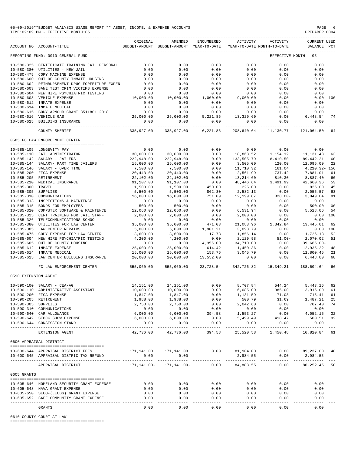|                      | 05-09-2019**BUDGET ANALYSIS USAGE REPORT ** ASSET, INCOME, & EXPENSE ACCOUNTS<br>TIME: 02:09 PM - EFFECTIVE MONTH: 05 |                       |                                                                                |                        |                          |                           | PAGE<br>PREPARER: 0004        | -6       |
|----------------------|-----------------------------------------------------------------------------------------------------------------------|-----------------------|--------------------------------------------------------------------------------|------------------------|--------------------------|---------------------------|-------------------------------|----------|
|                      | ACCOUNT NO ACCOUNT-TITLE                                                                                              | ORIGINAL              | AMENDED<br>BUDGET-AMOUNT BUDGET-AMOUNT YEAR-TO-DATE YEAR-TO-DATE MONTH-TO-DATE | ENCUMBERED             | ACTIVITY                 | ACTIVITY                  | CURRENT USED<br>BALANCE PCT   |          |
|                      | REPORTING FUND: 0010 GENERAL FUND                                                                                     |                       |                                                                                |                        |                          |                           | EFFECTIVE MONTH - 05          |          |
|                      | 10-580-325 CERTIFICATE TRAINING JAIL PERSONAL                                                                         | 0.00                  | 0.00                                                                           | 0.00                   | 0.00                     | 0.00                      | 0.00                          |          |
|                      | 10-580-380 UTILITIES - NEW JAIL                                                                                       | 0.00                  | 0.00                                                                           | 0.00                   | 0.00                     | 0.00                      | 0.00                          |          |
|                      | 10-580-475 COPY MACHINE EXPENSE                                                                                       | 0.00                  | 0.00                                                                           | 0.00                   | 0.00                     | 0.00                      | 0.00                          |          |
|                      | 10-580-600 OUT OF COUNTY INMATE HOUSING<br>10-580-602 REIMBURSEMENT DRUG FORFEITURE EXPEN                             | 0.00<br>0.00          | 0.00<br>0.00                                                                   | 0.00<br>0.00           | 0.00<br>0.00             | 0.00<br>0.00              | 0.00<br>0.00                  |          |
| $10 - 580 - 603$     | SANE TEST CRIM VICTIMS EXPENSE                                                                                        | 0.00                  | 0.00                                                                           | 0.00                   | 0.00                     | 0.00                      | 0.00                          |          |
|                      | 10-580-604 NEW HIRE PSYCHIATRIC TESTING                                                                               | 0.00                  | 0.00                                                                           | 0.00                   | 0.00                     | 0.00                      | 0.00                          |          |
|                      | 10-580-608 VEHICLE EXPENSE                                                                                            | 10,000.00             | 10,000.00                                                                      | 1,000.00               | 9,000.00                 | 0.00                      | 0.00                          | 100      |
|                      | 10-580-612 INMATE EXPENSE                                                                                             | 0.00                  | 0.00                                                                           | 0.00                   | 0.00                     | 0.00                      | 0.00                          |          |
|                      | 10-580-614 INMATE MEDICAL                                                                                             | 0.00                  | 0.00                                                                           | 0.00                   | 0.00                     | 0.00                      | 0.00                          |          |
|                      | 10-580-615 BODY ARMOUR GRANT 3511801 2018                                                                             | 0.00                  | 0.00                                                                           | 0.00                   | 0.00                     | 0.00                      | 0.00                          | 74       |
|                      | 10-580-616 VEHICLE GAS<br>10-580-625 BUILDING INSURANCE                                                               | 25,000.00<br>0.00     | 25,000.00<br>0.00                                                              | 5,221.86<br>0.00       | 13,329.60<br>0.00        | 0.00<br>0.00              | 6,448.54<br>0.00              |          |
|                      | COUNTY SHERIFF                                                                                                        | 335,927.00            | -----------<br>335,927.00                                                      | ----------<br>6,221.86 | 208,640.64               | ------------<br>11,130.77 | -----------<br>121,064.50     | 64       |
|                      |                                                                                                                       |                       |                                                                                |                        |                          |                           |                               |          |
|                      | 0585 FC LAW ENFORCEMENT CENTER                                                                                        |                       |                                                                                |                        |                          |                           |                               |          |
|                      | 10-585-105 LONGEVITY PAY                                                                                              | 0.00                  | 0.00                                                                           | 0.00                   |                          | $0.00$ 0.00               | 0.00                          |          |
|                      | 10-585-110 JAIL ADMINISTRATOR                                                                                         | 30,000.00             | 30,000.00                                                                      | 0.00                   |                          | 18,868.52 1,154.12        | 11, 131.48                    | 63       |
|                      | 10-585-142 SALARY - JAILERS<br>10-585-144 SALARY- PART TIME JAILERS                                                   | 222,948.00            | 222,948.00                                                                     | 0.00                   | 133,505.79<br>3.505.00   | 8,410.50                  | 89,442.21                     | 60       |
|                      | 10-585-146 SALARY - OVER TIME                                                                                         | 15,600.00<br>7,500.00 | 15,600.00<br>7,500.00                                                          | 0.00<br>0.00           | 11,710.32                | 120.00                    | 12,095.00<br>4,210.32- 156    | 22       |
|                      | 10-585-200 FICA EXPENSE                                                                                               | 20,443.00             | 20,443.00                                                                      | 0.00                   | 12,561.99                | 161.04<br>737.42          | 7,881.01                      | 61       |
|                      | 10-585-205 RETIREMENT                                                                                                 | 22,102.00             | 22,102.00                                                                      | 0.00                   | 13,214.60                |                           | 8,887.40                      | 60       |
|                      | 10-585-210 MEDICAL INSURANCE                                                                                          | 91,107.00             | 91,107.00                                                                      | 0.00                   | 48,446.64                | $810.30$<br>3,491.99      | 42,660.36                     | 53       |
| 10-585-300 TRAVEL    |                                                                                                                       | 1,500.00              | 1,500.00                                                                       | 450.00                 | 225.00                   | 0.00                      | 825.00                        | 45       |
| 10-585-305 SUPPLIES  |                                                                                                                       | 5,500.00              | 5,500.00                                                                       | 862.30                 | 2,582.13                 | 0.00                      | 2,055.57                      | 63       |
| 10-585-310           | COMMUNICATIONS                                                                                                        | 16,000.00             | 16,000.00                                                                      | 751.09                 |                          | $12,199.87$ $828.00-$     | 3,049.04                      | 81       |
| 10-585-315           | 10-585-313 INSPECTIONS & MAINTENCE<br>BONDS FOR EMPLOYEES                                                             | 0.00<br>500.00        | 0.00<br>500.00                                                                 | 0.00<br>0.00           | 0.00<br>0.00             | 0.00<br>0.00              | 0.00<br>500.00                | 00       |
| $10 - 585 - 320$     | COMPUTER SOFTWARE & MAINTENCE                                                                                         | 12,060.00             | 12,060.00                                                                      | 0.00                   | 6,531.94                 |                           | $0.00$ 5,528.06               | 54       |
| $10 - 585 - 325$     | CERT TRAINING FOR JAIL STAFF                                                                                          | 2,000.00              | 2,000.00                                                                       | 0.00                   | 2,000.00                 | 0.00                      | 0.00                          | 100      |
| $10 - 585 - 326$     | TELECOMMUNICATIONS SCHOOL                                                                                             | 0.00                  | 0.00                                                                           | $0.00$<br>471.03       | 0.00                     | 0.00                      | 0.00                          |          |
| 10-585-380           | UTILITIES FOR LAW CENTER                                                                                              | 35,000.00             | 35,000.00                                                                      |                        |                          | 21,083.96 1,342.84        | 13,445.01                     | 62       |
|                      | 10-585-385 LAW CENTER REPAIRS                                                                                         | 5,000.00              | 5,000.00                                                                       | 1,901.21               | 3,098.79                 | 0.00                      |                               | 0.00 100 |
| 10-585-475           | COPY EXPENSE FOR LAW CENTER                                                                                           | 3,600.00              | 3,600.00                                                                       | 17.73                  | 1,856.14                 | 0.00                      | 1,726.13                      | 52       |
|                      | 10-585-604 NEW HIRE PSYCHIATRIC TESTING<br>10-585-605 OUT OF COUNTY HOUSING                                           | 4,200.00<br>0.00      | 4,200.00<br>0.00                                                               | 0.00<br>4,955.00       | 2,129.98<br>34,710.00    | $51.00 -$<br>0.00         | 2,070.02<br>$39,665.00 -$     | 51       |
|                      | 10-585-612 INMATE EXPENSE                                                                                             | 25,000.00             | 25,000.00                                                                      | 614.42                 | 11,450.36                | 0.00                      | 12,935.22                     | 48       |
|                      | 10-585-614 INMATE MEDICAL                                                                                             | 15,000.00             | 15,000.00                                                                      | 153.76                 | 3,045.79                 | 0.00                      | 11,800.45 21                  |          |
|                      | 10-585-625 LAW CENTER BUILDING INSURANCE                                                                              | 20,000.00             | 20,000.00                                                                      | 13,552.00              | 0.00                     | 0.00                      | 6.448.00                      | 68       |
|                      | FC LAW ENFORCEMENT CENTER                                                                                             | 555,060.00            | 555,060.00                                                                     |                        | 23,728.54 342,726.82     | 15,349.21                 | 188,604.64 66                 |          |
| 0590 EXTENSION AGENT |                                                                                                                       |                       |                                                                                |                        |                          |                           |                               |          |
|                      |                                                                                                                       |                       |                                                                                |                        |                          |                           |                               |          |
|                      | 10-590-100 SALARY - CEA-AG                                                                                            | 14,151.00             | 14,151.00                                                                      | 0.00                   | 8,707.84                 | 544.24                    | 5,443.16                      | 62       |
|                      | 10-590-110 ADMINISTRATIVE ASSISTANT<br>10-590-200 FICA EXPENSE                                                        | 10,000.00<br>1,847.00 | 10,000.00<br>1,847.00                                                          | 0.00<br>0.00           | 6,085.00<br>1,131.59     | 385.00<br>71.08           | 3,915.00<br>715.41            | 61<br>61 |
|                      | 10-590-205 RETIREMENT                                                                                                 | 1,988.00              | 1,988.00                                                                       | 0.00                   | 500.79                   | 31.69                     | 1,487.21                      | 25       |
| 10-590-305 SUPPLIES  |                                                                                                                       | 2,750.00              | 2,750.00                                                                       | 0.00                   | 2,042.60                 | 0.00                      | 707.40                        | 74       |
|                      | 10-590-310 COMMUNICATIONS                                                                                             | 0.00                  | 0.00                                                                           | 0.00                   | 0.00                     | 0.00                      | 0.00                          |          |
|                      | 10-590-640 CAR ALLOWANCE                                                                                              | 6,000.00              | 6,000.00                                                                       | 394.58                 | 1,553.27                 | 0.00                      | 4,052.15                      | 32       |
|                      | 10-590-642 STOCK SHOW EXPENSE<br>10-590-644 CONSESSION STAND                                                          | 6,000.00<br>0.00      | 6,000.00<br>0.00                                                               | 0.00<br>0.00           | 5,499.49<br>0.00         | 418.47<br>0.00            | 500.51<br>0.00                | 92       |
|                      | --------------------------------                                                                                      | ---------             | <u>__________</u><br>42,736.00                                                 | -----------<br>394.58  | -----------<br>25,520.58 | ------------<br>1,450.48  | -------------<br>16,820.84 61 |          |
|                      | EXTENSION AGENT                                                                                                       | 42,736.00             |                                                                                |                        |                          |                           |                               |          |
|                      | 0600 APPRAISAL DISTRICT                                                                                               |                       |                                                                                |                        |                          |                           |                               |          |
|                      | 10-600-644 APPRAISAL DISTRICT FEES                                                                                    |                       | 171, 141.00 171, 141.00                                                        | 0.00                   | 81,904.00                |                           | $0.00$ $89,237.00$ 48         |          |
|                      | 10-600-645 APPRAISAL DISTRIC TAX REFUND                                                                               | 0.00<br>-----------   | 0.00                                                                           |                        | 2,984.55<br>----------   | 0.00<br>----- --          | 2,984.55                      |          |
|                      | APPRAISAL DISTRICT                                                                                                    |                       | 171, 141.00 - 171, 141.00 -                                                    | 0.00                   | 84,888.55                | 0.00                      | 86, 252. 45+ 50               |          |
| 0605 GRANTS          |                                                                                                                       |                       |                                                                                |                        |                          |                           |                               |          |
|                      |                                                                                                                       |                       |                                                                                |                        |                          |                           |                               |          |
|                      | 10-605-646 HOMELAND SECURITY GRANT EXPENSE                                                                            | 0.00                  | 0.00                                                                           | 0.00                   | 0.00                     | 0.00                      | 0.00                          |          |
|                      | 10-605-648 HAVA GRANT EXPENSE                                                                                         | 0.00<br>0.00          | 0.00                                                                           | 0.00                   | 0.00                     | 0.00                      | 0.00                          |          |
|                      | 10-605-650 SECO-(EECBG) GRANT EXPENSE<br>10-605-652 SAFE COMMUNITY GRANT EXPENSE                                      | 0.00                  | 0.00<br>0.00                                                                   | 0.00<br>0.00           | 0.00<br>0.00             | 0.00<br>0.00              | 0.00<br>0.00                  |          |
|                      |                                                                                                                       |                       |                                                                                |                        |                          |                           |                               |          |
|                      | <b>GRANTS</b>                                                                                                         | 0.00                  | 0.00                                                                           | 0.00                   | 0.00                     | 0.00                      | 0.00                          |          |

0610 COUNTY COURT AT LAW

========================================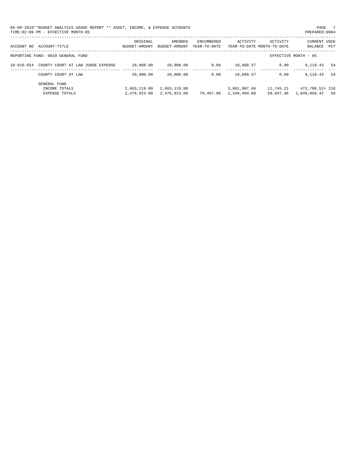| 05-09-2019**BUDGET ANALYSIS USAGE REPORT ** ASSET, INCOME, & EXPENSE ACCOUNTS<br>TIME: 02:09 PM - EFFECTIVE MONTH: 05 |           |         |                   |                                                                                 |          | PAGE<br>PREPARER: 0004      |
|-----------------------------------------------------------------------------------------------------------------------|-----------|---------|-------------------|---------------------------------------------------------------------------------|----------|-----------------------------|
| ACCOUNT NO ACCOUNT-TITLE                                                                                              | OR TGTNAL | AMENDED | <b>ENCUMBERED</b> | ACTIVITY<br>BUDGET-AMOUNT BUDGET-AMOUNT YEAR-TO-DATE YEAR-TO-DATE MONTH-TO-DATE | ACTIVITY | CURRENT USED<br>BALANCE PCT |

| ACCOUNT-TITLE<br>ACCOUNT NO                            | ORIGINAL<br>BUDGET-AMOUNT    | AMENDED<br>BUDGET-AMOUNT     | ENCUMBERED<br>YEAR-TO-DATE | ACTIVITY                     | ACTIVITY<br>YEAR-TO-DATE MONTH-TO-DATE | <b>CURRENT USED</b><br>BALANCE<br>PCT |
|--------------------------------------------------------|------------------------------|------------------------------|----------------------------|------------------------------|----------------------------------------|---------------------------------------|
| REPORTING FUND: 0010 GENERAL FUND                      |                              |                              |                            |                              |                                        | EFFECTIVE MONTH - 05                  |
| COUNTY COURT AT LAW JUDGE EXPENSE<br>10-610-654        | 20,000.00                    | 20,000.00                    | 0.00                       | 10,880.57                    | 0.00                                   | -54<br>9,119.43                       |
| COUNTY COURT AT LAW                                    | 20,000.00                    | 20,000.00                    | 0.00                       | 10,880.57                    | 0.00                                   | 9, 119, 43<br>-54                     |
| GENERAL FUND<br>INCOME TOTALS<br><b>EXPENSE TOTALS</b> | 2,603,119.00<br>2,476,923.00 | 2,603,119.00<br>2,476,923.00 | 79,467.90                  | 3,081,907.66<br>1,348,404.68 | 11,745.21<br>58,047.46                 | 472,706.52+ 118<br>1,049,050.42<br>58 |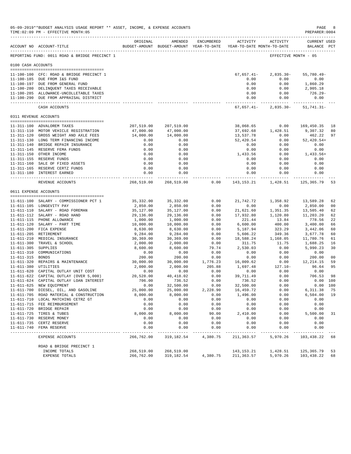|                     | 05-09-2019**BUDGET ANALYSIS USAGE REPORT ** ASSET, INCOME, & EXPENSE ACCOUNTS<br>TIME: 02:09 PM - EFFECTIVE MONTH: 05 |                       |                                                                                |                  |                      |                                        | PAGE<br>PREPARER: 0004             | 8                    |
|---------------------|-----------------------------------------------------------------------------------------------------------------------|-----------------------|--------------------------------------------------------------------------------|------------------|----------------------|----------------------------------------|------------------------------------|----------------------|
|                     | ACCOUNT NO ACCOUNT-TITLE                                                                                              | ORIGINAL              | AMENDED<br>BUDGET-AMOUNT BUDGET-AMOUNT YEAR-TO-DATE YEAR-TO-DATE MONTH-TO-DATE | ENCUMBERED       | ACTIVITY             | ACTIVITY                               | <b>CURRENT USED</b><br>BALANCE PCT |                      |
|                     | REPORTING FUND: 0011 ROAD & BRIDGE PRECINCT 1                                                                         |                       |                                                                                |                  |                      | EFFECTIVE MONTH - 05                   |                                    |                      |
| 0100 CASH ACCOUNTS  |                                                                                                                       |                       |                                                                                |                  |                      |                                        |                                    |                      |
|                     |                                                                                                                       |                       |                                                                                |                  |                      |                                        |                                    |                      |
|                     | 11-100-100 CFC: ROAD & BRIDGE PRECINCT 1<br>11-100-185 DUE FROM I&S FUND                                              |                       |                                                                                |                  | $67,657.41-$<br>0.00 | $2,835.30-$<br>0.00                    | $55,780.49 -$<br>0.00              |                      |
|                     | 11-100-197 DUE FROM GENERAL FUND                                                                                      |                       |                                                                                |                  | 0.00                 | 0.00                                   | 1,860.29                           |                      |
|                     | 11-100-280 DELINQUENT TAXES RECEIVABLE                                                                                |                       |                                                                                |                  | 0.00                 | 0.00                                   | 2,905.18                           |                      |
|                     | 11-100-285 ALLOWANCE-UNCOLLETABLE TAXES                                                                               |                       |                                                                                |                  | 0.00                 | 0.00                                   | 726.29-                            |                      |
|                     | 11-100-290 DUE FROM APPRAISAL DISTRICT                                                                                |                       |                                                                                |                  | 0.00<br>.            | 0.00<br>. _ _ _ _ _ _ _ _ _ _          | 0.00                               |                      |
|                     | CASH ACCOUNTS                                                                                                         |                       |                                                                                |                  | 67,657.41-           | $2,835.30-$                            | 51,741.31-                         |                      |
|                     | 0311 REVENUE ACCOUNTS                                                                                                 |                       |                                                                                |                  |                      |                                        |                                    |                      |
|                     | 11-311-100 ADVALOREM TAXES                                                                                            | 207,519.00            | 207,519.00                                                                     |                  | 38,068.65            | 0.00                                   | 169,450.35                         | 18                   |
|                     | 11-311-110 MOTOR VEHICLE REGISTRATION                                                                                 | 47,000.00             | 47,000.00                                                                      |                  | 37,692.68            | 1,428.51                               | 9,307.32                           | 80                   |
|                     | 11-311-120 GROSS WEIGHT AND AXLE FEES                                                                                 | 14,000.00             | 14,000.00                                                                      |                  | 13,537.78            | 0.00                                   | 462.22                             | 97                   |
|                     | 11-311-130 LONG TERM FINANCING INCOME                                                                                 | 0.00                  | 0.00                                                                           |                  | 52,420.54            | 0.00                                   | $52,420.54+$                       |                      |
|                     | 11-311-140 BRIDGE REPAIR INSURANCE                                                                                    | 0.00                  | 0.00                                                                           |                  | 0.00                 | 0.00                                   | 0.00                               |                      |
|                     | 11-311-145 RESERVE FEMA FUNDS                                                                                         | 0.00                  | 0.00                                                                           |                  | 0.00                 | 0.00                                   | 0.00                               |                      |
|                     | 11-311-150 OTHER INCOME                                                                                               | 0.00                  | 0.00                                                                           |                  | 1,433.56             | 0.00                                   | $1,433.56+$                        |                      |
|                     | 11-311-155 RESERVE FUNDS                                                                                              | 0.00                  | 0.00                                                                           |                  | 0.00                 | 0.00                                   | 0.00                               |                      |
|                     | 11-311-160 SALE OF FIXED ASSETS                                                                                       | 0.00                  | 0.00                                                                           |                  | 0.00                 | 0.00                                   | 0.00                               |                      |
|                     | 11-311-165 RESERVE CERTZ FUNDS                                                                                        | 0.00                  | 0.00                                                                           |                  | 0.00                 | 0.00                                   | 0.00                               |                      |
|                     | 11-311-180 INTEREST EARNED                                                                                            | 0.00                  | 0.00<br>------------                                                           |                  | 0.00                 | 0.00<br>______________________________ | 0.00<br>. _ _ _ _ _ _ _ _ _ _ _ _  |                      |
|                     | REVENUE ACCOUNTS                                                                                                      | 268,519.00            | 268,519.00                                                                     | 0.00             | 143, 153. 21         | 1,428.51                               | 125,365.79                         | 53                   |
|                     | 0611 EXPENSE ACCOUNTS                                                                                                 |                       |                                                                                |                  |                      |                                        |                                    |                      |
|                     |                                                                                                                       |                       |                                                                                |                  |                      |                                        |                                    |                      |
|                     | 11-611-100 SALARY - COMMISSIONER PCT 1<br>11-611-105 LONGEVITY PAY                                                    | 35,332.00<br>2,850.00 | 35,332.00<br>2,850.00                                                          | 0.00<br>0.00     | 21,742.72<br>0.00    | 1,358.92<br>0.00                       | 13,589.28<br>2,850.00              | 62<br>0 <sub>0</sub> |
|                     | 11-611-110 SALARY - ROAD FOREMAN                                                                                      | 35,127.00             | 35,127.00                                                                      | 0.00             | 21,621.60            | 1,351.35                               | 13,505.40                          | 62                   |
|                     | 11-611-112 SALARY - ROAD HAND                                                                                         | 29,136.00             | 29,136.00                                                                      | 0.00             | 17,932.80            | 1,120.80                               | 11,203.20                          | 62                   |
|                     | 11-611-115 PHONE ALLOWANCE                                                                                            | 1,000.00              | 1,000.00                                                                       | 0.00             | 221.44               | 13.84                                  | 778.56                             | 22                   |
|                     | 11-611-120 SALARY - PART TIME                                                                                         | 10,000.00             | 10,000.00                                                                      | 0.00             | 6,600.00             | 400.00                                 | 3,400.00                           | 66                   |
|                     | 11-611-200 FICA EXPENSE                                                                                               | 8,630.00              | 8,630.00                                                                       | 0.00             | 5,187.94             | 323.29                                 | 3,442.06                           | 60                   |
|                     | 11-611-205 RETIREMENT                                                                                                 | 9,284.00              | 9,284.00                                                                       | 0.00             | 5,606.22             | 349.36                                 | 3,677.78                           | 60                   |
|                     | 11-611-210 MEDICAL INSURANCE                                                                                          | 30,369.00             | 30,369.00                                                                      | 0.00             | 18,588.24            | 1,168.05                               | 11,780.76                          | 61                   |
|                     | 11-611-300 TRAVEL & SCHOOL                                                                                            | 2,000.00              | 2,000.00                                                                       | 0.00             | 311.75               | 11.75                                  | 1,688.25                           | 16                   |
| 11-611-305 SUPPLIES |                                                                                                                       | 8,600.00              | 8,600.00                                                                       | 79.74            | 2,530.03             | 0.00                                   | 5,990.23                           | 30                   |
|                     | 11-611-310 COMMUNICATIONS                                                                                             | 0.00                  | 0.00                                                                           | 0.00             | 0.00                 | 0.00                                   | 0.00                               |                      |
| 11-611-315 BONDS    |                                                                                                                       | 200.00                | 200.00                                                                         | 0.00             | 0.00                 | 0.00                                   | 200.00                             | 0 <sub>0</sub>       |
|                     | 11-611-320 REPAIRS & MAINTENANCE                                                                                      | 30,000.00             | 30,000.00                                                                      | 1,776.23         | 16,009.62            | 0.00                                   | 12, 214.15                         | 59                   |
|                     | 11-611-380 UTILITIES                                                                                                  | 2,000.00              | 2,000.00                                                                       | 205.88           | 1,697.48             | $127.10 -$                             | 96.64                              | 95                   |
|                     | 11-611-620 CAPITAL OUTLAY UNIT COST                                                                                   | 0.00                  | 0.00                                                                           | 0.00             | 0.00                 | 0.00                                   | 0.00                               |                      |
|                     | 11-611-622 CAPITAL OUTLAY (OVER 5,000)<br>11-611-624 CAPITAL OUTLAY LOAN INTEREST                                     | 20,528.00<br>706.00   | 40, 418.02<br>736.52                                                           | 0.00<br>0.00     | 39,711.49<br>736.52  | 0.00<br>0.00                           | 706.53<br>0.00 100                 | 98                   |
|                     |                                                                                                                       | 0.00                  | 32,500.00                                                                      |                  | 32,500.00            | 0.00                                   | 0.00 100                           |                      |
|                     | 11-611-625 NEW EQUIPMENT<br>11-611-700 DIESEL, OIL, AND GASOLINE                                                      | 25,000.00             | 25,000.00                                                                      | 0.00<br>2,228.90 | 16,459.72            | 0.00                                   | 6,311.38                           | 75                   |
|                     | 11-611-705 ROAD MATERIAL & CONSTRUCTION                                                                               | 8,000.00              | 8,000.00                                                                       | 0.00             | 1,496.00             | 0.00                                   | 6,504.00                           | 19                   |
|                     | 11-611-710 LOCAL MATCHING CETRZ GT                                                                                    | 0.00                  | 0.00                                                                           | 0.00             | 0.00                 | 0.00                                   | 0.00                               |                      |
|                     | 11-611-715 FEE REIMBURSEMENT                                                                                          | 0.00                  | 0.00                                                                           | 0.00             | 0.00                 | 0.00                                   | 0.00                               |                      |
|                     | 11-611-720 BRIDGE REPAIR                                                                                              | 0.00                  | 0.00                                                                           | 0.00             | 0.00                 | 0.00                                   | 0.00                               |                      |
|                     | 11-611-725 TIRES & TUBES                                                                                              | 8,000.00              | 8,000.00                                                                       | 90.00            | 2,410.00             | 0.00                                   | 5,500.00                           | 31                   |
|                     | 11-611-730 RESERVE MONEY                                                                                              | 0.00                  | 0.00                                                                           | 0.00             | 0.00                 | 0.00                                   | 0.00                               |                      |
|                     | 11-611-735 CERTZ RESERVE                                                                                              | 0.00                  | 0.00                                                                           | 0.00             | 0.00                 | 0.00                                   | 0.00                               |                      |
|                     | 11-611-740 FEMA RESERVE<br>-----------------------------------                                                        | 0.00<br>----------    | 0.00<br>$- - - - - - - - - - - -$                                              | 0.00<br>.        | 0.00<br>----------   | 0.00<br>-----                          | 0.00<br>----------                 |                      |
|                     | EXPENSE ACCOUNTS                                                                                                      | 266,762.00            | 319,182.54                                                                     | 4,380.75         | 211,363.57           | 5,970.26                               | 103,438.22                         | 68                   |
|                     | ROAD & BRIDGE PRECINCT 1                                                                                              |                       |                                                                                |                  |                      |                                        |                                    |                      |
|                     | INCOME TOTALS                                                                                                         | 268,519.00            | 268,519.00                                                                     |                  | 143, 153. 21         | 1,428.51                               | 125, 365. 79                       | 53                   |
|                     | EXPENSE TOTALS                                                                                                        | 266,762.00            | 319,182.54                                                                     | 4,380.75         | 211,363.57           | 5,970.26                               | 103,438.22                         | 68                   |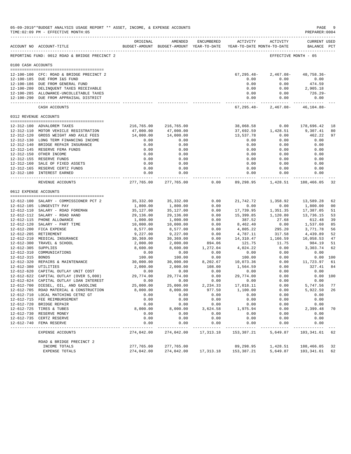|                                | 05-09-2019**BUDGET ANALYSIS USAGE REPORT ** ASSET, INCOME, & EXPENSE ACCOUNTS<br>TIME: 02:09 PM - EFFECTIVE MONTH: 05 |                      |                                                     |              |                                 |                                        | PAGE<br>PREPARER: 0004      | -9       |
|--------------------------------|-----------------------------------------------------------------------------------------------------------------------|----------------------|-----------------------------------------------------|--------------|---------------------------------|----------------------------------------|-----------------------------|----------|
|                                | ACCOUNT NO ACCOUNT-TITLE                                                                                              | ORIGINAL             | AMENDED<br>BUDGET-AMOUNT BUDGET-AMOUNT YEAR-TO-DATE | ENCUMBERED   | <b>ACTIVITY</b>                 | ACTIVITY<br>YEAR-TO-DATE MONTH-TO-DATE | CURRENT USED<br>BALANCE PCT |          |
|                                | REPORTING FUND: 0012 ROAD & BRIDGE PRECINCT 2                                                                         |                      |                                                     |              |                                 |                                        | EFFECTIVE MONTH - 05        |          |
| 0100 CASH ACCOUNTS             |                                                                                                                       |                      |                                                     |              |                                 |                                        |                             |          |
|                                | 12-100-100 CFC: ROAD & BRIDGE PRECINCT 2                                                                              |                      |                                                     |              | $67, 295.48 -$                  | $2,467.08-$                            | 48,758.36-                  |          |
|                                | 12-100-185 DUE FROM I&S FUND                                                                                          |                      |                                                     |              | 0.00                            | 0.00                                   | 0.00                        |          |
|                                | 12-100-186 DUE FROM GENERAL FUND                                                                                      |                      |                                                     |              | 0.00                            | 0.00                                   | 474.59                      |          |
|                                | 12-100-280 DELINQUENT TAXES RECEIVABLE                                                                                |                      |                                                     |              | 0.00                            | 0.00                                   | 2,905.18                    |          |
|                                | 12-100-285 ALLOWANCE-UNCOLLETABLE TAXES<br>12-100-290 DUE FROM APPRAISAL DISTRICT                                     |                      |                                                     |              | 0.00<br>0.00                    | 0.00<br>0.00                           | $726.29 -$<br>0.00          |          |
|                                | CASH ACCOUNTS                                                                                                         |                      |                                                     |              | -------------<br>$67, 295.48 -$ | $2,467.08-$                            | $46, 104.88 -$              |          |
| 0312 REVENUE ACCOUNTS          |                                                                                                                       |                      |                                                     |              |                                 |                                        |                             |          |
|                                |                                                                                                                       |                      |                                                     |              |                                 |                                        |                             |          |
|                                | 12-312-100 ADVALOREM TAXES                                                                                            | 216,765.00           | 216,765.00                                          |              | 38,068.58                       | 0.00                                   | 178,696.42                  | 18       |
|                                | 12-312-110 MOTOR VEHICLE REGISTRATION                                                                                 | 47,000.00            | 47,000.00                                           |              | 37,692.59                       | 1,428.51                               | 9,307.41                    | 80       |
|                                | 12-312-120 GROSS WEIGHT AND AXLE FEES<br>12-312-130 LONG TERM FINANCING INCOME                                        | 14,000.00            | 14,000.00                                           |              | 13,537.78                       | 0.00                                   | 462.22                      | 97       |
|                                | 12-312-140 BRIDGE REPAIR INSURANCE                                                                                    | 0.00<br>0.00         | 0.00<br>0.00                                        |              | 0.00<br>0.00                    | 0.00<br>0.00                           | 0.00<br>0.00                |          |
|                                | 12-312-145 RESERVE FEMA FUNDS                                                                                         | 0.00                 | 0.00                                                |              | 0.00                            | 0.00                                   | 0.00                        |          |
|                                | 12-312-150 OTHER INCOME                                                                                               | 0.00                 | 0.00                                                |              | 0.00                            | 0.00                                   | 0.00                        |          |
|                                | 12-312-155 RESERVE FUNDS                                                                                              | 0.00                 | 0.00                                                |              | 0.00                            | 0.00                                   | 0.00                        |          |
|                                | 12-312-160 SALE OF FIXED ASSETS                                                                                       | 0.00                 | 0.00                                                |              | 0.00                            | 0.00                                   | 0.00                        |          |
|                                | 12-312-165 RESERVE CERTZ FUNDS                                                                                        | 0.00                 | 0.00                                                |              | 0.00                            | 0.00                                   | 0.00                        |          |
|                                | 12-312-180 INTEREST EARNED                                                                                            | 0.00<br>------------ | 0.00<br>-------------                               |              | 0.00<br>. <u>.</u>              | 0.00<br>------------                   | 0.00                        |          |
|                                | REVENUE ACCOUNTS                                                                                                      | 277,765.00           | 277,765.00                                          | 0.00         | 89,298.95                       | 1,428.51                               | 188,466.05                  | 32       |
| 0612 EXPENSE ACCOUNTS          |                                                                                                                       |                      |                                                     |              |                                 |                                        |                             |          |
|                                | 12-612-100 SALARY - COMMISSIONER PCT 2                                                                                | 35,332.00            | 35,332.00                                           | 0.00         | 21,742.72                       | 1,358.92                               | 13,589.28                   | 62       |
|                                | 12-612-105 LONGEVITY PAY                                                                                              | 1,800.00             | 1,800.00                                            | 0.00         | 0.00                            | 0.00                                   | 1,800.00                    | 00       |
|                                | 12-612-110 SALARY - ROAD FOREMAN                                                                                      | 35,127.00            | 35,127.00                                           | 0.00         | 17,739.95                       | 1,351.35                               | 17,387.05                   | 51       |
|                                | 12-612-112 SALARY - ROAD HAND                                                                                         | 29,136.00            | 29,136.00                                           | 0.00         | 15,399.85                       | 1,120.80                               | 13,736.15                   | 53       |
|                                | 12-612-115 PHONE ALLOWANCE                                                                                            | 1,000.00             | 1,000.00                                            | 0.00         | 387.52                          | 27.68                                  | 612.48                      | 39       |
|                                | 12-612-120 SALARY - PART TIME                                                                                         | 10,000.00            | 10,000.00                                           | 0.00         | 8,462.40                        | 0.00                                   | 1,537.60                    | 85       |
|                                | 12-612-200 FICA EXPENSE                                                                                               | 8,577.00             | 8,577.00                                            | 0.00         | 4,805.22                        | 295.20                                 | 3,771.78                    | 56       |
|                                | 12-612-205 RETIREMENT                                                                                                 | 9,227.00             | 9,227.00                                            | 0.00         | 4,787.11                        | 317.58                                 | 4,439.89                    | 52       |
|                                | 12-612-210 MEDICAL INSURANCE                                                                                          | 30,369.00            | 30,369.00                                           | 0.00         | 14,310.47                       | 1,166.59                               | 16,058.53                   | 47       |
|                                | 12-612-300 TRAVEL & SCHOOL                                                                                            | 2,000.00             | 2,000.00                                            | 894.06       | 121.75                          | 11.75                                  | 984.19                      | 51       |
| $12 - 612 - 305$               | SUPPLIES<br>COMMUNICATIONS                                                                                            | 8,600.00             | 8,600.00                                            | 1,272.04     | 4,024.22                        | 0.00                                   | 3,303.74<br>0.00            | 62       |
| 12-612-310<br>12-612-315 BONDS |                                                                                                                       | 0.00<br>100.00       | 0.00<br>100.00                                      | 0.00<br>0.00 | 0.00<br>100.00                  | 0.00<br>0.00                           |                             | 0.00 100 |
|                                | 12-612-320 REPAIRS & MAINTENANCE                                                                                      | 30,000.00            | 30,000.00                                           | 8,202.67     | 10,073.36                       | 0.00                                   | 11,723.97                   | 61       |
| 12-612-380 UTILITIES           |                                                                                                                       | 2,000.00             | 2,000.00                                            | 108.00       | 1,564.59                        | 0.00                                   | 327.41                      | 84       |
|                                | 12-612-620 CAPITAL OUTLAY UNIT COST                                                                                   | 0.00                 | 0.00                                                | 0.00         | 0.00                            | 0.00                                   | 0.00                        |          |
|                                | 12-612-622 CAPITAL OUTLAY (OVER 5,000)                                                                                | 29,774.00            | 29,774.00                                           | 0.00         | 29,774.00                       | 0.00                                   |                             | 0.00 100 |
|                                | 12-612-624 CAPITAL OUTLAY LOAN INTEREST                                                                               | 0.00                 | 0.00                                                | 0.00         | 0.00                            | 0.00                                   | 0.00                        |          |
|                                | 12-612-700 DIESEL, OIL, AND GASOLINE                                                                                  | 25,000.00            | 25,000.00                                           | 2,234.33     | 17,018.11                       | 0.00                                   | 5,747.56                    | 77       |
|                                | 12-612-705 ROAD MATERIAL & CONSTRUCTION                                                                               | 8,000.00             | 8,000.00                                            | 977.50       | 1,100.00                        | 0.00                                   | 5,922.50                    | 26       |
|                                | 12-612-710 LOCAL MATCHING CETRZ GT                                                                                    | 0.00                 | 0.00                                                | 0.00         | 0.00                            | 0.00                                   | 0.00                        |          |
|                                | 12-612-715 FEE REIMBURSEMENT                                                                                          | 0.00                 | 0.00                                                | 0.00         | 0.00                            | 0.00                                   | 0.00                        |          |
|                                | 12-612-720 BRIDGE REPAIR                                                                                              | 0.00                 | 0.00                                                | 0.00         | 0.00                            | 0.00                                   | 0.00                        |          |
|                                | 12-612-725 TIRES & TUBES                                                                                              | 8,000.00             | 8,000.00                                            | 3,624.58     | 1,975.94                        | 0.00                                   | 2,399.48                    | 70       |
| 12-612-735                     | 12-612-730 RESERVE MONEY<br>CERTZ RESERVE                                                                             | 0.00<br>0.00         | 0.00<br>0.00                                        | 0.00<br>0.00 | 0.00<br>0.00                    | 0.00<br>0.00                           | 0.00<br>0.00                |          |
|                                | 12-612-740 FEMA RESERVE                                                                                               | 0.00                 | 0.00                                                | 0.00         | 0.00                            | 0.00                                   | 0.00                        |          |
|                                | EXPENSE ACCOUNTS                                                                                                      | 274,042.00           | 274,042.00                                          | 17,313.18    | 153,387.21                      | 5,649.87                               | 103,341.61                  | 62       |
|                                | ROAD & BRIDGE PRECINCT 2                                                                                              |                      |                                                     |              |                                 |                                        |                             |          |
|                                | INCOME TOTALS                                                                                                         | 277,765.00           | 277,765.00                                          |              | 89,298.95                       | 1,428.51                               | 188,466.05                  | 32       |
|                                | <b>EXPENSE TOTALS</b>                                                                                                 | 274,042.00           | 274,042.00                                          | 17,313.18    | 153,387.21                      | 5,649.87                               | 103,341.61                  | 62       |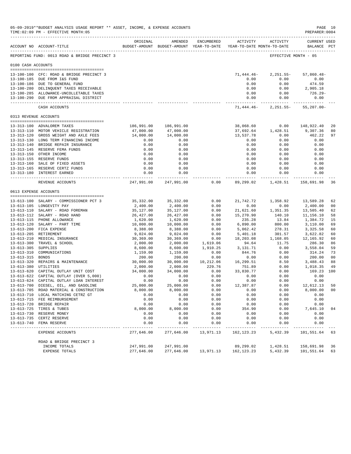|                     | 05-09-2019**BUDGET ANALYSIS USAGE REPORT ** ASSET, INCOME, & EXPENSE ACCOUNTS<br>TIME: 02:09 PM - EFFECTIVE MONTH: 05 |                        |                                                                                |                      |                                             |                      | PREPARER: 0004                     | PAGE 10        |
|---------------------|-----------------------------------------------------------------------------------------------------------------------|------------------------|--------------------------------------------------------------------------------|----------------------|---------------------------------------------|----------------------|------------------------------------|----------------|
|                     | ACCOUNT NO ACCOUNT-TITLE                                                                                              | ORIGINAL               | AMENDED<br>BUDGET-AMOUNT BUDGET-AMOUNT YEAR-TO-DATE YEAR-TO-DATE MONTH-TO-DATE | ENCUMBERED           |                                             | ACTIVITY ACTIVITY    | <b>CURRENT USED</b><br>BALANCE PCT |                |
|                     | REPORTING FUND: 0013 ROAD & BRIDGE PRECINCT 3                                                                         |                        |                                                                                |                      |                                             | EFFECTIVE MONTH - 05 |                                    |                |
| 0100 CASH ACCOUNTS  |                                                                                                                       |                        |                                                                                |                      |                                             |                      |                                    |                |
|                     | 13-100-100 CFC: ROAD & BRIDGE PRECINCT 3                                                                              |                        |                                                                                |                      | 71,444.46-                                  | $2,251.55-$          | $57,860.48-$                       |                |
|                     | 13-100-185 DUE FROM I&S FUND                                                                                          |                        |                                                                                |                      | 0.00                                        | 0.00                 | 0.00                               |                |
|                     | 13-100-186 DUE TO GENERAL FUND                                                                                        |                        |                                                                                |                      | 0.00                                        | 0.00                 | 474.59                             |                |
|                     | 13-100-280 DELINQUENT TAXES RECEIVABLE                                                                                |                        |                                                                                |                      | 0.00                                        | 0.00                 | 2,905.18                           |                |
|                     | 13-100-285 ALLOWANCE-UNCOLLETABLE TAXES<br>13-100-290 DUE FROM APPRAISAL DISTRICT                                     |                        |                                                                                |                      | 0.00<br>0.00                                | 0.00<br>0.00         | 726.29-<br>0.00                    |                |
|                     | CASH ACCOUNTS                                                                                                         |                        |                                                                                |                      | -------------<br>71,444.46-                 | $2,251.55-$          | $55, 207.00 -$                     |                |
|                     | 0313 REVENUE ACCOUNTS                                                                                                 |                        |                                                                                |                      |                                             |                      |                                    |                |
|                     |                                                                                                                       |                        |                                                                                |                      |                                             |                      |                                    |                |
|                     | 13-313-100 ADVALOREM TAXES                                                                                            | 186,991.00             | 186,991.00                                                                     |                      | 38,068.60                                   | 0.00                 | 148,922.40                         | 20             |
|                     | 13-313-110 MOTOR VEHICLE REGISTRATION<br>13-313-120 GROSS WEIGHT AND AXLE FEES                                        | 47,000.00<br>14,000.00 | 47,000.00<br>14,000.00                                                         |                      | 37,692.64<br>13,537.78                      | 1,428.51<br>0.00     | 9,307.36<br>462.22                 | 80<br>97       |
|                     | 13-313-130 LONG TERM FINANCING INCOME                                                                                 | 0.00                   | 0.00                                                                           |                      | 0.00                                        | 0.00                 | 0.00                               |                |
|                     | 13-313-140 BRIDGE REPAIR INSURANCE                                                                                    | 0.00                   | 0.00                                                                           |                      | 0.00                                        | 0.00                 | 0.00                               |                |
|                     | 13-313-145 RESERVE FEMA FUNDS                                                                                         | 0.00                   | 0.00                                                                           |                      | 0.00                                        | 0.00                 | 0.00                               |                |
|                     | 13-313-150 OTHER INCOME                                                                                               | 0.00                   | 0.00                                                                           |                      | 0.00                                        | 0.00                 | 0.00                               |                |
|                     | 13-313-155 RESERVE FUNDS                                                                                              | 0.00                   | 0.00                                                                           |                      | 0.00                                        | 0.00                 | 0.00                               |                |
|                     | 13-313-160 SALE OF FIXED ASSETS                                                                                       | 0.00                   | 0.00                                                                           |                      | 0.00                                        | 0.00                 | 0.00                               |                |
|                     | 13-313-165 RESERVE CERTZ FUNDS                                                                                        | 0.00                   | 0.00                                                                           |                      | 0.00                                        | 0.00                 | 0.00                               |                |
|                     | 13-313-180 INTEREST EARNED                                                                                            | 0.00<br>.              | 0.00<br>------------                                                           |                      | 0.00<br>-------- ------------- ------------ | 0.00                 | 0.00                               |                |
|                     | REVENUE ACCOUNTS                                                                                                      | 247,991.00             | 247,991.00                                                                     | 0.00                 | 89,299.02                                   | 1,428.51             | 158,691.98                         | 36             |
|                     | 0613 EXPENSE ACCOUNTS                                                                                                 |                        |                                                                                |                      |                                             |                      |                                    |                |
|                     | 13-613-100 SALARY - COMMISSIONER PCT 3                                                                                | 35,332.00              | 35,332.00                                                                      | 0.00                 | 21,742.72                                   | 1,358.92             | 13,589.28                          | 62             |
|                     | 13-613-105 LONGEVITY PAY                                                                                              | 2,400.00               | 2,400.00                                                                       | 0.00                 | 0.00                                        | 0.00                 | 2,400.00                           | 0 <sup>0</sup> |
|                     | 13-613-110 SALARY - ROAD FOREMAN                                                                                      | 35,127.00              | 35,127.00                                                                      | 0.00                 | 21,621.60                                   | 1,351.35             | 13,505.40                          | 62             |
|                     | 13-613-112 SALARY - ROAD HAND                                                                                         | 26,427.00              | 26, 427.00                                                                     | 0.00                 | 15,270.90                                   | 140.10               | 11,156.10                          | 58             |
|                     | 13-613-115 PHONE ALLOWANCE                                                                                            | 1,620.00               | 1,620.00                                                                       | 0.00                 | 235.28                                      | 13.84                | 1,384.72                           | 15             |
|                     | 13-613-120 SALARY - PART TIME                                                                                         | 10,000.00              | 10,000.00                                                                      | 0.00                 | 6,890.00                                    | 800.00               | 3,110.00                           | 69             |
|                     | 13-613-200 FICA EXPENSE                                                                                               | 8,388.00               | 8,388.00                                                                       | 0.00                 | 5,062.42                                    | 278.31               | 3,325.58                           | 60             |
|                     | 13-613-205 RETIREMENT                                                                                                 | 9,024.00               | 9,024.00                                                                       | 0.00                 | 5,401.18                                    | 301.57               | 3,622.82                           | 60             |
|                     | 13-613-210 MEDICAL INSURANCE<br>13-613-300 TRAVEL & SCHOOL                                                            | 30,369.00              | 30,369.00                                                                      | 0.00                 | 18,203.08<br>94.64                          | 1,168.05<br>11.75    | 12,165.92<br>286.30                | 60<br>86       |
| 13-613-305 SUPPLIES |                                                                                                                       | 2,000.00<br>8,600.00   | 2,000.00<br>8,600.00                                                           | 1,619.06<br>1,910.25 | 3,131.71                                    | 0.00                 | 3,558.04                           | 59             |
|                     | 13-613-310 COMMUNICATIONS                                                                                             | 1,159.00               | 1,159.00                                                                       | 0.00                 | 844.76                                      | 0.00                 | 314.24                             | 73             |
| 13-613-315 BONDS    |                                                                                                                       | 200.00                 | 200.00                                                                         | 0.00                 | 0.00                                        | 0.00                 | 200.00                             | 0 <sup>0</sup> |
|                     | 13-613-320 REPAIRS & MAINTENANCE                                                                                      | 30,000.00              | 30,000.00                                                                      | 10,212.06            | 16,299.51                                   | 8.50                 | 3,488.43                           | 88             |
|                     | 13-613-380 UTILITIES                                                                                                  | 2,000.00               | 2,000.00                                                                       | 229.76               | 751.89                                      | 0.00                 | 1,018.35                           | 49             |
|                     | 13-613-620 CAPITAL OUTLAY UNIT COST                                                                                   | 34,000.00              | 34,000.00                                                                      | 0.00                 | 33,830.77                                   | 0.00                 | 169.23 100                         |                |
|                     | 13-613-622 CAPITAL OUTLAY (OVER 5,000)                                                                                | 0.00                   | 0.00                                                                           | 0.00                 | 0.00                                        | 0.00                 | 0.00                               |                |
|                     | 13-613-624 CAPITAL OUTLAY LOAN INTEREST                                                                               | 0.00                   | 0.00                                                                           | 0.00                 | 0.00                                        | 0.00                 | 0.00                               |                |
|                     | 13-613-700 DIESEL, OIL, AND GASOLINE                                                                                  | 25,000.00              | 25,000.00                                                                      | 0.00                 | 12,387.87                                   | 0.00                 | 12,612.13                          | 50             |
|                     | 13-613-705 ROAD MATERIAL & CONSTRUCTION<br>13-613-710 LOCAL MATCHING CETRZ GT                                         | 8,000.00<br>0.00       | 8,000.00<br>0.00                                                               | 0.00<br>0.00         | 0.00<br>0.00                                | 0.00<br>0.00         | 8,000.00<br>0.00                   | 00             |
|                     | 13-613-715 FEE REIMBURSEMENT                                                                                          | 0.00                   | 0.00                                                                           | 0.00                 | 0.00                                        | 0.00                 | 0.00                               |                |
|                     | 13-613-720 BRIDGE REPAIR                                                                                              | 0.00                   | 0.00                                                                           | 0.00                 | 0.00                                        | 0.00                 | 0.00                               |                |
|                     | 13-613-725 TIRES & TUBES                                                                                              | 8,000.00               | 8,000.00                                                                       | 0.00                 | 354.90                                      | 0.00                 | 7,645.10                           | 04             |
|                     | 13-613-730 RESERVE MONEY                                                                                              | 0.00                   | 0.00                                                                           | 0.00                 | 0.00                                        | 0.00                 | 0.00                               |                |
|                     | 13-613-735 CERTZ RESERVE                                                                                              | 0.00                   | 0.00                                                                           | 0.00                 | 0.00                                        | 0.00                 | 0.00                               |                |
|                     | 13-613-740 FEMA RESERVE                                                                                               | 0.00                   | 0.00                                                                           | 0.00                 | 0.00<br>$- - - - -$                         | 0.00                 | 0.00                               |                |
|                     | EXPENSE ACCOUNTS                                                                                                      | 277,646.00             | 277,646.00                                                                     | 13,971.13            | 162,123.23                                  | 5,432.39             | 101,551.64                         | 63             |
|                     | ROAD & BRIDGE PRECINCT 3                                                                                              |                        |                                                                                |                      |                                             |                      |                                    |                |
|                     | INCOME TOTALS                                                                                                         | 247,991.00             | 247,991.00                                                                     |                      | 89,299.02                                   | 1,428.51             | 158,691.98                         | 36             |
|                     | EXPENSE TOTALS                                                                                                        | 277,646.00             | 277,646.00                                                                     | 13,971.13            | 162,123.23                                  | 5,432.39             | 101,551.64                         | 63             |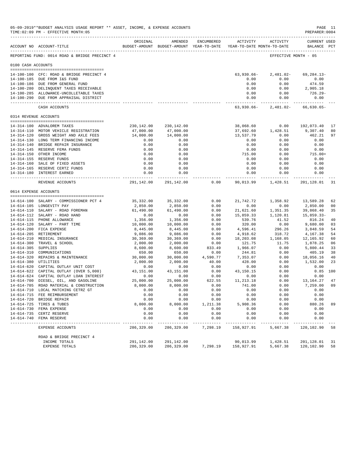|                     | 05-09-2019**BUDGET ANALYSIS USAGE REPORT ** ASSET, INCOME, & EXPENSE ACCOUNTS<br>TIME: 02:09 PM - EFFECTIVE MONTH: 05 |                      |                      |                  |                                                                     |                       | PREPARER: 0004       | PAGE 11        |
|---------------------|-----------------------------------------------------------------------------------------------------------------------|----------------------|----------------------|------------------|---------------------------------------------------------------------|-----------------------|----------------------|----------------|
|                     |                                                                                                                       | ORIGINAL             | AMENDED              | ENCUMBERED       | <b>ACTIVITY</b>                                                     | ACTIVITY              | CURRENT USED         |                |
|                     | ACCOUNT NO ACCOUNT-TITLE                                                                                              |                      |                      |                  | BUDGET-AMOUNT BUDGET-AMOUNT YEAR-TO-DATE YEAR-TO-DATE MONTH-TO-DATE |                       | BALANCE PCT          |                |
|                     | REPORTING FUND: 0014 ROAD & BRIDGE PRECINCT 4                                                                         |                      |                      |                  |                                                                     |                       | EFFECTIVE MONTH - 05 |                |
| 0100 CASH ACCOUNTS  |                                                                                                                       |                      |                      |                  |                                                                     |                       |                      |                |
|                     | 14-100-100 CFC: ROAD & BRIDGE PRECINCT 4                                                                              |                      |                      |                  | $63,930.66 -$                                                       | 2,481.02-             | $69, 284.13 -$       |                |
|                     | 14-100-185 DUE FROM I&S FUND                                                                                          |                      |                      |                  | 0.00                                                                | 0.00                  | 0.00                 |                |
|                     | 14-100-186 DUE FROM GENERAL FUND                                                                                      |                      |                      |                  | 0.00                                                                | 0.00                  | 474.59               |                |
|                     | 14-100-280 DELINQUENT TAXES RECEIVABLE                                                                                |                      |                      |                  | 0.00                                                                | 0.00                  | 2,905.18             |                |
|                     | 14-100-285 ALLOWANCE-UNCOLLETABLE TAXES                                                                               |                      |                      |                  | 0.00                                                                | 0.00                  | 726.29-              |                |
|                     | 14-100-290 DUE FROM APPRAISAL DISTRICT                                                                                |                      |                      |                  | 0.00<br>-------------                                               | 0.00<br>------------- | 0.00                 |                |
|                     | CASH ACCOUNTS                                                                                                         |                      |                      |                  | 63,930.66-                                                          | 2,481.02-             | $66,630.65-$         |                |
|                     | 0314 REVENUE ACCOUNTS                                                                                                 |                      |                      |                  |                                                                     |                       |                      |                |
|                     | 14-314-100 ADVALOREM TAXES                                                                                            | 230,142.00           | 230,142.00           |                  | 38,068.60                                                           | 0.00                  | 192,073.40           | 17             |
|                     | 14-314-110 MOTOR VEHICLE REGISTRATION                                                                                 | 47,000.00            | 47,000.00            |                  | 37,692.60                                                           | 1,428.51              | 9,307.40             | 80             |
|                     | 14-314-120 GROSS WEIGHT AND AXLE FEES                                                                                 | 14,000.00            | 14,000.00            |                  | 13,537.79                                                           | 0.00                  | 462.21               | 97             |
|                     | 14-314-130 LONG TERM FINANCING INCOME                                                                                 | 0.00                 | 0.00                 |                  | 0.00                                                                | 0.00                  | 0.00                 |                |
|                     | 14-314-140 BRIDGE REPAIR INSURANCE                                                                                    | 0.00                 | 0.00                 |                  | 0.00                                                                | 0.00                  | 0.00                 |                |
|                     | 14-314-145 RESERVE FEMA FUNDS                                                                                         | 0.00                 | 0.00                 |                  | 0.00                                                                | 0.00                  | 0.00                 |                |
|                     | 14-314-150 OTHER INCOME                                                                                               | 0.00                 | 0.00                 |                  | 715.00                                                              | 0.00                  | $715.00+$            |                |
|                     | 14-314-155 RESERVE FUNDS                                                                                              | 0.00                 | 0.00                 |                  | 0.00                                                                | 0.00                  | 0.00                 |                |
|                     | 14-314-160 SALE OF FIXED ASSETS                                                                                       | 0.00                 | 0.00                 |                  | 0.00                                                                | 0.00                  | 0.00                 |                |
|                     | 14-314-165 RESERVE CERTZ FUNDS<br>14-314-180 INTEREST EARNED                                                          | 0.00<br>0.00         | 0.00<br>0.00         |                  | 0.00<br>0.00                                                        | 0.00<br>0.00          | 0.00<br>0.00         |                |
|                     |                                                                                                                       | ------------         | -------------        |                  | . <u>.</u>                                                          | ------------          |                      |                |
|                     | REVENUE ACCOUNTS                                                                                                      | 291,142.00           | 291,142.00           | 0.00             | 90,013.99                                                           | 1,428.51              | 201,128.01           | 31             |
|                     | 0614 EXPENSE ACCOUNTS                                                                                                 |                      |                      |                  |                                                                     |                       |                      |                |
|                     | 14-614-100 SALARY - COMMISSIONER PCT 4                                                                                | 35,332.00            | 35,332.00            | 0.00             | 21,742.72                                                           | 1,358.92              | 13,589.28            | 62             |
|                     | 14-614-105 LONGEVITY PAY                                                                                              | 2,850.00             | 2,850.00             | 0.00             | 0.00                                                                | 0.00                  | 2,850.00             | 0 <sub>0</sub> |
|                     | 14-614-110 SALARY - ROAD FOREMAN                                                                                      | 61,490.00            | 61,490.00            | 0.00             | 21,621.60                                                           | 1,351.35              | 39,868.40            | 35             |
|                     | 14-614-112 SALARY - ROAD HAND                                                                                         | 0.00                 | 0.00                 | 0.00             | 15,859.33                                                           | 1,120.81              | $15,859.33-$         |                |
|                     | 14-614-115 PHONE ALLOWANCE                                                                                            | 1,356.00             | 1,356.00             | 0.00             | 539.76                                                              | 41.52                 | 816.24               | 40             |
|                     | 14-614-120 SALARY - PART TIME                                                                                         | 10,000.00            | 10,000.00            | 0.00             | 320.00                                                              | 0.00                  | 9,680.00             | 03             |
|                     | 14-614-200 FICA EXPENSE                                                                                               | 8,445.00             | 8,445.00             | 0.00             | 4,596.41                                                            | 296.26                | 3,848.59             | 54             |
|                     | 14-614-205 RETIREMENT                                                                                                 | 9,086.00             | 9,086.00             | 0.00             | 4,918.62                                                            | 318.72                | 4,167.38             | 54             |
|                     | 14-614-210 MEDICAL INSURANCE                                                                                          | 30,369.00            | 30,369.00            | 0.00             | 18,203.08                                                           | 1,168.05              | 12,165.92            | 60             |
| 14-614-305 SUPPLIES | 14-614-300 TRAVEL & SCHOOL                                                                                            | 2,000.00<br>8,600.00 | 2,000.00<br>8,600.00 | 0.00<br>833.49   | 121.75<br>1,966.07                                                  | 11.75<br>0.00         | 1,878.25<br>5,800.44 | 06<br>33       |
|                     | 14-614-310 COMMUNICATIONS                                                                                             | 650.00               | 650.00               | 0.00             | 244.81                                                              | 0.00                  | 405.19               | 38             |
|                     | 14-614-320 REPAIRS & MAINTENANCE                                                                                      | 30,000.00            | 30,000.00            | 4,590.77         | 7,353.07                                                            | 0.00                  | 18,056.16            | 40             |
|                     | 14-614-380 UTILITIES                                                                                                  | 2,000.00             | 2,000.00             | 40.00            | 428.00                                                              | 0.00                  | 1,532.00             | 23             |
|                     | 14-614-620 CAPITAL OUTLAY UNIT COST                                                                                   | 0.00                 | 0.00                 | 0.00             | 0.00                                                                | 0.00                  | 0.00                 |                |
|                     | 14-614-622 CAPITAL OUTLAY (OVER 5,000)                                                                                | 43,151.00            | 43, 151.00           | 0.00             | 43,150.15                                                           | 0.00                  |                      | $0.85$ 100     |
|                     | 14-614-624 CAPITAL OUTLAY LOAN INTEREST                                                                               | 0.00                 | 0.00                 | 0.00             | 0.00                                                                | 0.00                  | 0.00                 |                |
|                     | 14-614-700 DIESEL, OIL, AND GASOLINE                                                                                  | 25,000.00            | 25,000.00            | 622.55           | 11, 213.18                                                          | 0.00                  | 13,164.27            | 47             |
|                     | 14-614-705 ROAD MATERIAL & CONSTRUCTION                                                                               | 8,000.00             | 8,000.00             | 0.00             | 741.00                                                              | 0.00                  | 7,259.00             | 09             |
|                     | 14-614-710 LOCAL MATCHING CETRZ GT                                                                                    | 0.00                 | 0.00                 | 0.00             | 0.00                                                                | 0.00                  | 0.00                 |                |
|                     | 14-614-715 FEE REIMBURSEMENT                                                                                          | 0.00                 | 0.00                 | 0.00             | 0.00                                                                | 0.00                  | 0.00                 |                |
|                     | 14-614-720 BRIDGE REPAIR                                                                                              | 0.00                 | 0.00                 | 0.00             | 0.00                                                                | 0.00                  | 0.00<br>880.26       |                |
|                     | 14-614-725 TIRES & TUBES<br>14-614-730 FEMA EXPENSE                                                                   | 8,000.00<br>0.00     | 8,000.00<br>0.00     | 1,211.38<br>0.00 | 5,908.36<br>0.00                                                    | 0.00<br>0.00          | 0.00                 | 89             |
|                     | 14-614-735 CERTZ RESERVE                                                                                              | 0.00                 | 0.00                 | 0.00             | 0.00                                                                | 0.00                  | 0.00                 |                |
| $14 - 614 - 740$    | FEMA RESERVE                                                                                                          | 0.00                 | 0.00                 | 0.00             | 0.00                                                                | 0.00                  | 0.00                 |                |
|                     | EXPENSE ACCOUNTS                                                                                                      | 286,329.00           | 286,329.00           | 7,298.19         | 158,927.91                                                          | 5,667.38              | 120,102.90           | 58             |
|                     |                                                                                                                       |                      |                      |                  |                                                                     |                       |                      |                |
|                     | ROAD & BRIDGE PRECINCT 4<br>INCOME TOTALS                                                                             | 291,142.00           | 291,142.00           |                  | 90,013.99                                                           | 1,428.51              | 201,128.01           | 31             |
|                     | EXPENSE TOTALS                                                                                                        | 286,329.00           | 286,329.00           | 7,298.19         | 158,927.91                                                          | 5,667.38              | 120,102.90           | 58             |
|                     |                                                                                                                       |                      |                      |                  |                                                                     |                       |                      |                |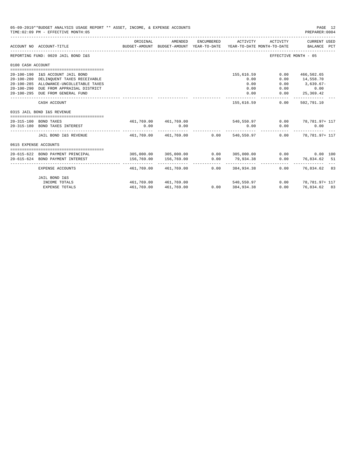|                       | 05-09-2019**BUDGET ANALYSIS USAGE REPORT ** ASSET, INCOME, & EXPENSE ACCOUNTS<br>TIME: 02:09 PM - EFFECTIVE MONTH: 05 |            |                                                                                |                  |                             |                     | PAGE 12<br>PREPARER: 0004   |
|-----------------------|-----------------------------------------------------------------------------------------------------------------------|------------|--------------------------------------------------------------------------------|------------------|-----------------------------|---------------------|-----------------------------|
|                       | ACCOUNT NO ACCOUNT-TITLE                                                                                              | ORIGINAL   | AMENDED<br>BUDGET-AMOUNT BUDGET-AMOUNT YEAR-TO-DATE YEAR-TO-DATE MONTH-TO-DATE | ENCUMBERED       | ACTIVITY                    | ACTIVITY            | CURRENT USED<br>BALANCE PCT |
|                       | REPORTING FUND: 0020 JAIL BOND I&S                                                                                    |            |                                                                                |                  |                             |                     | EFFECTIVE MONTH - 05        |
| 0100 CASH ACCOUNT     |                                                                                                                       |            |                                                                                |                  |                             |                     |                             |
|                       |                                                                                                                       |            |                                                                                |                  |                             |                     |                             |
|                       | 20-100-190 I&S ACCOUNT JAIL BOND                                                                                      |            |                                                                                |                  | 155,616.59                  | 0.00                | 466,502.65                  |
|                       | 20-100-280 DELINQUENT TAXES RECEIVABLE                                                                                |            |                                                                                |                  | 0.00                        | 0.00                | 14,558.70                   |
|                       | 20-100-285 ALLOWANCE-UNCOLLETABLE TAXES                                                                               |            |                                                                                |                  | 0.00                        | 0.00                | $3,639.67-$                 |
|                       | 20-100-290 DUE FROM APPRAISAL DISTRICT                                                                                |            |                                                                                |                  | 0.00                        | 0.00                | 0.00                        |
|                       | 20-100-295 DUE FROM GENERAL FUND                                                                                      |            |                                                                                |                  | 0.00                        | 0.00<br>----------- | 25,369.42<br>-------------  |
|                       | CASH ACCOUNT                                                                                                          |            |                                                                                |                  | 155,616.59                  | 0.00                | 502,791.10                  |
|                       | 0315 JAIL BOND I&S REVENUE                                                                                            |            |                                                                                |                  |                             |                     |                             |
|                       | 20-315-100 BOND TAXES                                                                                                 |            | 461,769.00 461,769.00                                                          |                  | 540,550.97                  |                     | $0.00$ 78, 781.97+ 117      |
|                       | 20-315-180 BOND TAXES INTEREST                                                                                        | 0.00       | 0.00                                                                           |                  | 0.00                        | 0.00                | 0.00                        |
|                       | JAIL BOND I&S REVENUE                                                                                                 |            | 461.769.00 461.769.00 0.00 540.550.97                                          |                  |                             |                     | $0.00$ 78.781.97+ 117       |
| 0615 EXPENSE ACCOUNTS |                                                                                                                       |            |                                                                                |                  |                             |                     |                             |
|                       |                                                                                                                       |            |                                                                                |                  |                             |                     |                             |
|                       | 20-615-622 BOND PAYMENT PRINCIPAL                                                                                     |            | 305,000.00 305,000.00                                                          | 0.0000305.000.00 |                             | 0.00                | 0.00 100                    |
|                       | 20-615-624 BOND PAYMENT INTEREST                                                                                      | 156,769.00 | 156,769.00                                                                     | 0.00             | 79,934.38<br>-------------- | 0.00                | 76,834.62 51                |
|                       | EXPENSE ACCOUNTS                                                                                                      |            | 461,769.00 461,769.00                                                          | 0.00             | 384,934.38                  | 0.00                | 76,834.62 83                |
|                       | JAIL BOND I&S                                                                                                         |            |                                                                                |                  |                             |                     |                             |
|                       | INCOME TOTALS                                                                                                         |            | 461,769.00 461,769.00                                                          |                  | 540,550.97                  |                     | $0.00$ 78, 781.97+ 117      |
|                       | <b>EXPENSE TOTALS</b>                                                                                                 | 461,769.00 | 461,769.00                                                                     | 0.00             | 384,934.38                  | 0.00                | 76,834.62 83                |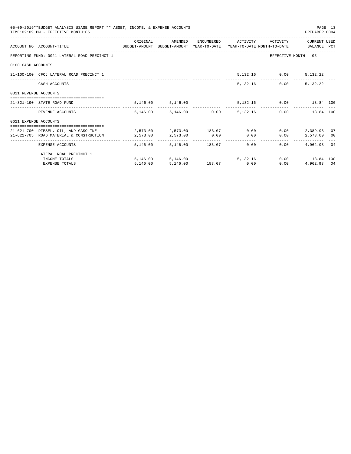|                       | 05-09-2019**BUDGET ANALYSIS USAGE REPORT ** ASSET, INCOME, & EXPENSE ACCOUNTS<br>TIME: 02:09 PM - EFFECTIVE MONTH: 05 |                                     |                                 |  |                                      | PREPARER: 0004       | PAGE 13 |
|-----------------------|-----------------------------------------------------------------------------------------------------------------------|-------------------------------------|---------------------------------|--|--------------------------------------|----------------------|---------|
|                       | ACCOUNT NO ACCOUNT-TITLE COMPUTE SUDGET-AMOUNT BUDGET-AMOUNT YEAR-TO-DATE YEAR-TO-DATE MONTH-TO-DATE BALANCE PCT      | ORIGINAL                            |                                 |  | AMENDED ENCUMBERED ACTIVITY ACTIVITY | CURRENT USED         |         |
|                       | REPORTING FUND: 0021 LATERAL ROAD PRECINCT 1                                                                          |                                     |                                 |  |                                      | EFFECTIVE MONTH - 05 |         |
| 0100 CASH ACCOUNTS    |                                                                                                                       |                                     |                                 |  |                                      |                      |         |
|                       | 21-100-100 CFC: LATERAL ROAD PRECINCT 1                                                                               |                                     |                                 |  | 5, 132.16 0.00 5, 132.22             |                      |         |
|                       | CASH ACCOUNTS                                                                                                         |                                     |                                 |  | 5,132.16 0.00                        | 5,132.22             |         |
| 0321 REVENUE ACCOUNTS |                                                                                                                       |                                     |                                 |  |                                      |                      |         |
|                       | 21-321-190 STATE ROAD FUND                                                                                            |                                     | 5, 146.00 5, 146.00             |  | 5,132.16   0.00   13.84   100        |                      |         |
|                       | REVENUE ACCOUNTS                                                                                                      |                                     | 5,146.00 5,146.00 0.00 5,132.16 |  |                                      | 0.00<br>13.84 100    |         |
| 0621 EXPENSE ACCOUNTS |                                                                                                                       |                                     |                                 |  |                                      |                      |         |
|                       | 21-621-700 DIESEL, OIL, AND GASOLINE 2,573.00 2,573.00 183.07 0.00                                                    |                                     |                                 |  |                                      | $0.00$ 2.389.93 07   |         |
|                       | 21-621-705 ROAD MATERIAL & CONSTRUCTION                                                                               | $2,573.00$ $2,573.00$ $0.00$ $0.00$ |                                 |  | 0.00                                 | 2,573.00 00          |         |
|                       | EXPENSE ACCOUNTS                                                                                                      |                                     | 5,146.00 5,146.00 183.07 0.00   |  | 0.00                                 | 4,962,93 04          |         |
|                       | LATERAL ROAD PRECINCT 1                                                                                               |                                     |                                 |  |                                      |                      |         |
|                       | INCOME TOTALS                                                                                                         |                                     | 5,146.00 5,146.00 5,132.16      |  |                                      | 0.00 13.84 100       |         |
|                       | <b>EXPENSE TOTALS</b>                                                                                                 | 5,146.00                            | 5,146.00 183.07 0.00            |  | 0.00                                 | 4,962.93 04          |         |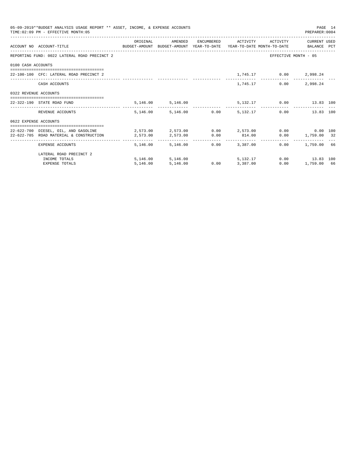|                       | 05-09-2019**BUDGET ANALYSIS USAGE REPORT ** ASSET, INCOME, & EXPENSE ACCOUNTS<br>TIME: 02:09 PM - EFFECTIVE MONTH: 05 |          |                                 |                 |                 |                              | PREPARER: 0004       | PAGE 14 |
|-----------------------|-----------------------------------------------------------------------------------------------------------------------|----------|---------------------------------|-----------------|-----------------|------------------------------|----------------------|---------|
|                       |                                                                                                                       | ORIGINAL | AMENDED                         |                 |                 | ENCUMBERED ACTIVITY ACTIVITY | CURRENT USED         |         |
|                       | ACCOUNT NO ACCOUNT-TITLE CONTROL SUDGET-AMOUNT BUDGET-AMOUNT YEAR-TO-DATE YEAR-TO-DATE MONTH-TO-DATE BALANCE PCT      |          |                                 |                 |                 |                              |                      |         |
|                       | REPORTING FUND: 0022 LATERAL ROAD PRECINCT 2                                                                          |          |                                 |                 |                 |                              | EFFECTIVE MONTH - 05 |         |
| 0100 CASH ACCOUNTS    |                                                                                                                       |          |                                 |                 |                 |                              |                      |         |
|                       | 22-100-100 CFC: LATERAL ROAD PRECINCT 2                                                                               |          |                                 |                 |                 | 1,745.17 0.00 2,998.24       |                      |         |
|                       | CASH ACCOUNTS                                                                                                         |          |                                 |                 | 1,745.17        | 0.00                         | 2,998.24             |         |
| 0322 REVENUE ACCOUNTS |                                                                                                                       |          |                                 |                 |                 |                              |                      |         |
|                       | 22-322-190 STATE ROAD FUND                                                                                            |          | 5,146.00 5,146.00               |                 |                 | 5,132.17 0.00 13.83 100      |                      |         |
|                       | REVENUE ACCOUNTS                                                                                                      |          | 5.146.00 5.146.00 0.00 5.132.17 |                 |                 |                              | 0.00<br>13.83 100    |         |
| 0622 EXPENSE ACCOUNTS |                                                                                                                       |          |                                 |                 |                 |                              |                      |         |
|                       | 22-622-700 DIESEL. OIL. AND GASOLINE $2.573.00$ $2.573.00$ $0.00$ $2.573.00$ $0.00$ $0.00$ $0.00$ $0.00$              |          |                                 |                 |                 |                              |                      |         |
|                       | 22-622-705 ROAD MATERIAL & CONSTRUCTION 2.573.00                                                                      |          | 2,573.00 0.00 814.00            |                 |                 |                              | $0.00$ 1,759.00 32   |         |
|                       | EXPENSE ACCOUNTS                                                                                                      |          | 5,146.00 5,146.00               |                 | $0.00$ 3.387.00 |                              | $0.00$ 1,759.00 66   |         |
|                       | LATERAL ROAD PRECINCT 2                                                                                               |          |                                 |                 |                 |                              |                      |         |
|                       | INCOME TOTALS                                                                                                         |          | 5,146.00 5,146.00               |                 | 5, 132, 17      |                              | $0.00$ 13.83 100     |         |
|                       | <b>EXPENSE TOTALS</b>                                                                                                 | 5,146.00 | 5,146.00                        | $0.00$ 3,387.00 |                 | 0.00                         | 1,759.00 66          |         |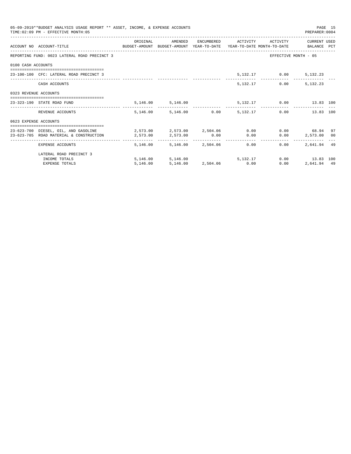|                       | 05-09-2019**BUDGET ANALYSIS USAGE REPORT ** ASSET, INCOME, & EXPENSE ACCOUNTS<br>TIME: 02:09 PM - EFFECTIVE MONTH: 05 |          |                                 |  |                              | PREPARER: 0004                              | PAGE 15 |
|-----------------------|-----------------------------------------------------------------------------------------------------------------------|----------|---------------------------------|--|------------------------------|---------------------------------------------|---------|
|                       | ACCOUNT NO ACCOUNT-TITLE COMPUTE SUDGET-AMOUNT BUDGET-AMOUNT YEAR-TO-DATE YEAR-TO-DATE MONTH-TO-DATE BALANCE PCT      | ORIGINAL | AMENDED                         |  | ENCUMBERED ACTIVITY ACTIVITY | CURRENT USED                                |         |
|                       | REPORTING FUND: 0023 LATERAL ROAD PRECINCT 3                                                                          |          |                                 |  |                              | EFFECTIVE MONTH - 05                        |         |
| 0100 CASH ACCOUNTS    |                                                                                                                       |          |                                 |  |                              |                                             |         |
|                       | 23-100-100 CFC: LATERAL ROAD PRECINCT 3                                                                               |          |                                 |  | 5, 132.17 0.00 5, 132.23     |                                             |         |
|                       | CASH ACCOUNTS                                                                                                         |          |                                 |  | 5.132.17 0.00                | 5,132.23                                    |         |
| 0323 REVENUE ACCOUNTS |                                                                                                                       |          |                                 |  |                              |                                             |         |
|                       | 23-323-190 STATE ROAD FUND                                                                                            |          | 5,146.00 5,146.00               |  |                              | 5,132.17 0.00 13.83 100                     |         |
|                       | REVENUE ACCOUNTS                                                                                                      |          | 5.146.00 5.146.00 0.00 5.132.17 |  |                              | 0.00<br>13.83 100                           |         |
| 0623 EXPENSE ACCOUNTS |                                                                                                                       |          |                                 |  |                              |                                             |         |
|                       | 23-623-700 DIESEL, OIL, AND GASOLINE 2,573.00 2,573.00 2,504.06 0.00                                                  |          |                                 |  |                              | $0.00$ 68.94                                | 97      |
|                       | 23-623-705 ROAD MATERIAL & CONSTRUCTION<br>2,573.00<br>2,573.00<br>2,573.00<br>0.00<br>0.00                           |          |                                 |  |                              | $0.00$ 2,573.00 00                          |         |
|                       | EXPENSE ACCOUNTS                                                                                                      |          | 5,146.00 5,146.00 2,504.06 0.00 |  | $0.00 -$                     | ------------- --------------<br>2.641.94 49 |         |
|                       | LATERAL ROAD PRECINCT 3                                                                                               |          |                                 |  |                              |                                             |         |
|                       | INCOME TOTALS                                                                                                         |          | 5,146.00 5,146.00 5,132.17      |  |                              | $0.00$ 13.83 100                            |         |
|                       | <b>EXPENSE TOTALS</b>                                                                                                 | 5,146.00 | 5,146.00 2,504.06 0.00          |  | 0.00                         | 2.641.94 49                                 |         |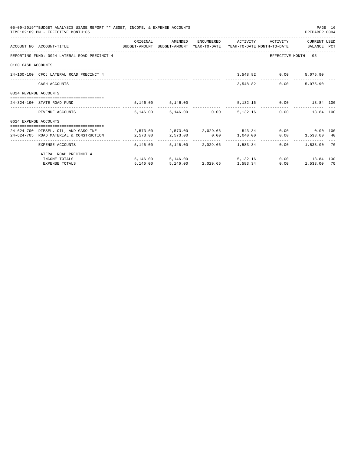|                       | 05-09-2019**BUDGET ANALYSIS USAGE REPORT ** ASSET, INCOME, & EXPENSE ACCOUNTS<br>TIME: 02:09 PM - EFFECTIVE MONTH: 05                                                          |          |                                           |  |                               | PREPARER: 0004                                      | PAGE 16 |
|-----------------------|--------------------------------------------------------------------------------------------------------------------------------------------------------------------------------|----------|-------------------------------------------|--|-------------------------------|-----------------------------------------------------|---------|
|                       | ACCOUNT NO ACCOUNT-TITLE COMPUTE SUDGET-AMOUNT BUDGET-AMOUNT YEAR-TO-DATE YEAR-TO-DATE MONTH-TO-DATE BALANCE PCT                                                               | ORIGINAL | AMENDED                                   |  | ENCUMBERED ACTIVITY ACTIVITY  | CURRENT USED                                        |         |
|                       | REPORTING FUND: 0024 LATERAL ROAD PRECINCT 4                                                                                                                                   |          |                                           |  |                               | EFFECTIVE MONTH - 05                                |         |
| 0100 CASH ACCOUNTS    |                                                                                                                                                                                |          |                                           |  |                               |                                                     |         |
|                       | 24-100-100 CFC: LATERAL ROAD PRECINCT 4                                                                                                                                        |          |                                           |  | 3,548.82 0.00 5,075.90        |                                                     |         |
|                       | CASH ACCOUNTS                                                                                                                                                                  |          |                                           |  | 3,548.82 0.00                 | 5,075.90                                            |         |
| 0324 REVENUE ACCOUNTS |                                                                                                                                                                                |          |                                           |  |                               |                                                     |         |
|                       | 24-324-190 STATE ROAD FUND                                                                                                                                                     |          | 5, 146.00 5, 146.00                       |  | 5,132.16   0.00   13.84   100 |                                                     |         |
|                       | REVENUE ACCOUNTS                                                                                                                                                               |          | 5,146.00 5,146.00 0.00 5,132.16           |  |                               | 0.00<br>13.84 100                                   |         |
| 0624 EXPENSE ACCOUNTS |                                                                                                                                                                                |          |                                           |  |                               |                                                     |         |
|                       | 24-624-700 DIESEL, OIL, AND GASOLINE $2,573.00$ $2,573.00$ $2,029.66$ $543.34$ $0.00$ $0.00$ $0.00$<br>24-624-705 ROAD MATERIAL & CONSTRUCTION 2,573.00 2,573.00 0.00 1,040.00 |          |                                           |  |                               | $0.00$ 1,533.00 40                                  |         |
|                       | EXPENSE ACCOUNTS                                                                                                                                                               |          | 5,146.00 5,146.00 2,029.66 1,583.34       |  |                               | -----------------------------<br>$0.00$ 1,533.00 70 |         |
|                       | LATERAL ROAD PRECINCT 4                                                                                                                                                        |          |                                           |  |                               |                                                     |         |
|                       | INCOME TOTALS                                                                                                                                                                  |          | 5,146.00 5,146.00 5,132.16 0.00 13.84 100 |  |                               |                                                     |         |
|                       | <b>EXPENSE TOTALS</b>                                                                                                                                                          | 5,146.00 | 5, 146.00 2, 029.66 1, 583.34             |  | 0.00                          | 1,533.00 70                                         |         |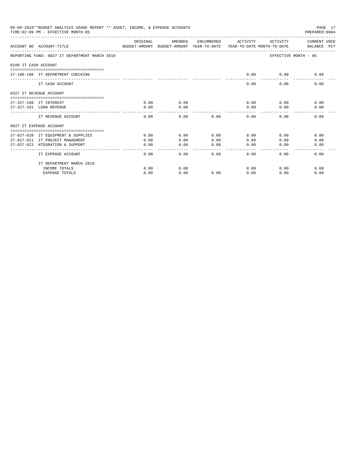|                      | 05-09-2019**BUDGET ANALYSIS USAGE REPORT ** ASSET, INCOME, & EXPENSE ACCOUNTS<br>TIME: 02:09 PM - EFFECTIVE MONTH: 05 |                                                                                 |                     |                | PAGE 17<br>PREPARER: 0004 |                       |                             |  |
|----------------------|-----------------------------------------------------------------------------------------------------------------------|---------------------------------------------------------------------------------|---------------------|----------------|---------------------------|-----------------------|-----------------------------|--|
|                      | ACCOUNT NO ACCOUNT-TITLE                                                                                              | ORIGINAL<br>BUDGET-AMOUNT BUDGET-AMOUNT YEAR-TO-DATE YEAR-TO-DATE MONTH-TO-DATE | AMENDED             | ENCUMBERED     | ACTIVITY                  | ACTIVITY              | CURRENT USED<br>BALANCE PCT |  |
|                      | REPORTING FUND: 0027 IT DEPARTMENT MARCH 2019                                                                         |                                                                                 |                     |                |                           |                       | EFFECTIVE MONTH - 05        |  |
| 0100 TT CASH ACCOUNT |                                                                                                                       |                                                                                 |                     |                |                           |                       |                             |  |
|                      | 27-100-100 IT DEPARTMENT CHECKING                                                                                     |                                                                                 |                     |                | 0.00                      | 0.00                  | 0.00                        |  |
|                      | IT CASH ACCOUNT                                                                                                       |                                                                                 |                     |                | 0.00                      | 0.00                  | 0.00                        |  |
|                      | 0327 IT REVENUE ACCOUNT                                                                                               |                                                                                 |                     |                |                           |                       |                             |  |
|                      | 27-327-180 IT INTEREST                                                                                                | 0.00                                                                            | 0.00                |                | 0.00                      | 0.00                  | 0.00                        |  |
|                      | 27-327-181 LOAN REVENUE                                                                                               | 0.00                                                                            | 0.00                |                | 0.00                      | 0.00                  | 0.00                        |  |
|                      | IT REVENUE ACCOUNT                                                                                                    | 0.00                                                                            | 0.00                | 0.00           | 0.00                      | 0.00                  | 0.00                        |  |
|                      | 0627 IT EXPENSE ACCOUNT                                                                                               |                                                                                 |                     |                |                           |                       |                             |  |
|                      |                                                                                                                       |                                                                                 |                     |                |                           |                       |                             |  |
|                      | 27-627-620 IT EOUIPMENT & SUPPLIES                                                                                    | 0.00                                                                            | 0.00                | 0.00           | 0.00                      | 0.00                  | 0.00                        |  |
|                      | 27-627-621 IT PROJECT MANAGMENT                                                                                       | 0.00                                                                            | 0.00                | 0.00           | 0.00                      | 0.00                  | 0.00                        |  |
|                      | 27-627-622 NTEGRATION & SUPPORT                                                                                       | 0.00                                                                            | 0.00<br>----------- | 0.00<br>------ | 0.00<br>-------           | 0.00<br>$- - - - - -$ | 0.00                        |  |
|                      | IT EXPENSE ACCOUNT                                                                                                    | 0.00                                                                            | 0.00                | 0.00           | 0.00                      | 0.00                  | 0.00                        |  |
|                      | IT DEPARTMENT MARCH 2019                                                                                              |                                                                                 |                     |                |                           |                       |                             |  |
|                      | INCOME TOTALS                                                                                                         | 0.00                                                                            | 0.00                |                | 0.00                      | 0.00                  | 0.00                        |  |
|                      | <b>EXPENSE TOTALS</b>                                                                                                 | 0.00                                                                            | 0.00                | 0.00           | 0.00                      | 0.00                  | 0.00                        |  |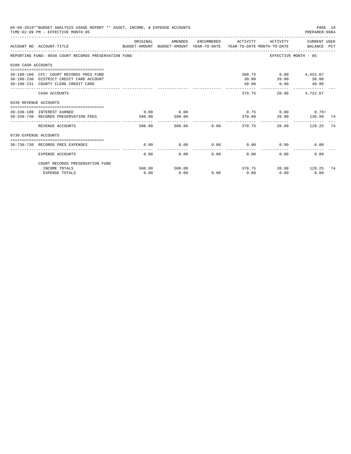|                       | 05-09-2019**BUDGET ANALYSIS USAGE REPORT ** ASSET, INCOME, & EXPENSE ACCOUNTS<br>PAGE 18<br>TIME: 02:09 PM - EFFECTIVE MONTH: 05<br>PREPARER:0004<br>ENCUMBERED ACTIVITY<br>ACTIVITY CURRENT USED |                |                |             |                             |                                       |                |    |  |  |
|-----------------------|---------------------------------------------------------------------------------------------------------------------------------------------------------------------------------------------------|----------------|----------------|-------------|-----------------------------|---------------------------------------|----------------|----|--|--|
|                       | ACCOUNT NO ACCOUNT-TITLE CONTROL CONTROLLER TO BUDGET-AMOUNT BUDGET-AMOUNT YEAR-TO-DATE YEAR-TO-DATE MONTH-TO-DATE                                                                                | ORIGINAL       | AMENDED        |             |                             |                                       |                |    |  |  |
|                       | REPORTING FUND: 0030 COURT RECORDS PRESERVATION FUND                                                                                                                                              |                |                |             |                             | EFFECTIVE MONTH - 05                  |                |    |  |  |
| 0100 CASH ACCOUNTS    |                                                                                                                                                                                                   |                |                |             |                             |                                       |                |    |  |  |
|                       | 30-100-100 CFC: COURT RECORDS PRES FUND<br>30-100-230 DISTRICT CREDIT CARD ACCOUNT<br>30-100-231 COUNTY CLERK CREDIT CARD                                                                         |                |                |             | 30.00<br>40.00              | 300.75 0.00 4,652.67<br>20.00<br>0.00 | 30.00<br>40.00 |    |  |  |
|                       | CASH ACCOUNTS                                                                                                                                                                                     |                |                |             | 370.75                      | _________________________________     | 20.00 4.722.67 |    |  |  |
| 0330 REVENUE ACCOUNTS |                                                                                                                                                                                                   |                |                |             |                             |                                       |                |    |  |  |
|                       | 30-330-180 INTEREST EARNED<br>30-330-730 RECORDS PRESERVATION FEES                                                                                                                                | 0.00<br>500.00 | 0.00<br>500.00 |             | 370.00                      | $0.75$ $0.00$ $0.75+$<br>20.00        | 130.00 74      |    |  |  |
|                       | REVENUE ACCOUNTS                                                                                                                                                                                  | 500.00         |                | 500.00 0.00 | .<br>370.75                 |                                       | 20.00 129.25   | 74 |  |  |
| 0730 EXPENSE ACCOUNTS |                                                                                                                                                                                                   |                |                |             |                             |                                       |                |    |  |  |
|                       | ----------------------------<br>30-730-730 RECORDS PRES EXPENSES                                                                                                                                  | 0.00           | 0.00           |             | $0.00$ $0.00$ $0.00$ $0.00$ |                                       | 0.00           |    |  |  |
|                       | <b>EXPENSE ACCOUNTS</b>                                                                                                                                                                           | 0.00           | 0.00           | 0.00        | 0.00                        | 0.00                                  | 0.00           |    |  |  |
|                       | COURT RECORDS PRESERVATION FUND<br>INCOME TOTALS                                                                                                                                                  | 500.00         | 500.00         |             | 370.75                      |                                       | 20.00 129.25   | 74 |  |  |
|                       | <b>EXPENSE TOTALS</b>                                                                                                                                                                             | 0.00           | 0.00           | 0.00        | 0.00                        | 0.00                                  | 0.00           |    |  |  |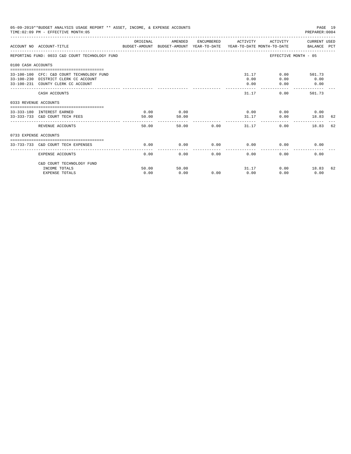| 05-09-2019**BUDGET ANALYSIS USAGE REPORT ** ASSET, INCOME, & EXPENSE ACCOUNTS<br>PAGE 19<br>TIME: 02:09 PM - EFFECTIVE MONTH: 05<br>PREPARER: 0004<br>-------------------<br>ORIGINAL<br>ACTIVITY CURRENT USED<br>AMENDED<br>ENCUMBERED ACTIVITY<br>ACCOUNT NO ACCOUNT-TITLE<br>BUDGET-AMOUNT BUDGET-AMOUNT YEAR-TO-DATE  YEAR-TO-DATE MONTH-TO-DATE      BALANCE PCT<br>REPORTING FUND: 0033 C&D COURT TECHNOLOGY FUND<br>EFFECTIVE MONTH - 05<br>0100 CASH ACCOUNTS<br>31.17<br>0.00 501.73<br>33-100-100 CFC: C&D COURT TECHNOLOGY FUND<br>0.00<br>0.00<br>33-100-230 DISTRICT CLERK CC ACCOUNT<br>0.00<br>33-100-231 COUNTY CLERK CC ACCOUNT<br>0.00<br>0.00<br>0.00<br>31.17<br>CASH ACCOUNTS<br>0.00<br>501.73<br>0333 REVENUE ACCOUNTS<br>0.00<br>0.00<br>0.00<br>$0.00$ 0.00<br>33-333-180 INTEREST EARNED<br>50.00<br>31.17<br>0.00<br>33-333-733 C&D COURT TECH FEES<br>50.00<br>18.83 62<br>-----------<br>------------<br>----------------<br>50.00<br>50.00 0.00<br>31.17<br>0.00<br>REVENUE ACCOUNTS<br>18.83<br>0733 EXPENSE ACCOUNTS<br>0.00<br>$0.00$ 0.00<br>33-733-733 C&D COURT TECH EXPENSES<br>0.00<br>0.00<br>0.00<br>0.00<br>0.00<br>0.00<br>0.00<br>0.00<br>0.00<br><b>EXPENSE ACCOUNTS</b> |               |               |      |      |               |                       |    |
|----------------------------------------------------------------------------------------------------------------------------------------------------------------------------------------------------------------------------------------------------------------------------------------------------------------------------------------------------------------------------------------------------------------------------------------------------------------------------------------------------------------------------------------------------------------------------------------------------------------------------------------------------------------------------------------------------------------------------------------------------------------------------------------------------------------------------------------------------------------------------------------------------------------------------------------------------------------------------------------------------------------------------------------------------------------------------------------------------------------------------------------------------------------------------------------------------------------------|---------------|---------------|------|------|---------------|-----------------------|----|
|                                                                                                                                                                                                                                                                                                                                                                                                                                                                                                                                                                                                                                                                                                                                                                                                                                                                                                                                                                                                                                                                                                                                                                                                                      |               |               |      |      |               |                       |    |
|                                                                                                                                                                                                                                                                                                                                                                                                                                                                                                                                                                                                                                                                                                                                                                                                                                                                                                                                                                                                                                                                                                                                                                                                                      |               |               |      |      |               |                       |    |
|                                                                                                                                                                                                                                                                                                                                                                                                                                                                                                                                                                                                                                                                                                                                                                                                                                                                                                                                                                                                                                                                                                                                                                                                                      |               |               |      |      |               |                       |    |
|                                                                                                                                                                                                                                                                                                                                                                                                                                                                                                                                                                                                                                                                                                                                                                                                                                                                                                                                                                                                                                                                                                                                                                                                                      |               |               |      |      |               |                       |    |
|                                                                                                                                                                                                                                                                                                                                                                                                                                                                                                                                                                                                                                                                                                                                                                                                                                                                                                                                                                                                                                                                                                                                                                                                                      |               |               |      |      |               |                       |    |
|                                                                                                                                                                                                                                                                                                                                                                                                                                                                                                                                                                                                                                                                                                                                                                                                                                                                                                                                                                                                                                                                                                                                                                                                                      |               |               |      |      |               |                       |    |
|                                                                                                                                                                                                                                                                                                                                                                                                                                                                                                                                                                                                                                                                                                                                                                                                                                                                                                                                                                                                                                                                                                                                                                                                                      |               |               |      |      |               |                       |    |
|                                                                                                                                                                                                                                                                                                                                                                                                                                                                                                                                                                                                                                                                                                                                                                                                                                                                                                                                                                                                                                                                                                                                                                                                                      |               |               |      |      |               |                       | 62 |
|                                                                                                                                                                                                                                                                                                                                                                                                                                                                                                                                                                                                                                                                                                                                                                                                                                                                                                                                                                                                                                                                                                                                                                                                                      |               |               |      |      |               |                       |    |
|                                                                                                                                                                                                                                                                                                                                                                                                                                                                                                                                                                                                                                                                                                                                                                                                                                                                                                                                                                                                                                                                                                                                                                                                                      |               |               |      |      |               |                       |    |
|                                                                                                                                                                                                                                                                                                                                                                                                                                                                                                                                                                                                                                                                                                                                                                                                                                                                                                                                                                                                                                                                                                                                                                                                                      |               |               |      |      |               |                       |    |
| C&D COURT TECHNOLOGY FUND                                                                                                                                                                                                                                                                                                                                                                                                                                                                                                                                                                                                                                                                                                                                                                                                                                                                                                                                                                                                                                                                                                                                                                                            |               |               |      |      |               |                       |    |
| INCOME TOTALS<br><b>EXPENSE TOTALS</b>                                                                                                                                                                                                                                                                                                                                                                                                                                                                                                                                                                                                                                                                                                                                                                                                                                                                                                                                                                                                                                                                                                                                                                               | 50.00<br>0.00 | 50.00<br>0.00 | 0.00 | 0.00 | 31.17<br>0.00 | 0.00<br>18.83<br>0.00 | 62 |
|                                                                                                                                                                                                                                                                                                                                                                                                                                                                                                                                                                                                                                                                                                                                                                                                                                                                                                                                                                                                                                                                                                                                                                                                                      |               |               |      |      |               |                       |    |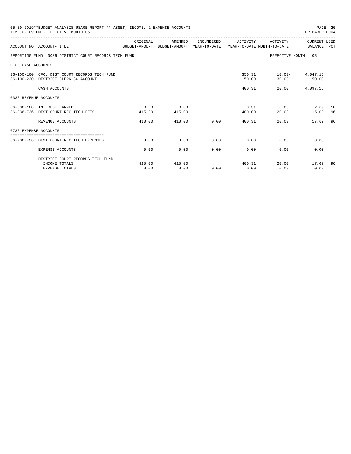|                       | 05-09-2019**BUDGET ANALYSIS USAGE REPORT ** ASSET, INCOME, & EXPENSE ACCOUNTS<br>TIME: 02:09 PM - EFFECTIVE MONTH: 05 |                      |                |                          |                      |                             | PAGE 20<br>PREPARER: 0004                 |    |
|-----------------------|-----------------------------------------------------------------------------------------------------------------------|----------------------|----------------|--------------------------|----------------------|-----------------------------|-------------------------------------------|----|
|                       | ACCOUNT NO ACCOUNT-TITLE<br>BUDGET-AMOUNT BUDGET-AMOUNT YEAR-TO-DATE YEAR-TO-DATE MONTH-TO-DATE BALANCE PCT           | ORIGINAL             | AMENDED        |                          |                      |                             | ENCUMBERED ACTIVITY ACTIVITY CURRENT USED |    |
|                       | REPORTING FUND: 0036 DISTRICT COURT RECORDS TECH FUND                                                                 |                      |                |                          |                      |                             | EFFECTIVE MONTH - 05                      |    |
| 0100 CASH ACCOUNTS    |                                                                                                                       |                      |                |                          |                      |                             |                                           |    |
|                       | 36-100-100 CFC: DIST COURT RECORDS TECH FUND<br>36-100-230 DISTRICT CLERK CC ACCOUNT                                  |                      |                |                          | 50.00                | 350.31    10.00    4,047.16 | 30.00 50.00                               |    |
|                       | CASH ACCOUNTS                                                                                                         |                      |                |                          |                      | 400.31<br>20.00             | 4,097.16                                  |    |
| 0336 REVENUE ACCOUNTS |                                                                                                                       |                      |                |                          |                      |                             |                                           |    |
|                       | 36-336-180 INTEREST EARNED<br>36-336-736 DIST COURT REC TECH FEES                                                     | 3.00<br>415.00       | 3.00<br>415.00 |                          | 400.00               |                             | $0.31$ $0.00$ $2.69$ 10<br>20.00 15.00 96 |    |
|                       | REVENUE ACCOUNTS                                                                                                      | ----------<br>418.00 | 418.00         |                          | 0.00                 | 400.31                      | 20.00<br>17.69 96                         |    |
| 0736 EXPENSE ACCOUNTS |                                                                                                                       |                      |                |                          |                      |                             |                                           |    |
|                       | 36-736-736 DIST COURT REC TECH EXPENSES                                                                               | 0.00                 | 0.00           | 0.00                     |                      | $0.00$ $0.00$               | 0.00                                      |    |
|                       | <b>EXPENSE ACCOUNTS</b>                                                                                               | 0.00                 | 0.00           | ------------<br>$0.00 -$ | ------------<br>0.00 | 0.00                        | 0.00                                      |    |
|                       | DISTRICT COURT RECORDS TECH FUND                                                                                      |                      |                |                          |                      |                             |                                           |    |
|                       | INCOME TOTALS<br><b>EXPENSE TOTALS</b>                                                                                | 418.00<br>0.00       | 418.00<br>0.00 | 0.00                     | 0.00                 | 0.00                        | 400.31 20.00 17.69<br>0.00                | 96 |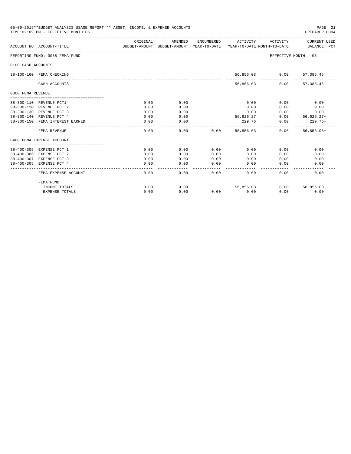| 05-09-2019**BUDGET ANALYSIS USAGE REPORT ** ASSET, INCOME, & EXPENSE ACCOUNTS<br>PAGE 21<br>TIME: 02:09 PM - EFFECTIVE MONTH: 05<br>PREPARER: 0004<br>ORIGINAL<br>AMENDED<br>ENCUMBERED ACTIVITY ACTIVITY CURRENT USED<br>ACCOUNT NO ACCOUNT-TITLE<br>BUDGET-AMOUNT BUDGET-AMOUNT YEAR-TO-DATE YEAR-TO-DATE MONTH-TO-DATE BALANCE PCT<br>EFFECTIVE MONTH - 05<br>REPORTING FUND: 0038 FEMA FUND<br>0100 CASH ACCOUNTS<br>56,856.03 0.00 57,385.45<br>38-100-160 FEMA CHECKING<br>56,856.03<br>$0.00$ 57,385.45<br>CASH ACCOUNTS<br>0300 FEMA REVENUE<br>38-300-110 REVENUE PCT1<br>0.00<br>0.00<br>0.00<br>0.00<br>0.00<br>38-300-120 REVENUE PCT 2<br>0.00<br>0.00<br>0.00<br>0.00<br>0.00<br>38-300-130 REVENUE PCT 3<br>0.00<br>0.00<br>0.00<br>0.00<br>0.00<br>38-300-140 REVENUE PCT 4<br>56,626.27<br>$0.00$ $56,626.27+$<br>0.00<br>0.00<br>38-300-150 FEMA INTEREST EARNED<br>0.00<br>229.76<br>0.00<br>$229.76+$<br>0.00<br>--------------<br>---------<br>0.00<br>56,856,03<br>$0.00$ 56,856,03+<br>FEMA REVENUE<br>0.00<br>0.00<br>0400 FEMA EXPENSE ACCOUNT<br>38-400-305 EXPENSE PCT 1<br>0.00<br>0.00<br>0.00<br>0.00<br>0.00<br>0.00<br>38-400-306 EXPENSE PCT 2<br>0.00<br>0.00<br>0.00<br>0.00<br>0.00<br>0.00<br>38-400-307 EXPENSE PCT 3<br>0.00<br>0.00<br>0.00<br>0.00<br>0.00<br>0.00<br>0.00<br>38-400-308 EXPENSE PCT 4<br>0.00<br>0.00<br>0.00<br>0.00<br>0.00 |      |             |         |           |      |                   |
|-----------------------------------------------------------------------------------------------------------------------------------------------------------------------------------------------------------------------------------------------------------------------------------------------------------------------------------------------------------------------------------------------------------------------------------------------------------------------------------------------------------------------------------------------------------------------------------------------------------------------------------------------------------------------------------------------------------------------------------------------------------------------------------------------------------------------------------------------------------------------------------------------------------------------------------------------------------------------------------------------------------------------------------------------------------------------------------------------------------------------------------------------------------------------------------------------------------------------------------------------------------------------------------------------------------------------------------------------------------------------------------------|------|-------------|---------|-----------|------|-------------------|
|                                                                                                                                                                                                                                                                                                                                                                                                                                                                                                                                                                                                                                                                                                                                                                                                                                                                                                                                                                                                                                                                                                                                                                                                                                                                                                                                                                                         |      |             |         |           |      |                   |
|                                                                                                                                                                                                                                                                                                                                                                                                                                                                                                                                                                                                                                                                                                                                                                                                                                                                                                                                                                                                                                                                                                                                                                                                                                                                                                                                                                                         |      |             |         |           |      |                   |
|                                                                                                                                                                                                                                                                                                                                                                                                                                                                                                                                                                                                                                                                                                                                                                                                                                                                                                                                                                                                                                                                                                                                                                                                                                                                                                                                                                                         |      |             |         |           |      |                   |
|                                                                                                                                                                                                                                                                                                                                                                                                                                                                                                                                                                                                                                                                                                                                                                                                                                                                                                                                                                                                                                                                                                                                                                                                                                                                                                                                                                                         |      |             |         |           |      |                   |
|                                                                                                                                                                                                                                                                                                                                                                                                                                                                                                                                                                                                                                                                                                                                                                                                                                                                                                                                                                                                                                                                                                                                                                                                                                                                                                                                                                                         |      |             |         |           |      |                   |
|                                                                                                                                                                                                                                                                                                                                                                                                                                                                                                                                                                                                                                                                                                                                                                                                                                                                                                                                                                                                                                                                                                                                                                                                                                                                                                                                                                                         |      |             |         |           |      |                   |
|                                                                                                                                                                                                                                                                                                                                                                                                                                                                                                                                                                                                                                                                                                                                                                                                                                                                                                                                                                                                                                                                                                                                                                                                                                                                                                                                                                                         |      |             |         |           |      |                   |
|                                                                                                                                                                                                                                                                                                                                                                                                                                                                                                                                                                                                                                                                                                                                                                                                                                                                                                                                                                                                                                                                                                                                                                                                                                                                                                                                                                                         |      |             |         |           |      |                   |
|                                                                                                                                                                                                                                                                                                                                                                                                                                                                                                                                                                                                                                                                                                                                                                                                                                                                                                                                                                                                                                                                                                                                                                                                                                                                                                                                                                                         |      |             |         |           |      |                   |
|                                                                                                                                                                                                                                                                                                                                                                                                                                                                                                                                                                                                                                                                                                                                                                                                                                                                                                                                                                                                                                                                                                                                                                                                                                                                                                                                                                                         |      |             |         |           |      |                   |
|                                                                                                                                                                                                                                                                                                                                                                                                                                                                                                                                                                                                                                                                                                                                                                                                                                                                                                                                                                                                                                                                                                                                                                                                                                                                                                                                                                                         |      |             |         |           |      |                   |
|                                                                                                                                                                                                                                                                                                                                                                                                                                                                                                                                                                                                                                                                                                                                                                                                                                                                                                                                                                                                                                                                                                                                                                                                                                                                                                                                                                                         |      |             |         |           |      |                   |
|                                                                                                                                                                                                                                                                                                                                                                                                                                                                                                                                                                                                                                                                                                                                                                                                                                                                                                                                                                                                                                                                                                                                                                                                                                                                                                                                                                                         |      |             |         |           |      |                   |
|                                                                                                                                                                                                                                                                                                                                                                                                                                                                                                                                                                                                                                                                                                                                                                                                                                                                                                                                                                                                                                                                                                                                                                                                                                                                                                                                                                                         |      |             |         |           |      |                   |
|                                                                                                                                                                                                                                                                                                                                                                                                                                                                                                                                                                                                                                                                                                                                                                                                                                                                                                                                                                                                                                                                                                                                                                                                                                                                                                                                                                                         |      |             |         |           |      |                   |
|                                                                                                                                                                                                                                                                                                                                                                                                                                                                                                                                                                                                                                                                                                                                                                                                                                                                                                                                                                                                                                                                                                                                                                                                                                                                                                                                                                                         |      |             |         |           |      |                   |
|                                                                                                                                                                                                                                                                                                                                                                                                                                                                                                                                                                                                                                                                                                                                                                                                                                                                                                                                                                                                                                                                                                                                                                                                                                                                                                                                                                                         | .    | ----------- | ------- | -------   |      |                   |
| FEMA EXPENSE ACCOUNT                                                                                                                                                                                                                                                                                                                                                                                                                                                                                                                                                                                                                                                                                                                                                                                                                                                                                                                                                                                                                                                                                                                                                                                                                                                                                                                                                                    | 0.00 | 0.00        | 0.00    | 0.00      | 0.00 | 0.00              |
| FEMA FUND                                                                                                                                                                                                                                                                                                                                                                                                                                                                                                                                                                                                                                                                                                                                                                                                                                                                                                                                                                                                                                                                                                                                                                                                                                                                                                                                                                               |      |             |         |           |      |                   |
| INCOME TOTALS                                                                                                                                                                                                                                                                                                                                                                                                                                                                                                                                                                                                                                                                                                                                                                                                                                                                                                                                                                                                                                                                                                                                                                                                                                                                                                                                                                           | 0.00 | 0.00        |         | 56,856.03 |      | $0.00$ 56,856.03+ |
| <b>EXPENSE TOTALS</b>                                                                                                                                                                                                                                                                                                                                                                                                                                                                                                                                                                                                                                                                                                                                                                                                                                                                                                                                                                                                                                                                                                                                                                                                                                                                                                                                                                   | 0.00 | 0.00        | 0.00    | 0.00      | 0.00 | 0.00              |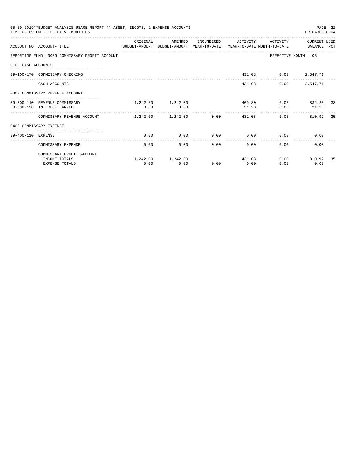|                    | 05-09-2019**BUDGET ANALYSIS USAGE REPORT ** ASSET, INCOME, & EXPENSE ACCOUNTS<br>TIME: 02:09 PM - EFFECTIVE MONTH: 05 |           |                            |                      |                         |                      | PAGE 22<br>PREPARER: 0004 |    |
|--------------------|-----------------------------------------------------------------------------------------------------------------------|-----------|----------------------------|----------------------|-------------------------|----------------------|---------------------------|----|
|                    | ACCOUNT NO ACCOUNT-TITLE CONTROL SUDGET-AMOUNT BUDGET-AMOUNT YEAR-TO-DATE YEAR-TO-DATE MONTH-TO-DATE BALANCE PCT      | OR TGTNAL | AMENDED                    | ENCUMBERED           | ACTIVITY                | ACTIVITY             | CURRENT USED              |    |
|                    | REPORTING FUND: 0039 COMMISSARY PROFIT ACCOUNT                                                                        |           |                            |                      |                         |                      | EFFECTIVE MONTH - 05      |    |
| 0100 CASH ACCOUNTS |                                                                                                                       |           |                            |                      |                         |                      |                           |    |
|                    | 39-100-170 COMMISSARY CHECKING                                                                                        |           |                            |                      |                         | 431.08 0.00 2,547.71 |                           |    |
|                    | CASH ACCOUNTS                                                                                                         |           |                            |                      | 431.08                  | 0.00                 | 2,547.71                  |    |
|                    | 0300 COMMISSARY REVENUE ACCOUNT                                                                                       |           |                            |                      |                         |                      |                           |    |
|                    | 39-300-110 REVENUE COMMISSARY                                                                                         |           | 1,242.00 1,242.00          |                      |                         | 409.80               | $0.00$ $832.20$ 33        |    |
|                    | 39-300-120 INTEREST EARNED                                                                                            | 0.00      | 0.00                       |                      | 21.28<br>-------------- | 0.00                 | $21.28+$                  |    |
|                    | COMMISSARY REVENUE ACCOUNT                                                                                            |           | $1.242.00$ $1.242.00$ 0.00 |                      | 431.08                  |                      | 0.00<br>810.92            | 35 |
|                    | 0400 COMMISSARY EXPENSE                                                                                               |           |                            |                      |                         |                      |                           |    |
| 39-400-110 EXPENSE |                                                                                                                       | 0.00      | 0.00                       | 0.00                 | 0.00                    |                      | $0.00$ and $0.00$<br>0.00 |    |
|                    | COMMISSARY EXPENSE                                                                                                    | 0.00      | 0.00                       | ------------<br>0.00 | -------------<br>0.00   | 0.00                 | 0.00                      |    |
|                    | COMMISSARY PROFIT ACCOUNT                                                                                             |           |                            |                      |                         |                      |                           |    |
|                    | INCOME TOTALS                                                                                                         |           | 1,242.00 1,242.00          |                      | 431.08                  |                      | $0.00$ 810.92             | 35 |
|                    | <b>EXPENSE TOTALS</b>                                                                                                 | 0.00      | 0.00                       | 0.00                 | 0.00                    | 0.00                 | 0.00                      |    |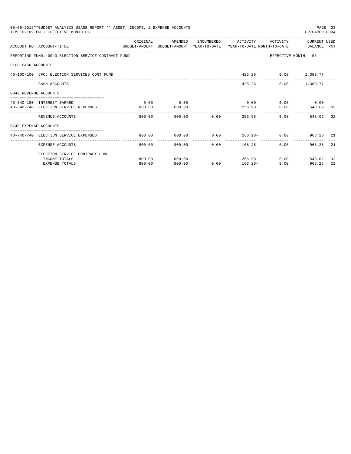|                       | 05-09-2019**BUDGET ANALYSIS USAGE REPORT ** ASSET, INCOME, & EXPENSE ACCOUNTS<br>TIME: 02:09 PM - EFFECTIVE MONTH: 05 |          |         |             |                     |                      | PREPARER: 0004                       | PAGE 23 |
|-----------------------|-----------------------------------------------------------------------------------------------------------------------|----------|---------|-------------|---------------------|----------------------|--------------------------------------|---------|
|                       | ACCOUNT NO ACCOUNT-TITLE<br>BUDGET-AMOUNT BUDGET-AMOUNT YEAR-TO-DATE YEAR-TO-DATE MONTH-TO-DATE   BALANCE PCT         | ORIGINAL | AMENDED |             | ENCUMBERED ACTIVITY | ACTIVITY             | CURRENT USED                         |         |
|                       | REPORTING FUND: 0040 ELECTION SERVICE CONTRACT FUND                                                                   |          |         |             |                     |                      | EFFECTIVE MONTH - 05                 |         |
| 0100 CASH ACCOUNTS    |                                                                                                                       |          |         |             |                     |                      |                                      |         |
|                       | 40-100-100 CFC: ELECTION SERVICES CONT FUND                                                                           |          |         |             |                     | 425.26 0.00 1,389.77 |                                      |         |
|                       | CASH ACCOUNTS                                                                                                         |          |         |             |                     | 425.26               | $0.00$ 1,389.77                      |         |
| 0340 REVENUE ACCOUNTS |                                                                                                                       |          |         |             |                     |                      |                                      |         |
|                       | 40-340-180 INTEREST EARNED                                                                                            | 0.00     | 0.00    |             |                     |                      | $0.00$ $0.00$ $0.00$ $0.00$          |         |
|                       | 40-340-740 ELECTION SERVICE REVENUES                                                                                  | 800.00   | 800.00  |             |                     | 256.98               | $0.00$ 543.02 32                     |         |
|                       | REVENUE ACCOUNTS                                                                                                      | 800.00   |         | 800.00 0.00 |                     | 256.98               | 0.00<br>543.02                       | 32      |
| 0740 EXPENSE ACCOUNTS |                                                                                                                       |          |         |             |                     |                      |                                      |         |
|                       | 40-740-740 ELECTION SERVICE EXPENSES                                                                                  | 800.00   | 800.00  |             |                     |                      | $0.00$ $168.28 - 0.00$ $968.28$ $21$ |         |
|                       | EXPENSE ACCOUNTS                                                                                                      | 800.00   | 800.00  |             | $0.00$ 168.28-      | 0.00                 | 968.28 21                            |         |
|                       | ELECTION SERVICE CONTRACT FUND                                                                                        |          |         |             |                     |                      |                                      |         |
|                       | INCOME TOTALS                                                                                                         | 800.00   | 800.00  |             |                     | 256.98               | $0.00$ 543.02                        | 32      |
|                       | <b>EXPENSE TOTALS</b>                                                                                                 | 800.00   | 800.00  |             | $0.00$ 168.28-      | 0.00                 | 968.28                               | 21      |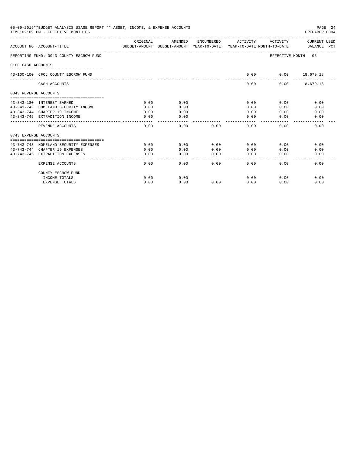|                       | 05-09-2019**BUDGET ANALYSIS USAGE REPORT ** ASSET, INCOME, & EXPENSE ACCOUNTS<br>PAGE 24<br>TIME: 02:09 PM - EFFECTIVE MONTH: 05<br>PREPARER: 0004<br>AMENDED<br>ORIGINAL<br>ENCUMBERED<br>ACTIVITY<br>CURRENT USED<br>ACTIVITY<br>BALANCE PCT<br>ACCOUNT NO ACCOUNT-TITLE<br>BUDGET-AMOUNT BUDGET-AMOUNT YEAR-TO-DATE YEAR-TO-DATE MONTH-TO-DATE<br>REPORTING FUND: 0043 COUNTY ESCROW FUND<br>EFFECTIVE MONTH - 05<br>0100 CASH ACCOUNTS<br>43-100-100 CFC: COUNTY ESCROW FUND<br>0.00<br>$0.00$ 18,679.18<br>CASH ACCOUNTS<br>0.00<br>$0.00$ 18,679.18 |      |           |                        |                       |      |      |  |  |  |
|-----------------------|-----------------------------------------------------------------------------------------------------------------------------------------------------------------------------------------------------------------------------------------------------------------------------------------------------------------------------------------------------------------------------------------------------------------------------------------------------------------------------------------------------------------------------------------------------------|------|-----------|------------------------|-----------------------|------|------|--|--|--|
|                       |                                                                                                                                                                                                                                                                                                                                                                                                                                                                                                                                                           |      |           |                        |                       |      |      |  |  |  |
|                       |                                                                                                                                                                                                                                                                                                                                                                                                                                                                                                                                                           |      |           |                        |                       |      |      |  |  |  |
|                       |                                                                                                                                                                                                                                                                                                                                                                                                                                                                                                                                                           |      |           |                        |                       |      |      |  |  |  |
|                       |                                                                                                                                                                                                                                                                                                                                                                                                                                                                                                                                                           |      |           |                        |                       |      |      |  |  |  |
|                       |                                                                                                                                                                                                                                                                                                                                                                                                                                                                                                                                                           |      |           |                        |                       |      |      |  |  |  |
| 0343 REVENUE ACCOUNTS |                                                                                                                                                                                                                                                                                                                                                                                                                                                                                                                                                           |      |           |                        |                       |      |      |  |  |  |
|                       | 43-343-180 INTEREST EARNED                                                                                                                                                                                                                                                                                                                                                                                                                                                                                                                                | 0.00 | 0.00      |                        | 0.00                  | 0.00 | 0.00 |  |  |  |
|                       | 43-343-743 HOMELAND SECURITY INCOME                                                                                                                                                                                                                                                                                                                                                                                                                                                                                                                       | 0.00 | 0.00      |                        | 0.00                  | 0.00 | 0.00 |  |  |  |
|                       | 43-343-744 CHAPTER 19 INCOME                                                                                                                                                                                                                                                                                                                                                                                                                                                                                                                              | 0.00 | 0.00      |                        | 0.00                  | 0.00 | 0.00 |  |  |  |
|                       | 43-343-745 EXTRADITION INCOME                                                                                                                                                                                                                                                                                                                                                                                                                                                                                                                             | 0.00 | 0.00      |                        | 0.00                  | 0.00 | 0.00 |  |  |  |
|                       | REVENUE ACCOUNTS                                                                                                                                                                                                                                                                                                                                                                                                                                                                                                                                          | 0.00 | 0.00      | 0.00                   | 0.00                  | 0.00 | 0.00 |  |  |  |
| 0743 EXPENSE ACCOUNTS |                                                                                                                                                                                                                                                                                                                                                                                                                                                                                                                                                           |      |           |                        |                       |      |      |  |  |  |
|                       | 43-743-743 HOMELAND SECURITY EXPENSES                                                                                                                                                                                                                                                                                                                                                                                                                                                                                                                     | 0.00 | 0.00      | 0.00                   | 0.00                  | 0.00 | 0.00 |  |  |  |
|                       | 43-743-744 CHAPTER 19 EXPENSES                                                                                                                                                                                                                                                                                                                                                                                                                                                                                                                            | 0.00 | 0.00      | 0.00                   | 0.00                  | 0.00 | 0.00 |  |  |  |
|                       | 43-743-745 EXTRADITION EXPENSES                                                                                                                                                                                                                                                                                                                                                                                                                                                                                                                           | 0.00 | 0.00<br>. | 0.00<br>المامات ماليات | 0.00<br>$\frac{1}{2}$ | 0.00 | 0.00 |  |  |  |
|                       | EXPENSE ACCOUNTS                                                                                                                                                                                                                                                                                                                                                                                                                                                                                                                                          | 0.00 | 0.00      | 0.00                   | 0.00                  | 0.00 | 0.00 |  |  |  |
|                       | COUNTY ESCROW FUND                                                                                                                                                                                                                                                                                                                                                                                                                                                                                                                                        |      |           |                        |                       |      |      |  |  |  |
|                       | INCOME TOTALS                                                                                                                                                                                                                                                                                                                                                                                                                                                                                                                                             | 0.00 | 0.00      |                        | 0.00                  | 0.00 | 0.00 |  |  |  |
|                       | <b>EXPENSE TOTALS</b>                                                                                                                                                                                                                                                                                                                                                                                                                                                                                                                                     | 0.00 | 0.00      | 0.00                   | 0.00                  | 0.00 | 0.00 |  |  |  |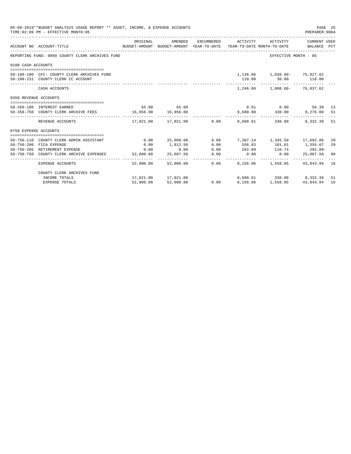| 05-09-2019**BUDGET ANALYSIS USAGE REPORT ** ASSET, INCOME, & EXPENSE ACCOUNTS<br>PAGE 25<br>TIME: 02:09 PM - EFFECTIVE MONTH: 05<br>PREPARER: 0004<br>ACTIVITY CURRENT USED<br>ORIGINAL<br>AMENDED<br>ENCUMBERED ACTIVITY<br>BUDGET-AMOUNT BUDGET-AMOUNT YEAR-TO-DATE YEAR-TO-DATE MONTH-TO-DATE BALANCE PCT<br>ACCOUNT NO ACCOUNT-TITLE<br>REPORTING FUND: 0050 COUNTY CLERK ARCHIVES FUND<br>EFFECTIVE MONTH - 05<br>0100 CASH ACCOUNTS<br>1, 136.66 1, 038.60- 75, 927.62<br>50-100-100 CFC: COUNTY CLERK ARCHIVES FUND<br>50-100-231 COUNTY CLERK CC ACCOUNT<br>110.00 30.00 110.00<br>1,246.66 1,008.60- 76,037.62<br>CASH ACCOUNTS<br>0350 REVENUE ACCOUNTS<br>65.00 65.00<br>8.61 0.00<br>50-350-180 INTEREST EARNED<br>56.39 13<br>50-350-750 COUNTY CLERK ARCHIVE FEES 16,956.00 16,956.00<br>8,680.00 330.00 8,276.00 51<br>17,021.00  17,021.00   0.00<br>330.00<br>REVENUE ACCOUNTS<br>8,688.61<br>0750 EXPENSE ACCOUNTS<br>0.00<br>25,000.00<br>$0.00$ $7,307.14$ $1,345.50$ $17,692.86$<br>50-750-110 COUNTY CLERK ADMIN ASSISTANT<br>50-750-200 FICA EXPENSE<br>0.00<br>0.00<br>1,912.50<br>556.83<br>101.81<br>1,355.67<br>50-750-205 RETIREMENT EXPENSE<br>0.00<br>292.09 110.74 292.09-<br>0.00<br>0.00<br>$0.00$ 0.00<br>50-750-750 COUNTY CLERK ARCHIVE EXPENSES<br>25,087.50<br>0.00<br>52,000.00 |                            |           |                                      |              |                                       |                   |              |          |
|------------------------------------------------------------------------------------------------------------------------------------------------------------------------------------------------------------------------------------------------------------------------------------------------------------------------------------------------------------------------------------------------------------------------------------------------------------------------------------------------------------------------------------------------------------------------------------------------------------------------------------------------------------------------------------------------------------------------------------------------------------------------------------------------------------------------------------------------------------------------------------------------------------------------------------------------------------------------------------------------------------------------------------------------------------------------------------------------------------------------------------------------------------------------------------------------------------------------------------------------------------------------------------------------------------------------|----------------------------|-----------|--------------------------------------|--------------|---------------------------------------|-------------------|--------------|----------|
|                                                                                                                                                                                                                                                                                                                                                                                                                                                                                                                                                                                                                                                                                                                                                                                                                                                                                                                                                                                                                                                                                                                                                                                                                                                                                                                        |                            |           |                                      |              |                                       |                   |              |          |
|                                                                                                                                                                                                                                                                                                                                                                                                                                                                                                                                                                                                                                                                                                                                                                                                                                                                                                                                                                                                                                                                                                                                                                                                                                                                                                                        |                            |           |                                      |              |                                       |                   |              |          |
|                                                                                                                                                                                                                                                                                                                                                                                                                                                                                                                                                                                                                                                                                                                                                                                                                                                                                                                                                                                                                                                                                                                                                                                                                                                                                                                        |                            |           |                                      |              |                                       |                   |              |          |
|                                                                                                                                                                                                                                                                                                                                                                                                                                                                                                                                                                                                                                                                                                                                                                                                                                                                                                                                                                                                                                                                                                                                                                                                                                                                                                                        |                            |           |                                      |              |                                       |                   |              |          |
|                                                                                                                                                                                                                                                                                                                                                                                                                                                                                                                                                                                                                                                                                                                                                                                                                                                                                                                                                                                                                                                                                                                                                                                                                                                                                                                        |                            |           |                                      |              |                                       |                   |              |          |
|                                                                                                                                                                                                                                                                                                                                                                                                                                                                                                                                                                                                                                                                                                                                                                                                                                                                                                                                                                                                                                                                                                                                                                                                                                                                                                                        |                            |           |                                      |              |                                       |                   |              |          |
|                                                                                                                                                                                                                                                                                                                                                                                                                                                                                                                                                                                                                                                                                                                                                                                                                                                                                                                                                                                                                                                                                                                                                                                                                                                                                                                        |                            |           |                                      |              |                                       |                   |              |          |
|                                                                                                                                                                                                                                                                                                                                                                                                                                                                                                                                                                                                                                                                                                                                                                                                                                                                                                                                                                                                                                                                                                                                                                                                                                                                                                                        |                            |           |                                      |              |                                       |                   |              |          |
|                                                                                                                                                                                                                                                                                                                                                                                                                                                                                                                                                                                                                                                                                                                                                                                                                                                                                                                                                                                                                                                                                                                                                                                                                                                                                                                        |                            |           |                                      |              |                                       |                   |              |          |
|                                                                                                                                                                                                                                                                                                                                                                                                                                                                                                                                                                                                                                                                                                                                                                                                                                                                                                                                                                                                                                                                                                                                                                                                                                                                                                                        |                            |           |                                      |              |                                       |                   | 8,332,39 51  |          |
|                                                                                                                                                                                                                                                                                                                                                                                                                                                                                                                                                                                                                                                                                                                                                                                                                                                                                                                                                                                                                                                                                                                                                                                                                                                                                                                        |                            |           |                                      |              |                                       |                   |              |          |
|                                                                                                                                                                                                                                                                                                                                                                                                                                                                                                                                                                                                                                                                                                                                                                                                                                                                                                                                                                                                                                                                                                                                                                                                                                                                                                                        |                            |           |                                      |              |                                       |                   |              |          |
|                                                                                                                                                                                                                                                                                                                                                                                                                                                                                                                                                                                                                                                                                                                                                                                                                                                                                                                                                                                                                                                                                                                                                                                                                                                                                                                        |                            |           |                                      |              |                                       |                   |              | 29<br>29 |
|                                                                                                                                                                                                                                                                                                                                                                                                                                                                                                                                                                                                                                                                                                                                                                                                                                                                                                                                                                                                                                                                                                                                                                                                                                                                                                                        |                            |           |                                      |              |                                       |                   |              |          |
|                                                                                                                                                                                                                                                                                                                                                                                                                                                                                                                                                                                                                                                                                                                                                                                                                                                                                                                                                                                                                                                                                                                                                                                                                                                                                                                        |                            |           |                                      |              |                                       |                   | 25,087,50 00 |          |
|                                                                                                                                                                                                                                                                                                                                                                                                                                                                                                                                                                                                                                                                                                                                                                                                                                                                                                                                                                                                                                                                                                                                                                                                                                                                                                                        | EXPENSE ACCOUNTS           |           | -------------<br>52,000.00 52,000.00 | ------------ | $0.00$ 8,156.06 1,558.05 43,843.94 16 |                   |              |          |
|                                                                                                                                                                                                                                                                                                                                                                                                                                                                                                                                                                                                                                                                                                                                                                                                                                                                                                                                                                                                                                                                                                                                                                                                                                                                                                                        | COUNTY CLERK ARCHIVES FUND |           |                                      |              |                                       |                   |              |          |
|                                                                                                                                                                                                                                                                                                                                                                                                                                                                                                                                                                                                                                                                                                                                                                                                                                                                                                                                                                                                                                                                                                                                                                                                                                                                                                                        | INCOME TOTALS              |           | 17,021.00 17,021.00                  |              | $8,688.61$ $330.00$ $8,332.39$        |                   |              | 51       |
|                                                                                                                                                                                                                                                                                                                                                                                                                                                                                                                                                                                                                                                                                                                                                                                                                                                                                                                                                                                                                                                                                                                                                                                                                                                                                                                        | <b>EXPENSE TOTALS</b>      | 52,000.00 | 52,000.00                            | 0.00         |                                       | 8,156.06 1,558.05 | 43,843.94    | 16       |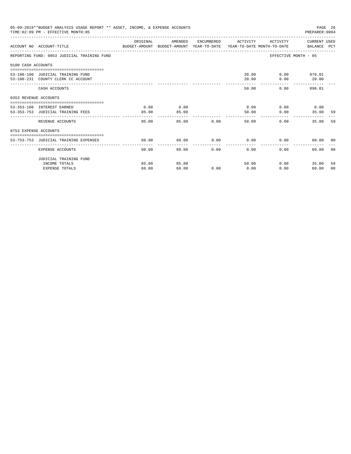|                       | 05-09-2019**BUDGET ANALYSIS USAGE REPORT ** ASSET, INCOME, & EXPENSE ACCOUNTS<br>TIME: 02:09 PM - EFFECTIVE MONTH: 05 |                                                                                                                                                                                                                                                                                                                                                                                                       |         |               |                                 |                       | PAGE 26<br>PREPARER: 0004 |                |
|-----------------------|-----------------------------------------------------------------------------------------------------------------------|-------------------------------------------------------------------------------------------------------------------------------------------------------------------------------------------------------------------------------------------------------------------------------------------------------------------------------------------------------------------------------------------------------|---------|---------------|---------------------------------|-----------------------|---------------------------|----------------|
|                       | ACCOUNT NO ACCOUNT-TITLE CONTROL SUDGET-AMOUNT BUDGET-AMOUNT YEAR-TO-DATE YEAR-TO-DATE MONTH-TO-DATE BALANCE PCT      | ORIGINAL                                                                                                                                                                                                                                                                                                                                                                                              | AMENDED |               | ENCUMBERED ACTIVITY             | ACTIVITY CURRENT USED |                           |                |
|                       | REPORTING FUND: 0053 JUDICIAL TRAINING FUND                                                                           |                                                                                                                                                                                                                                                                                                                                                                                                       |         |               |                                 | EFFECTIVE MONTH - 05  |                           |                |
| 0100 CASH ACCOUNTS    |                                                                                                                       |                                                                                                                                                                                                                                                                                                                                                                                                       |         |               |                                 |                       |                           |                |
|                       | 53-100-100 JUDICIAL TRAINING FUND                                                                                     |                                                                                                                                                                                                                                                                                                                                                                                                       |         |               |                                 | 30.00 0.00 876.01     |                           |                |
|                       | 53-100-231 COUNTY CLERK CC ACCOUNT                                                                                    |                                                                                                                                                                                                                                                                                                                                                                                                       |         |               | 20.00                           |                       | $0.00$ 20.00              |                |
|                       | CASH ACCOUNTS                                                                                                         |                                                                                                                                                                                                                                                                                                                                                                                                       |         |               | 50.00                           |                       | $0.00$ 896.01             |                |
| 0353 REVENUE ACCOUNTS |                                                                                                                       |                                                                                                                                                                                                                                                                                                                                                                                                       |         |               |                                 |                       |                           |                |
|                       | 53-353-180 INTEREST EARNED                                                                                            | 0.00                                                                                                                                                                                                                                                                                                                                                                                                  | 0.00    |               | $0.00$ $0.00$ $0.00$ $0.00$     |                       |                           |                |
|                       | 53-353-753 JUDICIAL TRAINING FEES                                                                                     | 85.00                                                                                                                                                                                                                                                                                                                                                                                                 | 85.00   |               | 50.00                           | 0.00                  | 35.00                     | -59            |
|                       | REVENUE ACCOUNTS                                                                                                      | $\frac{1}{2} \frac{1}{2} \frac{1}{2} \frac{1}{2} \frac{1}{2} \frac{1}{2} \frac{1}{2} \frac{1}{2} \frac{1}{2} \frac{1}{2} \frac{1}{2} \frac{1}{2} \frac{1}{2} \frac{1}{2} \frac{1}{2} \frac{1}{2} \frac{1}{2} \frac{1}{2} \frac{1}{2} \frac{1}{2} \frac{1}{2} \frac{1}{2} \frac{1}{2} \frac{1}{2} \frac{1}{2} \frac{1}{2} \frac{1}{2} \frac{1}{2} \frac{1}{2} \frac{1}{2} \frac{1}{2} \frac{$<br>85.00 |         | 85.00         | --------------<br>0.00<br>50.00 | 0.00                  | 35.00                     | 59             |
| 0753 EXPENSE ACCOUNTS |                                                                                                                       |                                                                                                                                                                                                                                                                                                                                                                                                       |         |               |                                 |                       |                           |                |
|                       | 53-753-753 JUDICIAL TRAINING EXPENSES                                                                                 | 60.00                                                                                                                                                                                                                                                                                                                                                                                                 | 60.00   |               | $0.00$ $0.00$ $0.00$ $0.00$     |                       | 60.00 00                  |                |
|                       |                                                                                                                       |                                                                                                                                                                                                                                                                                                                                                                                                       |         |               |                                 |                       |                           |                |
|                       | EXPENSE ACCOUNTS                                                                                                      | 60.00                                                                                                                                                                                                                                                                                                                                                                                                 |         | 0.00<br>60.00 | 0.00                            | 0.00                  | 60.00                     | 0 <sub>0</sub> |
|                       | JUDICIAL TRAINING FUND                                                                                                |                                                                                                                                                                                                                                                                                                                                                                                                       |         |               |                                 |                       |                           |                |
|                       | INCOME TOTALS                                                                                                         | 85.00                                                                                                                                                                                                                                                                                                                                                                                                 | 85.00   |               | 50.00                           | 0.00                  | 35.00                     | 59             |
|                       | <b>EXPENSE TOTALS</b>                                                                                                 | 60.00                                                                                                                                                                                                                                                                                                                                                                                                 | 60.00   | 0.00          | 0.00                            | 0.00                  | 60.00                     | 00             |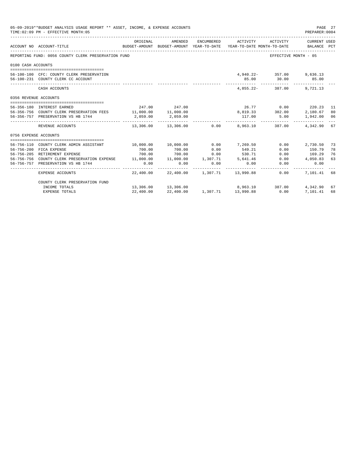|                       | 05-09-2019**BUDGET ANALYSIS USAGE REPORT ** ASSET, INCOME, & EXPENSE ACCOUNTS<br>TIME: 02:09 PM - EFFECTIVE MONTH: 05 |                     |                     |          |                                                                                            |                           | PAGE 27<br>PREPARER: 0004   |    |
|-----------------------|-----------------------------------------------------------------------------------------------------------------------|---------------------|---------------------|----------|--------------------------------------------------------------------------------------------|---------------------------|-----------------------------|----|
|                       | ACCOUNT NO ACCOUNT-TITLE                                                                                              | ORIGINAL            | AMENDED             |          | ENCUMBERED ACTIVITY<br>BUDGET-AMOUNT BUDGET-AMOUNT YEAR-TO-DATE YEAR-TO-DATE MONTH-TO-DATE | ACTIVITY                  | CURRENT USED<br>BALANCE PCT |    |
|                       | REPORTING FUND: 0056 COUNTY CLERK PRESERVATION FUND                                                                   |                     |                     |          |                                                                                            | EFFECTIVE MONTH - 05      |                             |    |
| 0100 CASH ACCOUNTS    |                                                                                                                       |                     |                     |          |                                                                                            |                           |                             |    |
|                       |                                                                                                                       |                     |                     |          |                                                                                            |                           |                             |    |
|                       | 56-100-100 CFC: COUNTY CLERK PRESERVATION                                                                             |                     |                     |          |                                                                                            | 4,940.22- 357.00 9,636.13 |                             |    |
|                       | 56-100-231 COUNTY CLERK CC ACCOUNT                                                                                    |                     |                     |          |                                                                                            | 85.00 30.00 85.00         |                             |    |
|                       | CASH ACCOUNTS                                                                                                         |                     |                     |          |                                                                                            | 4.855.22- 387.00 9.721.13 |                             |    |
| 0356 REVENUE ACCOUNTS |                                                                                                                       |                     |                     |          |                                                                                            |                           |                             |    |
|                       | 56-356-180 INTEREST EARNED                                                                                            | 247.00              | 247.00              |          |                                                                                            | 26.77 0.00 220.23 11      |                             |    |
|                       | 56-356-756 COUNTY CLERK PRESERVATION FEES                                                                             | 11,000.00 11,000.00 |                     |          |                                                                                            | $8,819.33$ $382.00$       | 2,180.67                    | 80 |
|                       | 56-356-757 PRESERVATION VS HB 1744                                                                                    | 2,059.00            | 2,059.00            |          |                                                                                            | 117.00 5.00               | 1,942.00 06                 |    |
|                       | REVENUE ACCOUNTS                                                                                                      | ----------          | ------------        |          | -----------<br>$13.306.00$ $13.306.00$ 0.00 8.963.10                                       | 387.00                    | 4,342.90 67                 |    |
| 0756 EXPENSE ACCOUNTS |                                                                                                                       |                     |                     |          |                                                                                            |                           |                             |    |
|                       |                                                                                                                       |                     |                     |          |                                                                                            |                           |                             |    |
|                       | 56-756-110 COUNTY CLERK ADMIN ASSISTANT                                                                               | 10,000.00           | 10,000.00           | 0.00     | 7,269.50                                                                                   | 0.00                      | 2,730.50                    | 73 |
|                       | 56-756-200 FICA EXPENSE                                                                                               | 700.00              | 700.00              | 0.00     | 549.21                                                                                     | 0.00                      | 150.79                      | 78 |
|                       | 56-756-205 RETIREMENT EXPENSE                                                                                         | 700.00              | 700.00              |          | $0.00$ 530.71                                                                              |                           | $0.00$ 169.29               | 76 |
|                       | 56-756-756 COUNTY CLERK PRESERVATION EXPENSE 11,000.00 11,000.00 1,307.71                                             |                     |                     |          | 5,641.46                                                                                   |                           | $0.00$ 4,050.83             | 63 |
|                       | 56-756-757 PRESERVATION VS HB 1744                                                                                    | 0.00                | 0.00                | 0.00     | 0.00                                                                                       | 0.00                      | 0.00                        |    |
|                       | EXPENSE ACCOUNTS                                                                                                      |                     |                     |          | 22,400.00 22,400.00 1,307.71 13,990.88                                                     | -----------<br>0.00       | 7,101.41 68                 |    |
|                       | COUNTY CLERK PRESERVATION FUND                                                                                        |                     |                     |          |                                                                                            |                           |                             |    |
|                       | INCOME TOTALS                                                                                                         |                     | 13,306.00 13,306.00 |          |                                                                                            | 8,963.10 387.00           | 4,342.90                    | 67 |
|                       | <b>EXPENSE TOTALS</b>                                                                                                 | 22,400.00           | 22,400.00           | 1,307.71 | 13,990.88                                                                                  | 0.00                      | 7,101,41                    | 68 |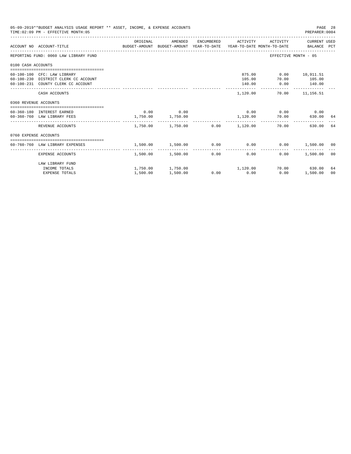|                       | 05-09-2019**BUDGET ANALYSIS USAGE REPORT ** ASSET, INCOME, & EXPENSE ACCOUNTS<br>TIME: 02:09 PM - EFFECTIVE MONTH: 05 |                                                                                             |                        |                                                 |                                                                   | PAGE 28<br>PREPARER:0004 |                |
|-----------------------|-----------------------------------------------------------------------------------------------------------------------|---------------------------------------------------------------------------------------------|------------------------|-------------------------------------------------|-------------------------------------------------------------------|--------------------------|----------------|
|                       | ACCOUNT NO ACCOUNT-TITLE                                                                                              | ORIGINAL<br>BUDGET-AMOUNT BUDGET-AMOUNT YEAR-TO-DATE YEAR-TO-DATE MONTH-TO-DATE BALANCE PCT | AMENDED                | ENCUMBERED ACTIVITY                             |                                                                   | ACTIVITY CURRENT USED    |                |
|                       | REPORTING FUND: 0060 LAW LIBRARY FUND                                                                                 |                                                                                             |                        |                                                 | EFFECTIVE MONTH - 05                                              |                          |                |
| 0100 CASH ACCOUNTS    |                                                                                                                       |                                                                                             |                        |                                                 |                                                                   |                          |                |
|                       | 60-100-100 CFC: LAW LIBRARY<br>60-100-230 DISTRICT CLERK CC ACCOUNT<br>60-100-231 COUNTY CLERK CC ACCOUNT             |                                                                                             |                        | 140.00                                          | 875.00   0.00   10,911.51<br>105.00 70.00 105.00<br>$0.00$ 140.00 |                          |                |
|                       | CASH ACCOUNTS                                                                                                         |                                                                                             |                        | 1,120.00                                        |                                                                   | 70.00 11,156.51          |                |
| 0360 REVENUE ACCOUNTS |                                                                                                                       |                                                                                             |                        |                                                 |                                                                   |                          |                |
|                       | 60-360-180 INTEREST EARNED<br>60-360-760 LAW LIBRARY FEES                                                             | 1,750.00 1,750.00                                                                           | $0.00$ 0.00            |                                                 | $0.00$ $0.00$ $0.00$ $0.00$<br>1,120.00 70.00                     | 630.00 64                |                |
|                       | REVENUE ACCOUNTS                                                                                                      |                                                                                             |                        | $1,750.00$ $1,750.00$ $0.00$ $1,120.00$         | 70.00                                                             | 630.00                   | 64             |
| 0760 EXPENSE ACCOUNTS |                                                                                                                       |                                                                                             |                        |                                                 |                                                                   |                          |                |
|                       | 60-760-760 LAW LIBRARY EXPENSES                                                                                       | 1,500.00                                                                                    | 1,500.00               | $0.00$ $0.00$ $0.00$ $0.00$ $1,500.00$ $00$     |                                                                   |                          |                |
|                       | EXPENSE ACCOUNTS                                                                                                      |                                                                                             | 1,500.00 1,500.00 0.00 | 0.00                                            | $0.00 -$                                                          | 1,500.00                 | 0 <sub>0</sub> |
|                       | LAW LIBRARY FUND<br>INCOME TOTALS<br><b>EXPENSE TOTALS</b>                                                            | 1,500.00                                                                                    | 1,500.00               | $1,750.00$ $1,750.00$ $1,120.00$<br>$0.00$ 0.00 | 0.00                                                              | 70.00 630.00<br>1,500.00 | 64<br>00       |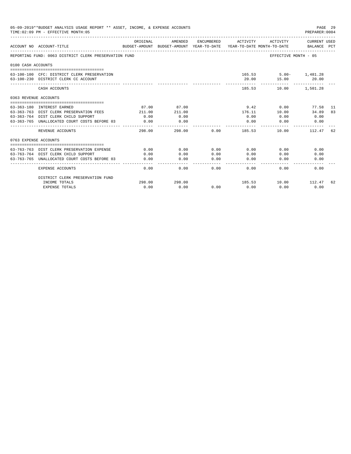|                       | 05-09-2019**BUDGET ANALYSIS USAGE REPORT ** ASSET, INCOME, & EXPENSE ACCOUNTS<br>TIME: 02:09 PM - EFFECTIVE MONTH: 05 |                           |                |                     |                                                                   |                                | PAGE 29<br>PREPARER: 0004          |    |
|-----------------------|-----------------------------------------------------------------------------------------------------------------------|---------------------------|----------------|---------------------|-------------------------------------------------------------------|--------------------------------|------------------------------------|----|
|                       | ACCOUNT NO ACCOUNT-TITLE                                                                                              | ORIGINAL<br>BUDGET-AMOUNT | AMENDED        | ENCUMBERED          | ACTIVITY<br>BUDGET-AMOUNT YEAR-TO-DATE YEAR-TO-DATE MONTH-TO-DATE | ACTIVITY                       | <b>CURRENT USED</b><br>BALANCE PCT |    |
|                       | REPORTING FUND: 0063 DISTRICT CLERK PRESERVATION FUND                                                                 |                           |                |                     |                                                                   | EFFECTIVE MONTH - 05           |                                    |    |
| 0100 CASH ACCOUNTS    |                                                                                                                       |                           |                |                     |                                                                   |                                |                                    |    |
|                       | 63-100-100 CFC: DISTRICT CLERK PRESERVATION<br>63-100-230 DISTRICT CLERK CC ACCOUNT                                   |                           |                |                     | 20.00                                                             | 165.53 5.00- 1,481.28<br>15.00 | 20.00                              |    |
|                       | CASH ACCOUNTS                                                                                                         |                           |                |                     | 185.53                                                            | 10.00                          | 1,501.28                           |    |
| 0363 REVENUE ACCOUNTS |                                                                                                                       |                           |                |                     |                                                                   |                                |                                    |    |
|                       |                                                                                                                       |                           |                |                     |                                                                   |                                |                                    |    |
|                       | 63-363-180 INTEREST EARNED                                                                                            | 87.00                     | 87.00          |                     | 9.42                                                              | 0.00                           | 77.58 11                           | 83 |
|                       | 63-363-763 DIST CLERK PRESERVATION FEES<br>63-363-764 DIST CLERK CHILD SUPPORT                                        | 211.00<br>0.00            | 211.00<br>0.00 |                     | 176.11<br>0.00                                                    | 10.00<br>0.00                  | 34.89<br>0.00                      |    |
|                       | 63-363-765 UNALLOCATED COURT COSTS BEFORE 03                                                                          | 0.00                      | 0.00           |                     | 0.00                                                              | 0.00                           | 0.00                               |    |
|                       |                                                                                                                       |                           |                |                     |                                                                   |                                |                                    |    |
|                       | REVENUE ACCOUNTS                                                                                                      | 298.00                    | 298.00         | 0.00                | 185.53                                                            | 10.00                          | 112.47                             | 62 |
| 0763 EXPENSE ACCOUNTS |                                                                                                                       |                           |                |                     |                                                                   |                                |                                    |    |
|                       |                                                                                                                       |                           |                |                     |                                                                   |                                |                                    |    |
|                       | 63-763-763 DIST CLERK PRESERVATION EXPENSE                                                                            | 0.00                      | 0.00           | 0.00                | 0.00                                                              | 0.00                           | 0.00                               |    |
|                       | 63-763-764 DIST CLERK CHILD SUPPORT                                                                                   | 0.00                      | 0.00           | 0.00                | 0.00                                                              | 0.00                           | 0.00                               |    |
|                       | 63-763-765 UNALLOCATED COURT COSTS BEFORE 03                                                                          | 0.00                      | 0.00           | 0.00<br>$- - - - -$ | 0.00<br>$\frac{1}{2}$                                             | 0.00                           | 0.00                               |    |
|                       | EXPENSE ACCOUNTS                                                                                                      | 0.00                      | 0.00           | 0.00                | 0.00                                                              | 0.00                           | 0.00                               |    |
|                       | DISTRICT CLERK PRESERVATION FUND                                                                                      |                           |                |                     |                                                                   |                                |                                    |    |
|                       | INCOME TOTALS                                                                                                         | 298.00                    | 298.00         |                     | 185.53                                                            | 10.00 112.47                   |                                    | 62 |
|                       | <b>EXPENSE TOTALS</b>                                                                                                 | 0.00                      | 0.00           | 0.00                | 0.00                                                              | 0.00                           | 0.00                               |    |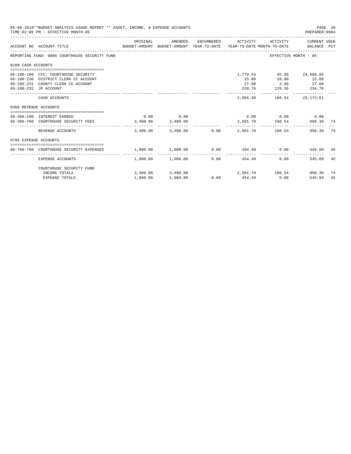|                       | 05-09-2019**BUDGET ANALYSIS USAGE REPORT ** ASSET, INCOME, & EXPENSE ACCOUNTS<br>TIME: 02:09 PM - EFFECTIVE MONTH: 05                      |                                              |                                          |                 |                         |                                                                      | PAGE 30<br>PREPARER: 0004 |    |
|-----------------------|--------------------------------------------------------------------------------------------------------------------------------------------|----------------------------------------------|------------------------------------------|-----------------|-------------------------|----------------------------------------------------------------------|---------------------------|----|
|                       | BUDGET-AMOUNT BUDGET-AMOUNT YEAR-TO-DATE  YEAR-TO-DATE MONTH-TO-DATE      BALANCE PCT<br>ACCOUNT NO ACCOUNT-TITLE                          | ORIGINAL                                     | AMENDED                                  |                 | ENCUMBERED ACTIVITY     |                                                                      | ACTIVITY CURRENT USED     |    |
|                       | REPORTING FUND: 0066 COURTHOUSE SECURITY FUND                                                                                              |                                              |                                          |                 |                         |                                                                      | EFFECTIVE MONTH - 05      |    |
| 0100 CASH ACCOUNTS    |                                                                                                                                            |                                              |                                          |                 |                         |                                                                      |                           |    |
|                       | 66-100-100 CFC: COURTHOUSE SECURITY<br>66-100-230 DISTRICT CLERK CC ACCOUNT<br>66-100-231 COUNTY CLERK CC ACCOUNT<br>66-100-232 JP ACCOUNT |                                              |                                          |                 | 15.00                   | 1,779.54 45.98 24,896.85<br>27.00 3.00 27.00<br>234.76 129.56 234.76 | 10.00 15.00               |    |
|                       | CASH ACCOUNTS                                                                                                                              |                                              |                                          |                 | 2,056.30                | 188.54                                                               | 25,173.61                 |    |
| 0366 REVENUE ACCOUNTS |                                                                                                                                            |                                              |                                          |                 |                         |                                                                      |                           |    |
|                       | --------------------------------------<br>66-366-180 INTEREST EARNED                                                                       | 0.00                                         | 0.00                                     |                 |                         | $0.00$ $0.00$ $0.00$ $0.00$                                          |                           |    |
|                       | 66-366-766 COURTHOUSE SECURITY FEES 3,400.00 3,400.00                                                                                      |                                              |                                          |                 |                         | 2,501.70 188.54                                                      | 898.30 74                 |    |
|                       | REVENUE ACCOUNTS                                                                                                                           |                                              | $3.400.00$ $3.400.00$ $0.00$ $2.501.70$  |                 |                         | 188.54                                                               | 898.30                    | 74 |
| 0766 EXPENSE ACCOUNTS |                                                                                                                                            |                                              |                                          |                 |                         |                                                                      |                           |    |
|                       | 66-766-766 COURTHOUSE SECURITY EXPENSES                                                                                                    | $1,000.00$ $1,000.00$ $0.00$ $454.40$ $0.00$ |                                          |                 |                         |                                                                      | 545.60 45                 |    |
|                       | EXPENSE ACCOUNTS                                                                                                                           |                                              | $1.000.00$ $1.000.00$                    |                 | ---------------<br>0.00 | 0.00<br>454.40                                                       | 545.60                    | 45 |
|                       | COURTHOUSE SECURITY FUND                                                                                                                   |                                              |                                          |                 |                         |                                                                      |                           |    |
|                       | INCOME TOTALS                                                                                                                              |                                              | 3,400.00 3,400.00 2,501.70 188.54 898.30 |                 |                         |                                                                      |                           | 74 |
|                       | <b>EXPENSE TOTALS</b>                                                                                                                      | 1,000.00                                     | 1,000.00                                 | $0.00$ $454.40$ |                         | 0.00                                                                 | 545.60                    | 45 |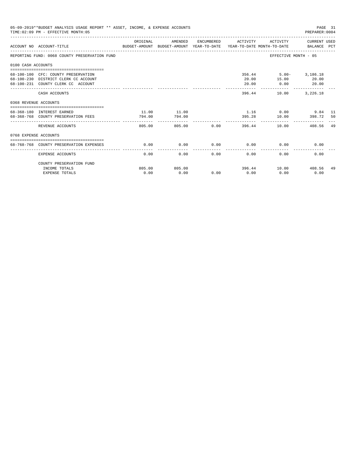| 05-09-2019**BUDGET ANALYSIS USAGE REPORT ** ASSET, INCOME, & EXPENSE ACCOUNTS<br>PAGE 31<br>TIME: 02:09 PM - EFFECTIVE MONTH: 05<br>PREPARER: 0004<br>ACTIVITY CURRENT USED<br>ORIGINAL<br>AMENDED<br>ENCUMBERED ACTIVITY<br>ACCOUNT NO ACCOUNT-TITLE COMPARENT AND BUDGET-AMOUNT BUDGET-AMOUNT YEAR-TO-DATE YEAR-TO-DATE MONTH-TO-DATE BALANCE PCT<br>REPORTING FUND: 0068 COUNTY PRESERVATION FUND<br>EFFECTIVE MONTH - 05<br>0100 CASH ACCOUNTS<br>356.44 5.00- 3,186.18<br>68-100-100 CFC: COUNTY PRESERVATION<br>15.00 20.00<br>68-100-230 DISTRICT CLERK CC ACCOUNT<br>20.00<br>20.00<br>68-100-231 COUNTY CLERK CC ACCOUNT<br>$0.00$ 20.00<br>--------------<br>____________<br>-------------<br>396.44<br>10.00 3,226.18<br>CASH ACCOUNTS<br>0368 REVENUE ACCOUNTS<br>11.00<br>1.16 0.00 9.84 11<br>11.00<br>68-368-180 INTEREST EARNED<br>395.28 10.00 398.72 50<br>794.00<br>68-368-768 COUNTY PRESERVATION FEES<br>794.00<br>--------------<br>805.00 0.00<br>805.00<br>396.44<br>10.00<br>408.56<br>REVENUE ACCOUNTS<br>0768 EXPENSE ACCOUNTS<br>0.00<br>$0.00$ 0.00<br>68-768-768 COUNTY PRESERVATION EXPENSES<br>0.00<br>0.00<br>0.00 |                          |        |        |      |      |                     |      |    |
|-----------------------------------------------------------------------------------------------------------------------------------------------------------------------------------------------------------------------------------------------------------------------------------------------------------------------------------------------------------------------------------------------------------------------------------------------------------------------------------------------------------------------------------------------------------------------------------------------------------------------------------------------------------------------------------------------------------------------------------------------------------------------------------------------------------------------------------------------------------------------------------------------------------------------------------------------------------------------------------------------------------------------------------------------------------------------------------------------------------------------------------------------------|--------------------------|--------|--------|------|------|---------------------|------|----|
|                                                                                                                                                                                                                                                                                                                                                                                                                                                                                                                                                                                                                                                                                                                                                                                                                                                                                                                                                                                                                                                                                                                                                     |                          |        |        |      |      |                     |      |    |
|                                                                                                                                                                                                                                                                                                                                                                                                                                                                                                                                                                                                                                                                                                                                                                                                                                                                                                                                                                                                                                                                                                                                                     |                          |        |        |      |      |                     |      |    |
|                                                                                                                                                                                                                                                                                                                                                                                                                                                                                                                                                                                                                                                                                                                                                                                                                                                                                                                                                                                                                                                                                                                                                     |                          |        |        |      |      |                     |      |    |
|                                                                                                                                                                                                                                                                                                                                                                                                                                                                                                                                                                                                                                                                                                                                                                                                                                                                                                                                                                                                                                                                                                                                                     |                          |        |        |      |      |                     |      |    |
|                                                                                                                                                                                                                                                                                                                                                                                                                                                                                                                                                                                                                                                                                                                                                                                                                                                                                                                                                                                                                                                                                                                                                     |                          |        |        |      |      |                     |      |    |
|                                                                                                                                                                                                                                                                                                                                                                                                                                                                                                                                                                                                                                                                                                                                                                                                                                                                                                                                                                                                                                                                                                                                                     |                          |        |        |      |      |                     |      |    |
|                                                                                                                                                                                                                                                                                                                                                                                                                                                                                                                                                                                                                                                                                                                                                                                                                                                                                                                                                                                                                                                                                                                                                     |                          |        |        |      |      |                     |      |    |
|                                                                                                                                                                                                                                                                                                                                                                                                                                                                                                                                                                                                                                                                                                                                                                                                                                                                                                                                                                                                                                                                                                                                                     |                          |        |        |      |      |                     |      | 49 |
|                                                                                                                                                                                                                                                                                                                                                                                                                                                                                                                                                                                                                                                                                                                                                                                                                                                                                                                                                                                                                                                                                                                                                     |                          |        |        |      |      |                     |      |    |
|                                                                                                                                                                                                                                                                                                                                                                                                                                                                                                                                                                                                                                                                                                                                                                                                                                                                                                                                                                                                                                                                                                                                                     |                          |        |        |      |      |                     |      |    |
|                                                                                                                                                                                                                                                                                                                                                                                                                                                                                                                                                                                                                                                                                                                                                                                                                                                                                                                                                                                                                                                                                                                                                     | <b>EXPENSE ACCOUNTS</b>  | 0.00   | 0.00   | 0.00 | 0.00 | 0.00                | 0.00 |    |
|                                                                                                                                                                                                                                                                                                                                                                                                                                                                                                                                                                                                                                                                                                                                                                                                                                                                                                                                                                                                                                                                                                                                                     | COUNTY PRESERVATION FUND |        |        |      |      |                     |      |    |
|                                                                                                                                                                                                                                                                                                                                                                                                                                                                                                                                                                                                                                                                                                                                                                                                                                                                                                                                                                                                                                                                                                                                                     | INCOME TOTALS            | 805.00 | 805.00 |      |      | 396.44 10.00 408.56 |      | 49 |
|                                                                                                                                                                                                                                                                                                                                                                                                                                                                                                                                                                                                                                                                                                                                                                                                                                                                                                                                                                                                                                                                                                                                                     | <b>EXPENSE TOTALS</b>    | 0.00   | 0.00   | 0.00 | 0.00 | 0.00                | 0.00 |    |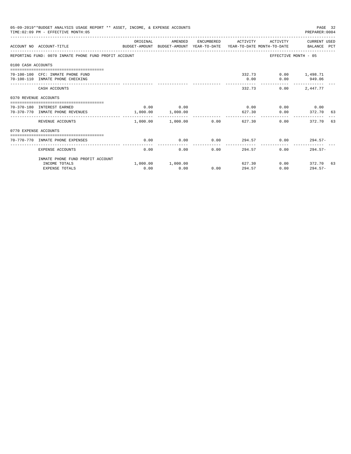|                       | 05-09-2019**BUDGET ANALYSIS USAGE REPORT ** ASSET, INCOME, & EXPENSE ACCOUNTS<br>TIME: 02:09 PM - EFFECTIVE MONTH: 05 |          |                           |      |                     |                      | PAGE 32<br>PREPARER: 0004       |  |
|-----------------------|-----------------------------------------------------------------------------------------------------------------------|----------|---------------------------|------|---------------------|----------------------|---------------------------------|--|
|                       | ACCOUNT NO ACCOUNT-TITLE CONTROL SUDGET-AMOUNT BUDGET-AMOUNT YEAR-TO-DATE YEAR-TO-DATE MONTH-TO-DATE BALANCE PCT      | ORIGINAL | AMENDED                   |      | ENCUMBERED ACTIVITY |                      | ACTIVITY CURRENT USED           |  |
|                       | REPORTING FUND: 0070 INMATE PHONE FUND PROFIT ACCOUNT                                                                 |          |                           |      |                     |                      | EFFECTIVE MONTH - 05            |  |
| 0100 CASH ACCOUNTS    |                                                                                                                       |          |                           |      |                     |                      |                                 |  |
|                       | 70-100-100 CFC: INMATE PHONE FUND<br>70-100-110 INMATE PHONE CHECKING                                                 |          |                           |      | 0.00                | 332.73 0.00 1.498.71 | $0.00$ 949.06<br>-------------- |  |
|                       | CASH ACCOUNTS                                                                                                         |          |                           |      |                     | 332.73<br>0.00       | 2,447.77                        |  |
| 0370 REVENUE ACCOUNTS |                                                                                                                       |          |                           |      |                     |                      |                                 |  |
|                       | 70-370-180 INTEREST EARNED<br>70-370-770 INMATE PHONE REVENUES                                                        | 0.00     | 0.00<br>1,000.00 1,000.00 |      | 0.00<br>627.30      | 0.00                 | $0.00$ 0.00<br>372.70 63        |  |
|                       | REVENUE ACCOUNTS                                                                                                      |          | $1,000.00$ $1,000.00$     | 0.00 |                     | 627.30               | 0.00<br>372.70 63               |  |
| 0770 EXPENSE ACCOUNTS |                                                                                                                       |          |                           |      |                     |                      |                                 |  |
|                       | 70-770-770 INMATE PHONE EXPENSES                                                                                      | 0.00     | 0.00                      | 0.00 |                     |                      | $294.57$ 0.00 294.57-           |  |
|                       | EXPENSE ACCOUNTS                                                                                                      | 0.00     | 0.00                      | 0.00 | 294.57              | 0.00                 | $294.57-$                       |  |
|                       | INMATE PHONE FUND PROFIT ACCOUNT                                                                                      |          |                           |      |                     |                      |                                 |  |
|                       | INCOME TOTALS<br><b>EXPENSE TOTALS</b>                                                                                | 0.00     | 1,000.00 1,000.00<br>0.00 | 0.00 | 294.57              | 627.30<br>0.00       | $0.00$ 372.70 63<br>$294.57-$   |  |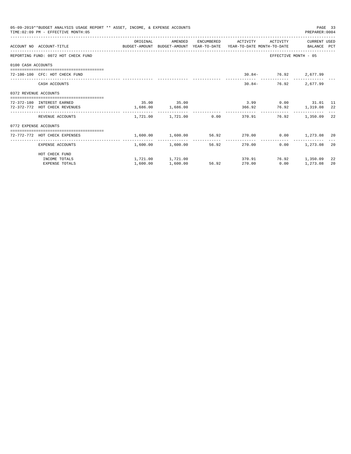|                       | 05-09-2019**BUDGET ANALYSIS USAGE REPORT ** ASSET, INCOME, & EXPENSE ACCOUNTS<br>TIME: 02:09 PM - EFFECTIVE MONTH: 05 |                     |                       |       |                                                               |                                       | PAGE 33<br>PREPARER:0004 |     |
|-----------------------|-----------------------------------------------------------------------------------------------------------------------|---------------------|-----------------------|-------|---------------------------------------------------------------|---------------------------------------|--------------------------|-----|
|                       |                                                                                                                       | ORIGINAL            | AMENDED               |       | ENCUMBERED ACTIVITY                                           |                                       | ACTIVITY CURRENT USED    |     |
|                       | ACCOUNT NO ACCOUNT-TITLE CONTROL BUDGET-AMOUNT BUDGET-AMOUNT YEAR-TO-DATE YEAR-TO-DATE MONTH-TO-DATE BALANCE PCT      |                     |                       |       |                                                               |                                       |                          |     |
|                       | REPORTING FUND: 0072 HOT CHECK FUND                                                                                   |                     |                       |       |                                                               | EFFECTIVE MONTH - 05                  |                          |     |
| 0100 CASH ACCOUNTS    |                                                                                                                       |                     |                       |       |                                                               |                                       |                          |     |
|                       | 72-100-100 CFC: HOT CHECK FUND                                                                                        |                     |                       |       |                                                               | $30.84 - 76.92$ 2,677.99              |                          |     |
|                       | CASH ACCOUNTS                                                                                                         |                     |                       |       | $30.84 -$                                                     |                                       | 76.92 2,677.99           |     |
| 0372 REVENUE ACCOUNTS |                                                                                                                       |                     |                       |       |                                                               |                                       |                          |     |
|                       | 72-372-180 INTEREST EARNED                                                                                            |                     | 35.00 35.00           |       |                                                               | 3.99 0.00 31.01 11                    |                          |     |
|                       | 72-372-772 HOT CHECK REVENUES                                                                                         | $1,686.00$ 1,686.00 |                       |       | 366.92 76.92 1,319.08 22                                      |                                       |                          |     |
|                       | REVENUE ACCOUNTS                                                                                                      |                     |                       |       | $1,721.00$ $1,721.00$ $0.00$ $370.91$ $76.92$ $1,350.09$      |                                       |                          | -22 |
| 0772 EXPENSE ACCOUNTS |                                                                                                                       |                     |                       |       |                                                               |                                       |                          |     |
|                       | 72-772-772 HOT CHECK EXPENSES                                                                                         |                     |                       |       | $1,600.00$ $1,600.00$ $56.92$ $270.00$ $0.00$ $1,273.08$ $20$ |                                       |                          |     |
|                       | EXPENSE ACCOUNTS                                                                                                      |                     | 1,600.00 1,600.00     | 56.92 | 270.00                                                        | -----------------------------<br>0.00 | 1,273.08                 | 20  |
|                       | HOT CHECK FUND                                                                                                        |                     |                       |       |                                                               |                                       |                          |     |
|                       | INCOME TOTALS                                                                                                         |                     | $1,721,00$ $1,721,00$ |       |                                                               | 370.91 76.92 1.350.09                 |                          | 22  |
|                       | <b>EXPENSE TOTALS</b>                                                                                                 | 1,600.00            | 1,600.00              | 56.92 | 270.00                                                        | 0.00                                  | 1,273.08                 | 20  |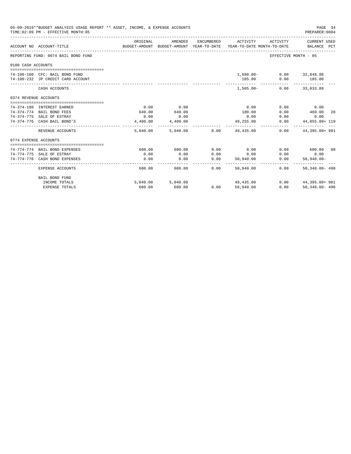| 05-09-2019**BUDGET ANALYSIS USAGE REPORT ** ASSET, INCOME, & EXPENSE ACCOUNTS<br>TIME: 02:09 PM - EFFECTIVE MONTH: 05<br>PREPARER: 0004<br>ORIGINAL<br>AMENDED<br>ENCUMBERED<br>ACTIVITY<br>ACTIVITY<br>ACCOUNT NO ACCOUNT-TITLE<br>BUDGET-AMOUNT BUDGET-AMOUNT YEAR-TO-DATE<br>YEAR-TO-DATE MONTH-TO-DATE<br>REPORTING FUND: 0074 BAIL BOND FUND<br>EFFECTIVE MONTH - 05<br>0100 CASH ACCOUNTS<br>1,690.00- 0.00 32,848.88<br>74-100-100 CFC: BAIL BOND FUND<br>185.00<br>74-100-232 JP CREDIT CARD ACCOUNT<br>0.00<br>185.00<br>-------------<br>$1.505.00 -$<br>CASH ACCOUNTS<br>$0.00$ 33,033.88<br>0374 REVENUE ACCOUNTS<br>0.00<br>0.00<br>0.00<br>0.00<br>74-374-180 INTEREST EARNED<br>0.00<br>460.00<br>640.00<br>180.00<br>74-374-774 BAIL BOND FEES<br>640.00<br>0.00<br>74-374-775 SALE OF ESTRAY<br>0.00<br>0.00<br>0.00<br>0.00<br>0.00<br>74-374-776 CASH BAIL BOND'S<br>0.00<br>4,400.00<br>4,400.00<br>49,255.00<br>-------------<br>. <u>.</u><br>-------------<br>REVENUE ACCOUNTS<br>5,040,00<br>5,040.00 0.00<br>49,435.00<br>0.00<br>0774 EXPENSE ACCOUNTS<br>0.00<br>600.00 00<br>74-774-774 BAIL BOND EXPENSES<br>600.00<br>600.00<br>0.00<br>0.00<br>0.00<br>0.00<br>74-774-775 SALE OF ESTRAY<br>0.00<br>0.00<br>0.00<br>0.00<br>0.00<br>0.00<br>0.00<br>74-774-776 CASH BOND EXPENSES<br>50,940.00<br>0.00<br>$50.940.00 -$ |                       |        |                   |      |           |      | PAGE 34                     |    |
|--------------------------------------------------------------------------------------------------------------------------------------------------------------------------------------------------------------------------------------------------------------------------------------------------------------------------------------------------------------------------------------------------------------------------------------------------------------------------------------------------------------------------------------------------------------------------------------------------------------------------------------------------------------------------------------------------------------------------------------------------------------------------------------------------------------------------------------------------------------------------------------------------------------------------------------------------------------------------------------------------------------------------------------------------------------------------------------------------------------------------------------------------------------------------------------------------------------------------------------------------------------------------------------------------------------------------------------------------------|-----------------------|--------|-------------------|------|-----------|------|-----------------------------|----|
|                                                                                                                                                                                                                                                                                                                                                                                                                                                                                                                                                                                                                                                                                                                                                                                                                                                                                                                                                                                                                                                                                                                                                                                                                                                                                                                                                        |                       |        |                   |      |           |      | CURRENT USED<br>BALANCE PCT |    |
|                                                                                                                                                                                                                                                                                                                                                                                                                                                                                                                                                                                                                                                                                                                                                                                                                                                                                                                                                                                                                                                                                                                                                                                                                                                                                                                                                        |                       |        |                   |      |           |      |                             |    |
|                                                                                                                                                                                                                                                                                                                                                                                                                                                                                                                                                                                                                                                                                                                                                                                                                                                                                                                                                                                                                                                                                                                                                                                                                                                                                                                                                        |                       |        |                   |      |           |      |                             |    |
|                                                                                                                                                                                                                                                                                                                                                                                                                                                                                                                                                                                                                                                                                                                                                                                                                                                                                                                                                                                                                                                                                                                                                                                                                                                                                                                                                        |                       |        |                   |      |           |      |                             |    |
|                                                                                                                                                                                                                                                                                                                                                                                                                                                                                                                                                                                                                                                                                                                                                                                                                                                                                                                                                                                                                                                                                                                                                                                                                                                                                                                                                        |                       |        |                   |      |           |      |                             |    |
|                                                                                                                                                                                                                                                                                                                                                                                                                                                                                                                                                                                                                                                                                                                                                                                                                                                                                                                                                                                                                                                                                                                                                                                                                                                                                                                                                        |                       |        |                   |      |           |      |                             |    |
|                                                                                                                                                                                                                                                                                                                                                                                                                                                                                                                                                                                                                                                                                                                                                                                                                                                                                                                                                                                                                                                                                                                                                                                                                                                                                                                                                        |                       |        |                   |      |           |      |                             |    |
|                                                                                                                                                                                                                                                                                                                                                                                                                                                                                                                                                                                                                                                                                                                                                                                                                                                                                                                                                                                                                                                                                                                                                                                                                                                                                                                                                        |                       |        |                   |      |           |      |                             |    |
|                                                                                                                                                                                                                                                                                                                                                                                                                                                                                                                                                                                                                                                                                                                                                                                                                                                                                                                                                                                                                                                                                                                                                                                                                                                                                                                                                        |                       |        |                   |      |           |      |                             | 28 |
|                                                                                                                                                                                                                                                                                                                                                                                                                                                                                                                                                                                                                                                                                                                                                                                                                                                                                                                                                                                                                                                                                                                                                                                                                                                                                                                                                        |                       |        |                   |      |           |      |                             |    |
|                                                                                                                                                                                                                                                                                                                                                                                                                                                                                                                                                                                                                                                                                                                                                                                                                                                                                                                                                                                                                                                                                                                                                                                                                                                                                                                                                        |                       |        |                   |      |           |      | 44,855.00+ 119              |    |
|                                                                                                                                                                                                                                                                                                                                                                                                                                                                                                                                                                                                                                                                                                                                                                                                                                                                                                                                                                                                                                                                                                                                                                                                                                                                                                                                                        |                       |        |                   |      |           |      | 44,395.00+ 981              |    |
|                                                                                                                                                                                                                                                                                                                                                                                                                                                                                                                                                                                                                                                                                                                                                                                                                                                                                                                                                                                                                                                                                                                                                                                                                                                                                                                                                        |                       |        |                   |      |           |      |                             |    |
|                                                                                                                                                                                                                                                                                                                                                                                                                                                                                                                                                                                                                                                                                                                                                                                                                                                                                                                                                                                                                                                                                                                                                                                                                                                                                                                                                        |                       |        |                   |      |           |      |                             |    |
|                                                                                                                                                                                                                                                                                                                                                                                                                                                                                                                                                                                                                                                                                                                                                                                                                                                                                                                                                                                                                                                                                                                                                                                                                                                                                                                                                        |                       |        |                   |      |           |      |                             |    |
|                                                                                                                                                                                                                                                                                                                                                                                                                                                                                                                                                                                                                                                                                                                                                                                                                                                                                                                                                                                                                                                                                                                                                                                                                                                                                                                                                        |                       |        |                   |      |           |      |                             |    |
|                                                                                                                                                                                                                                                                                                                                                                                                                                                                                                                                                                                                                                                                                                                                                                                                                                                                                                                                                                                                                                                                                                                                                                                                                                                                                                                                                        |                       |        |                   |      |           |      | ---------                   |    |
|                                                                                                                                                                                                                                                                                                                                                                                                                                                                                                                                                                                                                                                                                                                                                                                                                                                                                                                                                                                                                                                                                                                                                                                                                                                                                                                                                        | EXPENSE ACCOUNTS      | 600.00 | 600.00            | 0.00 | 50,940.00 | 0.00 | $50.340.00 - 490$           |    |
|                                                                                                                                                                                                                                                                                                                                                                                                                                                                                                                                                                                                                                                                                                                                                                                                                                                                                                                                                                                                                                                                                                                                                                                                                                                                                                                                                        | <b>BAIL BOND FUND</b> |        |                   |      |           |      |                             |    |
|                                                                                                                                                                                                                                                                                                                                                                                                                                                                                                                                                                                                                                                                                                                                                                                                                                                                                                                                                                                                                                                                                                                                                                                                                                                                                                                                                        | INCOME TOTALS         |        | 5,040.00 5,040.00 |      | 49,435.00 |      | $0.00$ $44,395.00+981$      |    |
|                                                                                                                                                                                                                                                                                                                                                                                                                                                                                                                                                                                                                                                                                                                                                                                                                                                                                                                                                                                                                                                                                                                                                                                                                                                                                                                                                        | <b>EXPENSE TOTALS</b> | 600.00 | 600.00            | 0.00 | 50,940.00 | 0.00 | $50.340.00 - 490$           |    |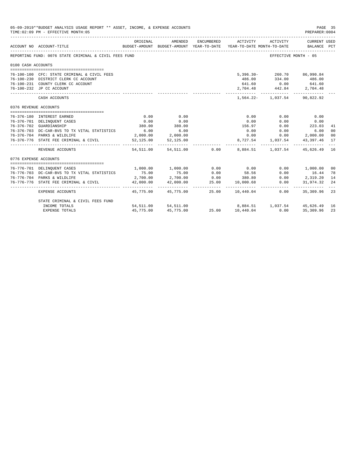| 05-09-2019**BUDGET ANALYSIS USAGE REPORT ** ASSET, INCOME, & EXPENSE ACCOUNTS<br>PAGE 35<br>TIME: 02:09 PM - EFFECTIVE MONTH: 05<br>PREPARER:0004<br>ORIGINAL<br>AMENDED<br>ENCUMBERED<br>ACTIVITY<br>ACTIVITY<br>CURRENT USED<br>ACCOUNT NO ACCOUNT-TITLE<br>BUDGET-AMOUNT BUDGET-AMOUNT YEAR-TO-DATE YEAR-TO-DATE MONTH-TO-DATE BALANCE PCT<br>REPORTING FUND: 0076 STATE CRIMINAL & CIVIL FEES FUND<br>EFFECTIVE MONTH - 05<br>0100 CASH ACCOUNTS<br>5,396.30-260.70 86,990.84<br>76-100-100 CFC: STATE CRIMINAL & CIVIL FEES<br>76-100-230 DISTRICT CLERK CC ACCOUNT<br>486.00 334.00<br>486.00<br>76-100-231 COUNTY CLERK CC ACCOUNT<br>$\begin{array}{cccc} 641.60 & 0.00 & 641.60 \\ 2,704.48 & 442.84 & 2,704.48 \end{array}$<br>76-100-232 JP CC ACCOUNT<br>1,564.22 - 1,037.54 90,822.92<br>CASH ACCOUNTS<br>0376 REVENUE ACCOUNTS<br>0.00<br>0.00<br>0.00<br>0.00<br>0.00<br>76-376-180 INTEREST EARNED<br>76-376-701 DELINQUENT CASES<br>0.00<br>0.00<br>0.00<br>0.00<br>0.00<br>380.00<br>156.97<br>$0.00$ 223.03<br>380.00<br>76-376-702 GUARDIANSHIP<br>41<br>6.00<br>$0.00$ 6.00<br>76-376-703 DC-CAR-BVS TO TX VITAL STATISTICS<br>6.00<br>0.00<br>00<br>2,000.00 2,000.00<br>76-376-704 PARKS & WILDLIFE<br>0.00<br>$0.00$ 2,000.00<br>00<br>52, 125.00 52, 125.00<br>8,727.54 1,037.54 43,397.46<br>76-376-776 STATE FEE CRIMINAL & CIVIL<br>17<br>$\frac{1}{2}$<br>54,511.00 54,511.00 0.00 8,884.51 1,037.54 45,626.49<br>16<br>REVENUE ACCOUNTS |                                                                             |              |                     |       |                                      |      |                                                                                                                     |                      |
|-----------------------------------------------------------------------------------------------------------------------------------------------------------------------------------------------------------------------------------------------------------------------------------------------------------------------------------------------------------------------------------------------------------------------------------------------------------------------------------------------------------------------------------------------------------------------------------------------------------------------------------------------------------------------------------------------------------------------------------------------------------------------------------------------------------------------------------------------------------------------------------------------------------------------------------------------------------------------------------------------------------------------------------------------------------------------------------------------------------------------------------------------------------------------------------------------------------------------------------------------------------------------------------------------------------------------------------------------------------------------------------------------------------------------------------------------------------------------|-----------------------------------------------------------------------------|--------------|---------------------|-------|--------------------------------------|------|---------------------------------------------------------------------------------------------------------------------|----------------------|
|                                                                                                                                                                                                                                                                                                                                                                                                                                                                                                                                                                                                                                                                                                                                                                                                                                                                                                                                                                                                                                                                                                                                                                                                                                                                                                                                                                                                                                                                       |                                                                             |              |                     |       |                                      |      |                                                                                                                     |                      |
|                                                                                                                                                                                                                                                                                                                                                                                                                                                                                                                                                                                                                                                                                                                                                                                                                                                                                                                                                                                                                                                                                                                                                                                                                                                                                                                                                                                                                                                                       |                                                                             |              |                     |       |                                      |      |                                                                                                                     |                      |
|                                                                                                                                                                                                                                                                                                                                                                                                                                                                                                                                                                                                                                                                                                                                                                                                                                                                                                                                                                                                                                                                                                                                                                                                                                                                                                                                                                                                                                                                       |                                                                             |              |                     |       |                                      |      |                                                                                                                     |                      |
|                                                                                                                                                                                                                                                                                                                                                                                                                                                                                                                                                                                                                                                                                                                                                                                                                                                                                                                                                                                                                                                                                                                                                                                                                                                                                                                                                                                                                                                                       |                                                                             |              |                     |       |                                      |      |                                                                                                                     |                      |
|                                                                                                                                                                                                                                                                                                                                                                                                                                                                                                                                                                                                                                                                                                                                                                                                                                                                                                                                                                                                                                                                                                                                                                                                                                                                                                                                                                                                                                                                       |                                                                             |              |                     |       |                                      |      |                                                                                                                     |                      |
|                                                                                                                                                                                                                                                                                                                                                                                                                                                                                                                                                                                                                                                                                                                                                                                                                                                                                                                                                                                                                                                                                                                                                                                                                                                                                                                                                                                                                                                                       |                                                                             |              |                     |       |                                      |      |                                                                                                                     |                      |
|                                                                                                                                                                                                                                                                                                                                                                                                                                                                                                                                                                                                                                                                                                                                                                                                                                                                                                                                                                                                                                                                                                                                                                                                                                                                                                                                                                                                                                                                       |                                                                             |              |                     |       |                                      |      |                                                                                                                     |                      |
|                                                                                                                                                                                                                                                                                                                                                                                                                                                                                                                                                                                                                                                                                                                                                                                                                                                                                                                                                                                                                                                                                                                                                                                                                                                                                                                                                                                                                                                                       |                                                                             |              |                     |       |                                      |      |                                                                                                                     |                      |
|                                                                                                                                                                                                                                                                                                                                                                                                                                                                                                                                                                                                                                                                                                                                                                                                                                                                                                                                                                                                                                                                                                                                                                                                                                                                                                                                                                                                                                                                       |                                                                             |              |                     |       |                                      |      |                                                                                                                     |                      |
|                                                                                                                                                                                                                                                                                                                                                                                                                                                                                                                                                                                                                                                                                                                                                                                                                                                                                                                                                                                                                                                                                                                                                                                                                                                                                                                                                                                                                                                                       |                                                                             |              |                     |       |                                      |      |                                                                                                                     |                      |
|                                                                                                                                                                                                                                                                                                                                                                                                                                                                                                                                                                                                                                                                                                                                                                                                                                                                                                                                                                                                                                                                                                                                                                                                                                                                                                                                                                                                                                                                       |                                                                             |              |                     |       |                                      |      |                                                                                                                     |                      |
|                                                                                                                                                                                                                                                                                                                                                                                                                                                                                                                                                                                                                                                                                                                                                                                                                                                                                                                                                                                                                                                                                                                                                                                                                                                                                                                                                                                                                                                                       |                                                                             |              |                     |       |                                      |      |                                                                                                                     |                      |
|                                                                                                                                                                                                                                                                                                                                                                                                                                                                                                                                                                                                                                                                                                                                                                                                                                                                                                                                                                                                                                                                                                                                                                                                                                                                                                                                                                                                                                                                       |                                                                             |              |                     |       |                                      |      |                                                                                                                     |                      |
|                                                                                                                                                                                                                                                                                                                                                                                                                                                                                                                                                                                                                                                                                                                                                                                                                                                                                                                                                                                                                                                                                                                                                                                                                                                                                                                                                                                                                                                                       |                                                                             |              |                     |       |                                      |      |                                                                                                                     |                      |
|                                                                                                                                                                                                                                                                                                                                                                                                                                                                                                                                                                                                                                                                                                                                                                                                                                                                                                                                                                                                                                                                                                                                                                                                                                                                                                                                                                                                                                                                       |                                                                             |              |                     |       |                                      |      |                                                                                                                     |                      |
|                                                                                                                                                                                                                                                                                                                                                                                                                                                                                                                                                                                                                                                                                                                                                                                                                                                                                                                                                                                                                                                                                                                                                                                                                                                                                                                                                                                                                                                                       |                                                                             |              |                     |       |                                      |      |                                                                                                                     |                      |
| 0776 EXPENSE ACCOUNTS                                                                                                                                                                                                                                                                                                                                                                                                                                                                                                                                                                                                                                                                                                                                                                                                                                                                                                                                                                                                                                                                                                                                                                                                                                                                                                                                                                                                                                                 |                                                                             |              |                     |       |                                      |      |                                                                                                                     |                      |
|                                                                                                                                                                                                                                                                                                                                                                                                                                                                                                                                                                                                                                                                                                                                                                                                                                                                                                                                                                                                                                                                                                                                                                                                                                                                                                                                                                                                                                                                       |                                                                             |              |                     | 0.00  |                                      |      |                                                                                                                     |                      |
|                                                                                                                                                                                                                                                                                                                                                                                                                                                                                                                                                                                                                                                                                                                                                                                                                                                                                                                                                                                                                                                                                                                                                                                                                                                                                                                                                                                                                                                                       | 76-776-701 DELINQUENT CASES<br>76-776-703 DC-CAR-BVS TO TX VITAL STATISTICS | 75.00        | 1,000.00 1,000.00   | 0.00  | 0.00                                 |      | 0.00 1,000.00                                                                                                       | 0 <sup>0</sup><br>78 |
|                                                                                                                                                                                                                                                                                                                                                                                                                                                                                                                                                                                                                                                                                                                                                                                                                                                                                                                                                                                                                                                                                                                                                                                                                                                                                                                                                                                                                                                                       | 76-776-704 PARKS & WILDLIFE                                                 | 2,700.00     | 75.00<br>2,700.00   | 0.00  | 58.56<br>380.80                      |      | $\begin{array}{ccc} 0\, . \, 00 & \quad & 16\, . \, 44 \\ 0\, . \, 00 & \quad & 2\, , \, 319\, . \, 20 \end{array}$ | 14                   |
|                                                                                                                                                                                                                                                                                                                                                                                                                                                                                                                                                                                                                                                                                                                                                                                                                                                                                                                                                                                                                                                                                                                                                                                                                                                                                                                                                                                                                                                                       | 76-776-776 STATE FEE CRIMINAL & CIVIL                                       | 42,000.00    | 42,000.00           | 25.00 | 10,000.68                            | 0.00 | 31,974.32                                                                                                           | 24                   |
|                                                                                                                                                                                                                                                                                                                                                                                                                                                                                                                                                                                                                                                                                                                                                                                                                                                                                                                                                                                                                                                                                                                                                                                                                                                                                                                                                                                                                                                                       |                                                                             | ------------ |                     |       |                                      |      |                                                                                                                     |                      |
|                                                                                                                                                                                                                                                                                                                                                                                                                                                                                                                                                                                                                                                                                                                                                                                                                                                                                                                                                                                                                                                                                                                                                                                                                                                                                                                                                                                                                                                                       | EXPENSE ACCOUNTS                                                            |              | 45.775.00 45.775.00 |       | 25.00 10.440.04                      | 0.00 | 35,309.96                                                                                                           | -23                  |
|                                                                                                                                                                                                                                                                                                                                                                                                                                                                                                                                                                                                                                                                                                                                                                                                                                                                                                                                                                                                                                                                                                                                                                                                                                                                                                                                                                                                                                                                       | STATE CRIMINAL & CIVIL FEES FUND                                            |              |                     |       |                                      |      |                                                                                                                     |                      |
|                                                                                                                                                                                                                                                                                                                                                                                                                                                                                                                                                                                                                                                                                                                                                                                                                                                                                                                                                                                                                                                                                                                                                                                                                                                                                                                                                                                                                                                                       | INCOME TOTALS                                                               |              | 54,511.00 54,511.00 |       | 8,884.51   1,037.54   45,626.49   16 |      |                                                                                                                     |                      |
|                                                                                                                                                                                                                                                                                                                                                                                                                                                                                                                                                                                                                                                                                                                                                                                                                                                                                                                                                                                                                                                                                                                                                                                                                                                                                                                                                                                                                                                                       | <b>EXPENSE TOTALS</b>                                                       | 45,775.00    | 45,775.00           |       | 25.00 10,440.04                      | 0.00 | 35,309.96                                                                                                           | 23                   |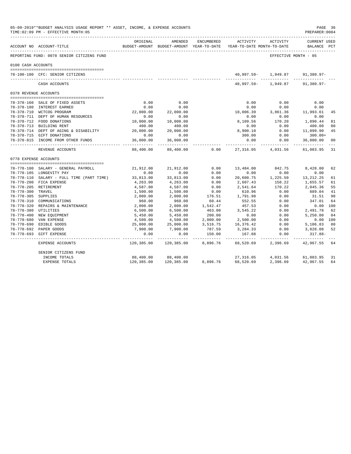| 05-09-2019**BUDGET ANALYSIS USAGE REPORT ** ASSET, INCOME, & EXPENSE ACCOUNTS<br>TIME: 02:09 PM - EFFECTIVE MONTH: 05<br>----------------------------- |                                           |                           |                                                     |                |                                        |                          |                                    |                |
|--------------------------------------------------------------------------------------------------------------------------------------------------------|-------------------------------------------|---------------------------|-----------------------------------------------------|----------------|----------------------------------------|--------------------------|------------------------------------|----------------|
|                                                                                                                                                        | ACCOUNT NO ACCOUNT-TITLE                  | ORIGINAL                  | AMENDED<br>BUDGET-AMOUNT BUDGET-AMOUNT YEAR-TO-DATE | ENCUMBERED     | ACTIVITY<br>YEAR-TO-DATE MONTH-TO-DATE | ACTIVITY                 | <b>CURRENT USED</b><br>BALANCE PCT |                |
|                                                                                                                                                        | REPORTING FUND: 0078 SENIOR CITIZENS FUND |                           |                                                     |                |                                        | EFFECTIVE MONTH - 05     |                                    |                |
| 0100 CASH ACCOUNTS                                                                                                                                     |                                           |                           |                                                     |                |                                        |                          |                                    |                |
|                                                                                                                                                        | 78-100-100 CFC: SENIOR CITIZENS           |                           |                                                     |                |                                        | 40,997.59- 1,949.87      | 91,380.97-                         |                |
|                                                                                                                                                        | CASH ACCOUNTS                             |                           |                                                     |                |                                        | 40,997.59- 1,949.87      | $91.380.97 -$                      |                |
| 0378 REVENUE ACCOUNTS                                                                                                                                  |                                           |                           |                                                     |                |                                        |                          |                                    |                |
|                                                                                                                                                        | 78-378-160 SALE OF FIXED ASSETS           | 0.00                      | 0.00                                                |                | 0.00                                   | 0.00                     | 0.00                               |                |
|                                                                                                                                                        | 78-378-180 INTEREST EARNED                | 0.00                      | 0.00                                                |                | 0.00                                   | 0.00                     | 0.00                               |                |
|                                                                                                                                                        | 78-378-710 WCTCOG PROGRAM                 | 22,000.00                 | 22,000.00                                           |                | 10,006.39                              | 3,861.36                 | 11,993.61                          | 45             |
|                                                                                                                                                        | 78-378-711 DEPT OF HUMAN RESOURCES        | 0.00                      | 0.00                                                |                | 0.00                                   | 0.00                     | 0.00                               |                |
|                                                                                                                                                        | 78-378-712 FOOD DONATIONS                 | 10,000.00                 | 10,000.00                                           |                | 8,109.56                               | 170.20                   | 1,890.44                           | 81             |
|                                                                                                                                                        | 78-378-713 BUILDING RENT                  | 400.00                    | 400.00                                              |                | 0.00                                   | 0.00                     | 400.00                             | 0 <sup>0</sup> |
|                                                                                                                                                        | 78-378-714 DEPT OF AGING & DISABILITY     | 20,000.00                 | 20,000.00                                           |                | 8,900.10                               | 0.00                     | 11,099.90                          | 45             |
|                                                                                                                                                        | 78-378-715 GIFT DONATIONS                 | 0.00                      | 0.00                                                |                | 300.00                                 | 0.00                     | $300.00+$                          |                |
|                                                                                                                                                        | 78-378-815 INCOME FROM OTHER FUNDS        | 36,000.00<br>----------   | 36,000.00<br>-----------                            |                | 0.00                                   | 0.00<br>----------       | 36,000.00<br>-----------           | 0 <sup>0</sup> |
|                                                                                                                                                        | REVENUE ACCOUNTS                          | 88,400.00                 | 88,400.00                                           | 0.00           | . <b>.</b> .<br>27,316.05              | 4,031.56                 | 61,083.95                          | 31             |
| 0778 EXPENSE ACCOUNTS                                                                                                                                  |                                           |                           |                                                     |                |                                        |                          |                                    |                |
|                                                                                                                                                        |                                           |                           |                                                     |                |                                        |                          |                                    |                |
|                                                                                                                                                        | 78-778-100 SALARY - GENERAL PAYROLL       | 21,912.00                 | 21,912.00                                           | 0.00           | 13,484.00                              | 842.75                   | 8,428.00                           | 62             |
|                                                                                                                                                        | 78-778-105 LONGEVITY PAY                  | 0.00                      | 0.00                                                | 0.00           | 0.00                                   | 0.00                     | 0.00                               |                |
|                                                                                                                                                        | 78-778-110 SALARY - FULL TIME (PART TIME) | 33,813.00                 | 33,813.00                                           | 0.00           | 20,600.75                              | 1,225.50                 | 13,212.25                          | 61             |
|                                                                                                                                                        | 78-778-200 FICA EXPENSE                   | 4,263.00                  | 4,263.00                                            | 0.00           | 2,607.43                               | 158.22                   | 1,655.57                           | 61             |
|                                                                                                                                                        | 78-778-205 RETIREMENT                     | 4,587.00                  | 4,587.00                                            | 0.00           | 2,541.64                               | 170.22                   | 2,045.36                           | 55             |
| 78-778-300 TRAVEL<br>78-778-305 SUPPLIES                                                                                                               |                                           | 1,500.00                  | 1,500.00                                            | 0.00<br>176.51 | 610.96<br>1,791.98                     | 0.00<br>0.00             | 889.04<br>31.51                    | 41<br>98       |
|                                                                                                                                                        | 78-778-310 COMMUNICATIONS                 | 2,000.00<br>960.00        | 2,000.00<br>960.00                                  | 60.44          | 552.55                                 | 0.00                     | 347.01                             | 64             |
|                                                                                                                                                        | 78-778-320 REPAIRS & MAINTENANCE          | 2,000.00                  | 2,000.00                                            | 1,542.47       | 457.53                                 | 0.00                     | 0.00 100                           |                |
| 78-778-380 UTILITIES                                                                                                                                   |                                           | 6,500.00                  | 6,500.00                                            | 463.00         | 3,545.22                               | 0.00                     | 2,491.78                           | 62             |
|                                                                                                                                                        | 78-778-400 NEW EQUIPMENT                  | 5,450.00                  | 5,450.00                                            | 200.00         | 0.00                                   | 0.00                     | 5,250.00                           | 04             |
|                                                                                                                                                        | 78-778-680 VAN EXPENSE                    | 4,500.00                  | 4,500.00                                            | 2,000.00       | 2,500.00                               | 0.00                     | 0.00 100                           |                |
|                                                                                                                                                        | 78-778-690 EDIBLE GOODS                   | 25,000.00                 | 25,000.00                                           | 3,516.75       | 16,376.42                              | 0.00                     | 5,106.83                           | 80             |
|                                                                                                                                                        | 78-778-692 PAPER GOODS                    | 7,900.00                  | 7,900.00                                            | 787.59         | 3,284.33                               | 0.00                     | 3,828.08                           | 52             |
|                                                                                                                                                        | 78-778-693 GIFT EXPENSE                   | 0.00                      | 0.00                                                | 150.00         | 167.88                                 | 0.00                     | $317.88 -$                         |                |
|                                                                                                                                                        | EXPENSE ACCOUNTS                          | -----------<br>120,385.00 | 120,385.00                                          | 8,896.76       | .<br>68,520.69                         | ------------<br>2,396.69 | 42,967.55                          | 64             |
|                                                                                                                                                        | SENIOR CITIZENS FUND                      |                           |                                                     |                |                                        |                          |                                    |                |
|                                                                                                                                                        | INCOME TOTALS                             | 88,400.00                 | 88,400.00                                           |                | 27,316.05                              | 4,031.56                 | 61,083.95                          | 31             |
|                                                                                                                                                        | <b>EXPENSE TOTALS</b>                     | 120,385.00                | 120,385.00                                          | 8,896.76       | 68,520.69                              | 2,396.69                 | 42,967.55                          | 64             |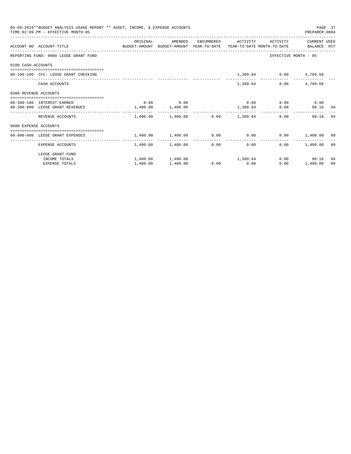|                       | 05-09-2019**BUDGET ANALYSIS USAGE REPORT ** ASSET, INCOME, & EXPENSE ACCOUNTS<br>TIME: 02:09 PM - EFFECTIVE MONTH: 05 |                       |                                                            |          |                 |                              | PREPARER: 0004              | PAGE 37 |
|-----------------------|-----------------------------------------------------------------------------------------------------------------------|-----------------------|------------------------------------------------------------|----------|-----------------|------------------------------|-----------------------------|---------|
|                       | ACCOUNT NO ACCOUNT-TITLE COMPUTE BUDGET-AMOUNT BUDGET-AMOUNT YEAR-TO-DATE YEAR-TO-DATE MONTH-TO-DATE BALANCE PCT      | ORIGINAL              | AMENDED                                                    |          |                 | ENCUMBERED ACTIVITY ACTIVITY | CURRENT USED                |         |
|                       | REPORTING FUND: 0080 LEOSE GRANT FUND                                                                                 |                       |                                                            |          |                 |                              | EFFECTIVE MONTH - 05        |         |
| 0100 CASH ACCOUNTS    |                                                                                                                       |                       |                                                            |          |                 |                              |                             |         |
|                       | 80-100-100 CFC: LEOSE GRANT CHECKING                                                                                  |                       |                                                            |          |                 | 1,309.84 0.00 4,789.69       |                             |         |
|                       | CASH ACCOUNTS                                                                                                         |                       |                                                            |          | 1,309.84        |                              | $0.00$ 4,789.69             |         |
| 0380 REVENUE ACCOUNTS |                                                                                                                       |                       |                                                            |          |                 |                              |                             |         |
|                       | 80-380-180 INTEREST EARNED                                                                                            |                       | $0.00$ 0.00                                                |          |                 |                              | $0.00$ $0.00$ $0.00$ $0.00$ |         |
|                       | 80-380-800 LEOSE GRANT REVENUES                                                                                       | $1,400.00$ $1,400.00$ |                                                            | 1,309.84 |                 |                              | 0.00<br>90.16 94            |         |
|                       | REVENUE ACCOUNTS                                                                                                      |                       | $1,400.00$ $1,400.00$ $0.00$ $1,309.84$                    |          |                 |                              | 0.00<br>90.16               | 94      |
| 0800 EXPENSE ACCOUNTS |                                                                                                                       |                       |                                                            |          |                 |                              |                             |         |
|                       | -------------------------------------<br>80-800-800 LEOSE GRANT EXPENSES                                              |                       | $1,400.00$ $1,400.00$ $0.00$ $0.00$ $0.00$ $1,400.00$ $00$ |          |                 |                              |                             |         |
|                       |                                                                                                                       |                       |                                                            |          | --------------- |                              |                             |         |
|                       | EXPENSE ACCOUNTS                                                                                                      |                       | $1,400.00$ $1,400.00$ 0.00                                 |          |                 | 0.00                         | $0.00$ 1.400.00 00          |         |
|                       | LEOSE GRANT FUND                                                                                                      |                       |                                                            |          |                 |                              |                             |         |
|                       | INCOME TOTALS                                                                                                         |                       | $1,400.00$ $1,400.00$ $1,309.84$                           |          |                 |                              | $0.00$ 90.16                | 94      |
|                       | <b>EXPENSE TOTALS</b>                                                                                                 | 1,400.00              | 1,400.00                                                   |          | $0.00$ 0.00     | 0.00                         | 1,400.00                    | 00      |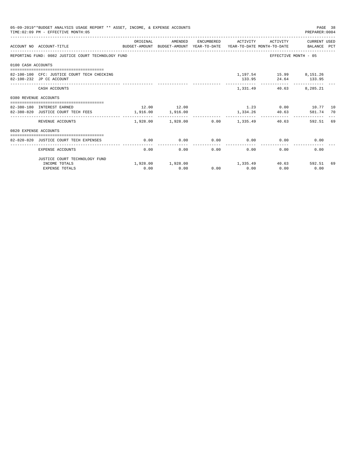| 05-09-2019**BUDGET ANALYSIS USAGE REPORT ** ASSET, INCOME, & EXPENSE ACCOUNTS<br>PAGE 38<br>TIME: 02:09 PM - EFFECTIVE MONTH: 05<br>PREPARER: 0004 |                                                                                                                   |             |                                                                  |              |                            |                                                |                                                  |    |  |  |
|----------------------------------------------------------------------------------------------------------------------------------------------------|-------------------------------------------------------------------------------------------------------------------|-------------|------------------------------------------------------------------|--------------|----------------------------|------------------------------------------------|--------------------------------------------------|----|--|--|
|                                                                                                                                                    | ACCOUNT NO ACCOUNT-TITLE CONTROL PROTECT-AMOUNT BUDGET-AMOUNT YEAR-TO-DATE YEAR-TO-DATE MONTH-TO-DATE BALANCE PCT | ORIGINAL    |                                                                  |              |                            |                                                | AMENDED ENCUMBERED ACTIVITY ACTIVITY CURRENTUSED |    |  |  |
|                                                                                                                                                    | REPORTING FUND: 0082 JUSTICE COURT TECHNOLOGY FUND                                                                |             |                                                                  |              |                            |                                                | EFFECTIVE MONTH - 05                             |    |  |  |
| 0100 CASH ACCOUNTS                                                                                                                                 |                                                                                                                   |             |                                                                  |              |                            |                                                |                                                  |    |  |  |
|                                                                                                                                                    | 82-100-100 CFC: JUSTICE COURT TECH CHECKING<br>82-100-232 JP CC ACCOUNT                                           |             |                                                                  |              |                            | 1,197.54 15.99 8,151.26<br>133.95 24.64 133.95 |                                                  |    |  |  |
|                                                                                                                                                    | CASH ACCOUNTS                                                                                                     |             |                                                                  |              |                            | 1,331.49 40.63 8,285.21                        |                                                  |    |  |  |
| 0380 REVENUE ACCOUNTS                                                                                                                              |                                                                                                                   |             |                                                                  |              |                            |                                                |                                                  |    |  |  |
|                                                                                                                                                    | 82-380-180 INTEREST EARNED<br>82-380-820 JUSTICE COURT TECH FEES                                                  | 12.00 12.00 | 1,916.00 1,916.00                                                |              |                            | 1,334.26 40.63                                 | $1.23$ 0.00 10.77 10<br>581.74 70                |    |  |  |
|                                                                                                                                                    | REVENUE ACCOUNTS                                                                                                  | .           | -------------<br>$1,928.00$ $1,928.00$ $0.00$ $1,335.49$ $40.63$ |              |                            |                                                | 592.51 69                                        |    |  |  |
| 0820 EXPENSE ACCOUNTS                                                                                                                              |                                                                                                                   |             |                                                                  |              |                            |                                                |                                                  |    |  |  |
|                                                                                                                                                    | 82-820-820 JUSTICE COURT TECH EXPENSES                                                                            | 0.00        | 0.00                                                             |              |                            | $0.00$ $0.00$ $0.00$ $0.00$                    | 0.00                                             |    |  |  |
|                                                                                                                                                    | EXPENSE ACCOUNTS                                                                                                  | 0.00        | ____________<br>0.00                                             | ------------ | . <u>.</u><br>0.00<br>0.00 | 0.00                                           | 0.00                                             |    |  |  |
|                                                                                                                                                    | JUSTICE COURT TECHNOLOGY FUND                                                                                     |             |                                                                  |              |                            |                                                |                                                  |    |  |  |
|                                                                                                                                                    | INCOME TOTALS<br><b>EXPENSE TOTALS</b>                                                                            | 0.00        | $1,928.00$ $1,928.00$ $1,335.49$ $40.63$ 592.51<br>0.00          |              | $0.00$ 0.00                | 0.00                                           | 0.00                                             | 69 |  |  |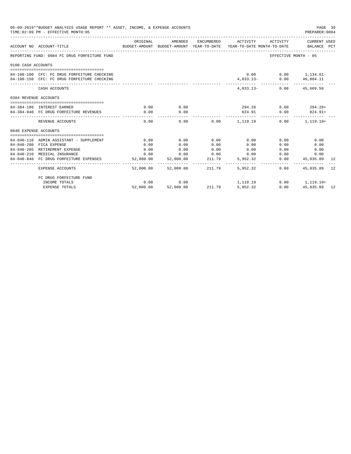| 05-09-2019**BUDGET ANALYSIS USAGE REPORT ** ASSET, INCOME, & EXPENSE ACCOUNTS<br>TIME: 02:09 PM - EFFECTIVE MONTH: 05 |                                                                                            |                              |                |        |                                                                                                        |                           |                    |    |
|-----------------------------------------------------------------------------------------------------------------------|--------------------------------------------------------------------------------------------|------------------------------|----------------|--------|--------------------------------------------------------------------------------------------------------|---------------------------|--------------------|----|
|                                                                                                                       | ACCOUNT NO ACCOUNT-TITLE                                                                   | ORIGINAL                     | AMENDED        |        | ENCUMBERED ACTIVITY<br>BUDGET-AMOUNT BUDGET-AMOUNT YEAR-TO-DATE YEAR-TO-DATE MONTH-TO-DATE BALANCE PCT | ACTIVITY                  | CURRENT USED       |    |
|                                                                                                                       | REPORTING FUND: 0084 FC DRUG FORFEITURE FUND                                               |                              |                |        |                                                                                                        | EFFECTIVE MONTH - 05      |                    |    |
| 0100 CASH ACCOUNTS                                                                                                    |                                                                                            |                              |                |        |                                                                                                        |                           |                    |    |
|                                                                                                                       | 84-100-100 CFC: FC DRUG FORFEITURE CHECKING<br>84-100-150 CFC: FC DRUG FORFEITURE CHECKING |                              |                |        | 4,833.13-                                                                                              | $0.00$ $0.00$ $1,134.61-$ | $0.00$ $46,804.11$ |    |
|                                                                                                                       | CASH ACCOUNTS                                                                              |                              |                |        |                                                                                                        | 4,833.13- 0.00 45,669.50  |                    |    |
| 0384 REVENUE ACCOUNTS                                                                                                 |                                                                                            |                              |                |        |                                                                                                        |                           |                    |    |
|                                                                                                                       |                                                                                            |                              |                |        |                                                                                                        |                           | $0.00$ $294.28+$   |    |
|                                                                                                                       | 84-384-180 INTEREST EARNED<br>84-384-840 FC DRUG FORFEITURE REVENUES                       | 0.00<br>0.00                 | 0.00<br>0.00   |        | 294.28<br>824.91                                                                                       |                           | $0.00$ $824.91+$   |    |
|                                                                                                                       | REVENUE ACCOUNTS                                                                           | 0.00                         | -------------- |        | -------------<br>$0.00$ 0.00 $1.119.19$                                                                | --------------            | $0.00$ 1.119.19+   |    |
| 0840 EXPENSE ACCOUNTS                                                                                                 |                                                                                            |                              |                |        |                                                                                                        |                           |                    |    |
|                                                                                                                       |                                                                                            |                              |                |        |                                                                                                        |                           |                    |    |
|                                                                                                                       | 84-840-110 ADMIN ASSISTANT - SUPPLEMENT                                                    | 0.00                         | 0.00           | 0.00   | 0.00                                                                                                   | 0.00                      | 0.00               |    |
|                                                                                                                       | 84-840-200 FICA EXPENSE                                                                    | 0.00                         | 0.00           | 0.00   | 0.00                                                                                                   | 0.00                      | 0.00               |    |
|                                                                                                                       | 84-840-205 RETIREMENT EXPENSE                                                              | 0.00                         | 0.00           | 0.00   | 0.00                                                                                                   | 0.00                      | 0.00               |    |
|                                                                                                                       | 84-840-210 MEDICAL INSURANCE                                                               | 0.00                         | 0.00           | 0.00   | 0.00                                                                                                   | 0.00                      | 0.00               |    |
|                                                                                                                       | 84-840-840 FC DRUG FORFEITURE EXPENSES                                                     | 52,000.00<br>. _ _ _ _ _ _ _ | 52,000.00      | 211.79 | 5,952.32                                                                                               | 0.00                      | 45,835.89          | 12 |
|                                                                                                                       | <b>EXPENSE ACCOUNTS</b>                                                                    | 52,000.00                    | 52,000.00      | 211.79 | 5,952,32                                                                                               | 0.00                      | 45,835.89          | 12 |
|                                                                                                                       | FC DRUG FORFEITURE FUND                                                                    |                              |                |        |                                                                                                        |                           |                    |    |
|                                                                                                                       | INCOME TOTALS                                                                              | 0.00                         | 0.00           |        | 1, 119. 19                                                                                             |                           | $0.00$ 1, 119.19+  |    |
|                                                                                                                       | <b>EXPENSE TOTALS</b>                                                                      | 52,000.00                    | 52,000.00      | 211.79 | 5.952.32                                                                                               | 0.00                      | 45,835.89 12       |    |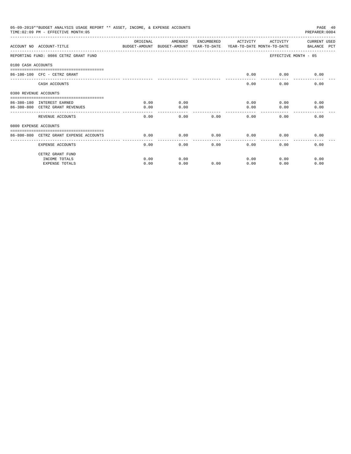| 05-09-2019**BUDGET ANALYSIS USAGE REPORT ** ASSET, INCOME, & EXPENSE ACCOUNTS<br>TIME: 02:09 PM - EFFECTIVE MONTH: 05<br>PREPARER: 0004 |                                                                                                                     |          |         |      |                     |                      |              |  |  |
|-----------------------------------------------------------------------------------------------------------------------------------------|---------------------------------------------------------------------------------------------------------------------|----------|---------|------|---------------------|----------------------|--------------|--|--|
|                                                                                                                                         | ACCOUNT NO ACCOUNT-TITLE CONTROL TO BUDGET-AMOUNT BUDGET-AMOUNT YEAR-TO-DATE YEAR-TO-DATE MONTH-TO-DATE BALANCE PCT | ORIGINAL | AMENDED |      | ENCUMBERED ACTIVITY | ACTIVITY             | CURRENT USED |  |  |
|                                                                                                                                         | REPORTING FUND: 0086 CETRZ GRANT FUND                                                                               |          |         |      |                     | EFFECTIVE MONTH - 05 |              |  |  |
| 0100 CASH ACCOUNTS                                                                                                                      |                                                                                                                     |          |         |      |                     |                      |              |  |  |
|                                                                                                                                         | 86-100-100 CFC - CETRZ GRANT                                                                                        |          |         |      | 0.00                | 0.00                 | 0.00         |  |  |
|                                                                                                                                         | CASH ACCOUNTS                                                                                                       |          |         |      | 0.00                | 0.00                 | 0.00         |  |  |
| 0380 REVENUE ACCOUNTS                                                                                                                   | =============================                                                                                       |          |         |      |                     |                      |              |  |  |
|                                                                                                                                         | 86-380-180 INTEREST EARNED                                                                                          | 0.00     | 0.00    |      | 0.00                | 0.00                 | 0.00         |  |  |
|                                                                                                                                         | 86-380-800 CETRZ GRANT REVENUES                                                                                     | 0.00     | 0.00    |      | 0.00                | 0.00                 | 0.00         |  |  |
|                                                                                                                                         | REVENUE ACCOUNTS                                                                                                    | 0.00     | 0.00    | 0.00 | 0.00                | 0.00                 | 0.00         |  |  |
| 0800 EXPENSE ACCOUNTS                                                                                                                   |                                                                                                                     |          |         |      |                     |                      |              |  |  |
|                                                                                                                                         | 86-800-800 CETRZ GRANT EXPENSE ACCOUNTS                                                                             | 0.00     | 0.00    | 0.00 | 0.00                | 0.00                 | 0.00         |  |  |
|                                                                                                                                         | EXPENSE ACCOUNTS                                                                                                    | 0.00     | 0.00    | 0.00 | 0.00                | 0.00                 | 0.00         |  |  |
|                                                                                                                                         | CETRZ GRANT FUND                                                                                                    |          |         |      |                     |                      |              |  |  |
|                                                                                                                                         | INCOME TOTALS                                                                                                       | 0.00     | 0.00    |      | 0.00                | 0.00                 | 0.00         |  |  |
|                                                                                                                                         | <b>EXPENSE TOTALS</b>                                                                                               | 0.00     | 0.00    | 0.00 | 0.00                | 0.00                 | 0.00         |  |  |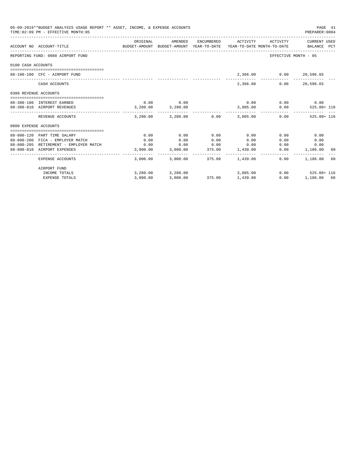| 05-09-2019**BUDGET ANALYSIS USAGE REPORT ** ASSET, INCOME, & EXPENSE ACCOUNTS<br>TIME: 02:09 PM - EFFECTIVE MONTH: 05 |                                             |                                                                                             |                   |      |                                           |                             |                                           |  |  |
|-----------------------------------------------------------------------------------------------------------------------|---------------------------------------------|---------------------------------------------------------------------------------------------|-------------------|------|-------------------------------------------|-----------------------------|-------------------------------------------|--|--|
|                                                                                                                       | ACCOUNT NO ACCOUNT-TITLE                    | ORIGINAL<br>BUDGET-AMOUNT BUDGET-AMOUNT YEAR-TO-DATE YEAR-TO-DATE MONTH-TO-DATE BALANCE PCT | AMENDED           |      |                                           |                             | ENCUMBERED ACTIVITY ACTIVITY CURRENT USED |  |  |
|                                                                                                                       | REPORTING FUND: 0088 AIRPORT FUND           |                                                                                             |                   |      |                                           | EFFECTIVE MONTH - 05        |                                           |  |  |
| 0100 CASH ACCOUNTS                                                                                                    |                                             |                                                                                             |                   |      |                                           |                             |                                           |  |  |
|                                                                                                                       | 88-100-100 CFC - AIRPORT FUND               |                                                                                             |                   |      |                                           | 2,366.00 0.00 20,596.65     |                                           |  |  |
|                                                                                                                       | CASH ACCOUNTS                               |                                                                                             |                   |      | 2,366,00                                  | 0.00                        | 20,596.65                                 |  |  |
| 0380 REVENUE ACCOUNTS                                                                                                 |                                             |                                                                                             |                   |      |                                           |                             |                                           |  |  |
|                                                                                                                       | 88-380-180 INTEREST EARNED                  | 0.00                                                                                        | 0.00              |      |                                           | $0.00$ $0.00$ $0.00$ $0.00$ |                                           |  |  |
|                                                                                                                       | 88-380-810 AIRPORT REVENUES                 | $3,280.00$ $3,280.00$                                                                       |                   |      |                                           |                             | 3,805.00   0.00   525.00+ 116             |  |  |
|                                                                                                                       | REVENUE ACCOUNTS                            |                                                                                             |                   |      | $3,280.00$ $3,280.00$ $0.00$ $3,805.00$   |                             | $0.00$ 525.00+ 116                        |  |  |
| 0800 EXPENSE ACCOUNTS                                                                                                 |                                             |                                                                                             |                   |      |                                           |                             |                                           |  |  |
|                                                                                                                       |                                             |                                                                                             |                   |      |                                           |                             |                                           |  |  |
|                                                                                                                       | 88-800-120 PART TIME SALARY                 | 0.00                                                                                        | 0.00              | 0.00 | 0.00                                      | 0.00                        | 0.00                                      |  |  |
|                                                                                                                       | 88-800-200 FICA - EMPLOYER MATCH            | 0.00                                                                                        | 0.00              | 0.00 | 0.00                                      | 0.00                        | 0.00                                      |  |  |
|                                                                                                                       | 88-800-205 RETIREMENT - EMPLOYER MATCH 6.00 |                                                                                             |                   |      | $0.00$ $0.00$ $0.00$ $0.00$               | 0.00                        | 0.00                                      |  |  |
|                                                                                                                       | 88-800-810 AIRPORT EXPENSES                 |                                                                                             |                   |      | $3,000.00$ $3,000.00$ $375.00$ $1,439.00$ |                             | $0.00$ 1,186.00 60                        |  |  |
|                                                                                                                       | EXPENSE ACCOUNTS                            |                                                                                             |                   |      | $3.000.00$ $3.000.00$ $375.00$ $1.439.00$ | $0.00 -$                    | 1,186.00 60                               |  |  |
|                                                                                                                       | AIRPORT FUND                                |                                                                                             |                   |      |                                           |                             |                                           |  |  |
|                                                                                                                       | INCOME TOTALS                               |                                                                                             | 3,280.00 3,280.00 |      | 3,805.00                                  |                             | $0.00$ 525.00+ 116                        |  |  |
|                                                                                                                       | <b>EXPENSE TOTALS</b>                       | 3,000.00                                                                                    |                   |      | 3,000.00 375.00 1,439.00                  |                             | $0.00$ 1,186.00 60                        |  |  |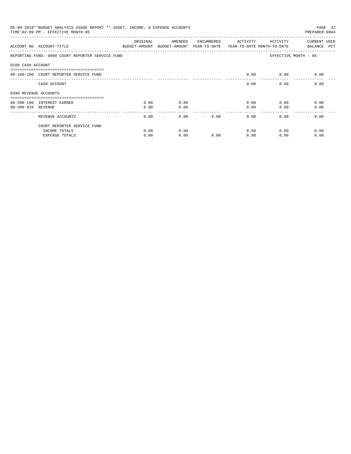| 05-09-2019**BUDGET ANALYSIS USAGE REPORT ** ASSET, INCOME, & EXPENSE ACCOUNTS<br>PAGE 42<br>TIME: 02:09 PM - EFFECTIVE MONTH: 05<br>PREPARER: 0004 |                                                                              |          |                                                                                |            |          |          |                                    |  |  |
|----------------------------------------------------------------------------------------------------------------------------------------------------|------------------------------------------------------------------------------|----------|--------------------------------------------------------------------------------|------------|----------|----------|------------------------------------|--|--|
|                                                                                                                                                    | ACCOUNT NO ACCOUNT-TITLE                                                     | ORIGINAL | AMENDED<br>BUDGET-AMOUNT BUDGET-AMOUNT YEAR-TO-DATE YEAR-TO-DATE MONTH-TO-DATE | ENCUMBERED | ACTIVITY | ACTIVITY | <b>CURRENT USED</b><br>BALANCE PCT |  |  |
|                                                                                                                                                    | REPORTING FUND: 0090 COURT REPORTER SERVICE FUND                             |          |                                                                                |            |          |          | EFFECTIVE MONTH - 05               |  |  |
| 0100 CASH ACCOUNT                                                                                                                                  |                                                                              |          |                                                                                |            |          |          |                                    |  |  |
|                                                                                                                                                    | ----------------------------------<br>90-100-100 COURT REPORTER SERVICE FUND |          |                                                                                |            | 0.00     | 0.00     | 0.00                               |  |  |
|                                                                                                                                                    | CASH ACCOUNT                                                                 |          |                                                                                |            | 0.00     | 0.00     | 0.00                               |  |  |
| 0390 REVENUE ACCOUNTS                                                                                                                              |                                                                              |          |                                                                                |            |          |          |                                    |  |  |
|                                                                                                                                                    | 90-390-190 INTEREST EARNED                                                   | 0.00     | 0.00                                                                           |            | 0.00     | 0.00     | 0.00                               |  |  |
| 90-390-910 REVENUE                                                                                                                                 |                                                                              | 0.00     | 0.00                                                                           |            | 0.00     | 0.00     | 0.00                               |  |  |
|                                                                                                                                                    | REVENUE ACCOUNTS                                                             | 0.00     | 0.00                                                                           | 0.00       | 0.00     | 0.00     | 0.00                               |  |  |
|                                                                                                                                                    | COURT REPORTER SERVICE FUND                                                  |          |                                                                                |            |          |          |                                    |  |  |
|                                                                                                                                                    | INCOME TOTALS                                                                | 0.00     | 0.00                                                                           |            | 0.00     | 0.00     | 0.00                               |  |  |
|                                                                                                                                                    | <b>EXPENSE TOTALS</b>                                                        | 0.00     | 0.00                                                                           | 0.00       | 0.00     | 0.00     | 0.00                               |  |  |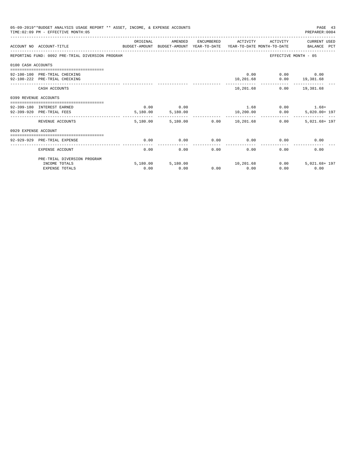|                       | 05-09-2019**BUDGET ANALYSIS USAGE REPORT ** ASSET, INCOME, & EXPENSE ACCOUNTS<br>TIME: 02:09 PM - EFFECTIVE MONTH: 05 |          |                                  |      |                     |                              | PAGE 43<br>PREPARER: 0004          |
|-----------------------|-----------------------------------------------------------------------------------------------------------------------|----------|----------------------------------|------|---------------------|------------------------------|------------------------------------|
|                       | BUDGET-AMOUNT BUDGET-AMOUNT YEAR-TO-DATE YEAR-TO-DATE MONTH-TO-DATE BALANCE PCT<br>ACCOUNT NO ACCOUNT-TITLE           | ORIGINAL | AMENDED                          |      | ENCUMBERED ACTIVITY | ACTIVITY                     | CURRENT USED                       |
|                       | REPORTING FUND: 0092 PRE-TRIAL DIVERSION PROGRAM                                                                      |          |                                  |      |                     |                              | EFFECTIVE MONTH - 05               |
| 0100 CASH ACCOUNTS    |                                                                                                                       |          |                                  |      |                     |                              |                                    |
|                       |                                                                                                                       |          |                                  |      |                     |                              |                                    |
|                       | 92-100-100 PRE-TRIAL CHECKING                                                                                         |          |                                  |      |                     | 0.00                         | $0.00$ 0.00                        |
|                       | 92-100-222 PRE-TRIAL CHECKING                                                                                         |          |                                  |      | 10,201.68           |                              | $0.00$ 19,381.68<br>-------------- |
|                       | CASH ACCOUNTS                                                                                                         |          |                                  |      |                     | 10,201.68   0.00   19,381.68 |                                    |
| 0399 REVENUE ACCOUNTS |                                                                                                                       |          |                                  |      |                     |                              |                                    |
|                       | 92-399-180 INTEREST EARNED                                                                                            | 0.00     | 0.00                             |      |                     |                              | $1.68$ 0.00 $1.68+$                |
|                       | 92-399-920 PRE-TRIAL FEES                                                                                             |          | 5,180.00 5,180.00                |      |                     | 10,200.00 0.00               | 5,020.00+ 197                      |
|                       | REVENUE ACCOUNTS                                                                                                      |          | 5,180.00 5,180.00 0.00 10,201.68 |      | -------------       | 0.00                         | 5,021.68+ 197                      |
| 0929 EXPENSE ACCOUNT  |                                                                                                                       |          |                                  |      |                     |                              |                                    |
|                       |                                                                                                                       |          |                                  |      |                     |                              |                                    |
|                       | 92-929-929 PRE-TRIAL EXPENSE                                                                                          | 0.00     | 0.00                             | 0.00 |                     | $0.00$ 0.00                  | 0.00                               |
|                       | EXPENSE ACCOUNT                                                                                                       | 0.00     | 0.00                             | 0.00 | 0.00                | 0.00                         | 0.00                               |
|                       | PRE-TRIAL DIVERSION PROGRAM                                                                                           |          |                                  |      |                     |                              |                                    |
|                       | INCOME TOTALS                                                                                                         |          | 5,180.00 5,180.00                |      | 10, 201.68          | 0.00                         | 5,021.68+ 197                      |
|                       | <b>EXPENSE TOTALS</b>                                                                                                 | 0.00     | 0.00                             |      | $0.00$ 0.00         | 0.00                         | 0.00                               |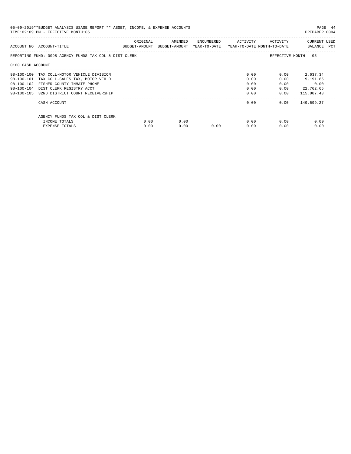| 05-09-2019**BUDGET ANALYSIS USAGE REPORT ** ASSET, INCOME, & EXPENSE ACCOUNTS<br>TIME: 02:09 PM - EFFECTIVE MONTH: 05<br>PREPARER: 0004 |                                                        |          |                                                                     |                             |      |                       |                             |  |  |
|-----------------------------------------------------------------------------------------------------------------------------------------|--------------------------------------------------------|----------|---------------------------------------------------------------------|-----------------------------|------|-----------------------|-----------------------------|--|--|
|                                                                                                                                         | ACCOUNT NO ACCOUNT-TITLE                               | ORIGINAL | BUDGET-AMOUNT BUDGET-AMOUNT YEAR-TO-DATE YEAR-TO-DATE MONTH-TO-DATE | AMENDED ENCUMBERED ACTIVITY |      | ACTIVITY              | CURRENT USED<br>BALANCE PCT |  |  |
|                                                                                                                                         | REPORTING FUND: 0098 AGENCY FUNDS TAX COL & DIST CLERK |          |                                                                     |                             |      |                       | EFFECTIVE MONTH - 05        |  |  |
| 0100 CASH ACCOUNT                                                                                                                       |                                                        |          |                                                                     |                             |      |                       |                             |  |  |
|                                                                                                                                         | 98-100-100 TAX COLL-MOTOR VEHICLE DIVISION             |          |                                                                     |                             | 0.00 | 0.00                  | 2,637.34                    |  |  |
|                                                                                                                                         | 98-100-101 TAX COLL-SALES TAX, MOTOR VEH D             |          |                                                                     |                             | 0.00 | 0.00                  | 9,191.85                    |  |  |
|                                                                                                                                         | 98-100-102 FISHER COUNTY INMATE PHONE                  |          |                                                                     |                             | 0.00 | 0.00                  | 0.00                        |  |  |
|                                                                                                                                         | 98-100-104 DIST CLERK REGISTRY ACCT                    |          |                                                                     |                             | 0.00 | 0.00                  | 22,762.65                   |  |  |
|                                                                                                                                         | 98-100-105 32ND DISTRICT COURT RECEIVERSHIP            |          |                                                                     |                             | 0.00 | 0.00<br>------------- | 115,007.43                  |  |  |
|                                                                                                                                         | CASH ACCOUNT                                           |          |                                                                     |                             | 0.00 |                       | $0.00$ 149,599.27           |  |  |
|                                                                                                                                         | AGENCY FUNDS TAX COL & DIST CLERK                      |          |                                                                     |                             |      |                       |                             |  |  |
|                                                                                                                                         | INCOME TOTALS                                          | 0.00     | 0.00                                                                |                             | 0.00 | 0.00                  | 0.00                        |  |  |
|                                                                                                                                         | EXPENSE TOTALS                                         | 0.00     | 0.00                                                                | 0.00                        | 0.00 | 0.00                  | 0.00                        |  |  |